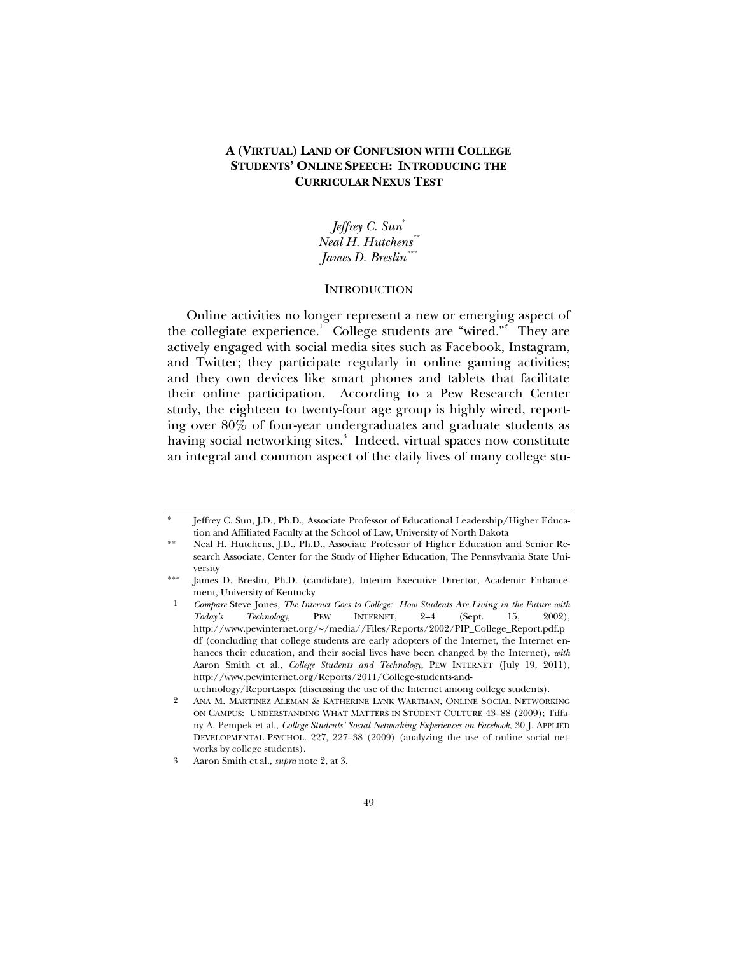# **A (VIRTUAL) LAND OF CONFUSION WITH COLLEGE STUDENTS' ONLINE SPEECH: INTRODUCING THE CURRICULAR NEXUS TEST**

*Jeffrey C. Sun*\* *Neal H. Hutchens\*\* James D. Breslin\*\*\**

### **INTRODUCTION**

Online activities no longer represent a new or emerging aspect of the collegiate experience.<sup>1</sup> College students are "wired."<sup>2</sup> They are actively engaged with social media sites such as Facebook, Instagram, and Twitter; they participate regularly in online gaming activities; and they own devices like smart phones and tablets that facilitate their online participation. According to a Pew Research Center study, the eighteen to twenty-four age group is highly wired, reporting over 80% of four-year undergraduates and graduate students as having social networking sites.<sup>3</sup> Indeed, virtual spaces now constitute an integral and common aspect of the daily lives of many college stu-

Jeffrey C. Sun, J.D., Ph.D., Associate Professor of Educational Leadership/Higher Education and Affiliated Faculty at the School of Law, University of North Dakota

Neal H. Hutchens, J.D., Ph.D., Associate Professor of Higher Education and Senior Research Associate, Center for the Study of Higher Education, The Pennsylvania State University

James D. Breslin, Ph.D. (candidate), Interim Executive Director, Academic Enhancement, University of Kentucky

<sup>1</sup> *Compare* Steve Jones, *The Internet Goes to College: How Students Are Living in the Future with Today's Technology*, PEW INTERNET, 2–4 (Sept. 15, 2002), http://www.pewinternet.org/~/media//Files/Reports/2002/PIP\_College\_Report.pdf.p df (concluding that college students are early adopters of the Internet, the Internet enhances their education, and their social lives have been changed by the Internet), *with* Aaron Smith et al., *College Students and Technology*, PEW INTERNET (July 19, 2011), http://www.pewinternet.org/Reports/2011/College-students-and-

technology/Report.aspx (discussing the use of the Internet among college students).

<sup>2</sup> ANA M. MARTINEZ ALEMAN & KATHERINE LYNK WARTMAN, ONLINE SOCIAL NETWORKING ON CAMPUS: UNDERSTANDING WHAT MATTERS IN STUDENT CULTURE 43–88 (2009); Tiffany A. Pempek et al., *College Students' Social Networking Experiences on Facebook*, 30 J. APPLIED DEVELOPMENTAL PSYCHOL. 227, 227–38 (2009) (analyzing the use of online social networks by college students).

<sup>3</sup> Aaron Smith et al., *supra* note 2, at 3.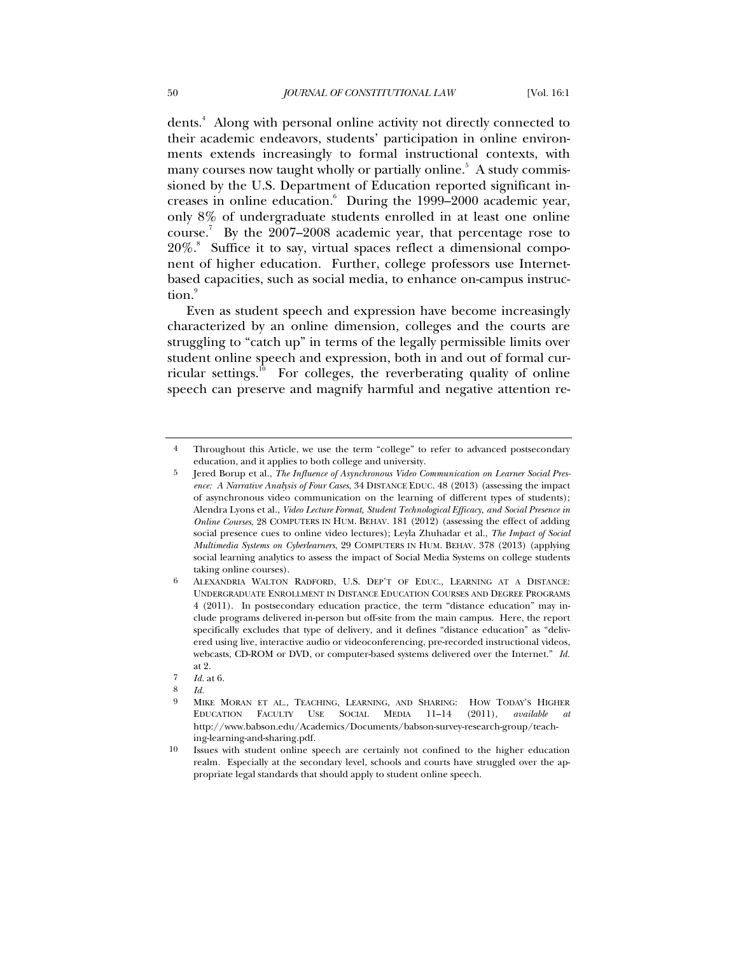dents.<sup>4</sup> Along with personal online activity not directly connected to their academic endeavors, students' participation in online environments extends increasingly to formal instructional contexts, with many courses now taught wholly or partially online.<sup>5</sup> A study commissioned by the U.S. Department of Education reported significant increases in online education.<sup>6</sup> During the 1999–2000 academic year, only 8% of undergraduate students enrolled in at least one online course.<sup>7</sup> By the  $2007-2008$  academic year, that percentage rose to 20%.<sup>8</sup> Suffice it to say, virtual spaces reflect a dimensional component of higher education. Further, college professors use Internetbased capacities, such as social media, to enhance on-campus instruction.<sup>9</sup>

Even as student speech and expression have become increasingly characterized by an online dimension, colleges and the courts are struggling to "catch up" in terms of the legally permissible limits over student online speech and expression, both in and out of formal curricular settings.<sup>10</sup> For colleges, the reverberating quality of online speech can preserve and magnify harmful and negative attention re-

<sup>4</sup> Throughout this Article, we use the term "college" to refer to advanced postsecondary education, and it applies to both college and university.

<sup>5</sup> Jered Borup et al., *The Influence of Asynchronous Video Communication on Learner Social Presence: A Narrative Analysis of Four Cases*, 34 DISTANCE EDUC. 48 (2013) (assessing the impact of asynchronous video communication on the learning of different types of students); Alendra Lyons et al., *Video Lecture Format, Student Technological Efficacy, and Social Presence in Online Courses*, 28 COMPUTERS IN HUM. BEHAV. 181 (2012) (assessing the effect of adding social presence cues to online video lectures); Leyla Zhuhadar et al., *The Impact of Social Multimedia Systems on Cyberlearners*, 29 COMPUTERS IN HUM. BEHAV. 378 (2013) (applying social learning analytics to assess the impact of Social Media Systems on college students taking online courses).

<sup>6</sup> ALEXANDRIA WALTON RADFORD, U.S. DEP'T OF EDUC., LEARNING AT A DISTANCE: UNDERGRADUATE ENROLLMENT IN DISTANCE EDUCATION COURSES AND DEGREE PROGRAMS 4 (2011). In postsecondary education practice, the term "distance education" may include programs delivered in-person but off-site from the main campus. Here, the report specifically excludes that type of delivery, and it defines "distance education" as "delivered using live, interactive audio or videoconferencing, pre-recorded instructional videos, webcasts, CD-ROM or DVD, or computer-based systems delivered over the Internet." *Id.* at 2.

<sup>7</sup> *Id.* at 6.

<sup>8</sup> *Id.*

<sup>9</sup> MIKE MORAN ET AL., TEACHING, LEARNING, AND SHARING: HOW TODAY'S HIGHER EDUCATION FACULTY USE SOCIAL MEDIA 11–14 (2011), *available at*  http://www.babson.edu/Academics/Documents/babson-survey-research-group/teaching-learning-and-sharing.pdf.

<sup>10</sup> Issues with student online speech are certainly not confined to the higher education realm. Especially at the secondary level, schools and courts have struggled over the appropriate legal standards that should apply to student online speech.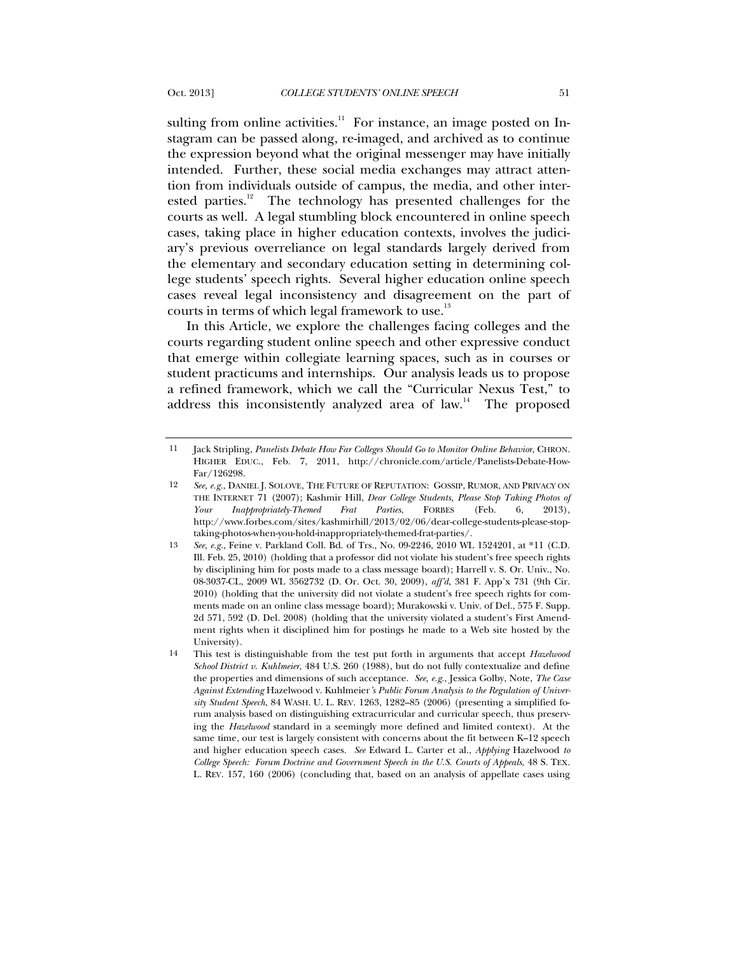sulting from online activities.<sup>11</sup> For instance, an image posted on Instagram can be passed along, re-imaged, and archived as to continue the expression beyond what the original messenger may have initially intended. Further, these social media exchanges may attract attention from individuals outside of campus, the media, and other interested parties.<sup>12</sup> The technology has presented challenges for the courts as well. A legal stumbling block encountered in online speech cases, taking place in higher education contexts, involves the judiciary's previous overreliance on legal standards largely derived from the elementary and secondary education setting in determining college students' speech rights. Several higher education online speech cases reveal legal inconsistency and disagreement on the part of courts in terms of which legal framework to use. $^{13}$ 

In this Article, we explore the challenges facing colleges and the courts regarding student online speech and other expressive conduct that emerge within collegiate learning spaces, such as in courses or student practicums and internships. Our analysis leads us to propose a refined framework, which we call the "Curricular Nexus Test," to address this inconsistently analyzed area of law.<sup>14</sup> The proposed

<sup>11</sup> Jack Stripling, *Panelists Debate How Far Colleges Should Go to Monitor Online Behavior*, CHRON. HIGHER EDUC., Feb. 7, 2011, http://chronicle.com/article/Panelists-Debate-How-Far/126298.

<sup>12</sup> *See, e.g.*, DANIEL J. SOLOVE, THE FUTURE OF REPUTATION: GOSSIP, RUMOR, AND PRIVACY ON THE INTERNET 71 (2007); Kashmir Hill, *Dear College Students, Please Stop Taking Photos of Your Inappropriately-Themed Frat Parties*, FORBES (Feb. 6, 2013), http://www.forbes.com/sites/kashmirhill/2013/02/06/dear-college-students-please-stoptaking-photos-when-you-hold-inappropriately-themed-frat-parties/.

<sup>13</sup> *See*, *e.g.*, Feine v. Parkland Coll. Bd. of Trs., No. 09-2246, 2010 WL 1524201, at \*11 (C.D. Ill. Feb. 25, 2010) (holding that a professor did not violate his student's free speech rights by disciplining him for posts made to a class message board); Harrell v. S. Or. Univ., No. 08-3037-CL, 2009 WL 3562732 (D. Or. Oct. 30, 2009), *aff'd*, 381 F. App'x 731 (9th Cir. 2010) (holding that the university did not violate a student's free speech rights for comments made on an online class message board); Murakowski v. Univ. of Del., 575 F. Supp. 2d 571, 592 (D. Del. 2008) (holding that the university violated a student's First Amendment rights when it disciplined him for postings he made to a Web site hosted by the University).

<sup>14</sup> This test is distinguishable from the test put forth in arguments that accept *Hazelwood School District v. Kuhlmeier*, 484 U.S. 260 (1988), but do not fully contextualize and define the properties and dimensions of such acceptance. *See, e.g.*, Jessica Golby, Note, *The Case Against Extending* Hazelwood v. Kuhlmeier*'s Public Forum Analysis to the Regulation of University Student Speech*, 84 WASH. U. L. REV. 1263, 1282–85 (2006) (presenting a simplified forum analysis based on distinguishing extracurricular and curricular speech, thus preserving the *Hazelwood* standard in a seemingly more defined and limited context). At the same time, our test is largely consistent with concerns about the fit between K–12 speech and higher education speech cases. *See* Edward L. Carter et al., *Applying* Hazelwood *to College Speech: Forum Doctrine and Government Speech in the U.S. Courts of Appeals*, 48 S. TEX. L. REV. 157, 160 (2006) (concluding that, based on an analysis of appellate cases using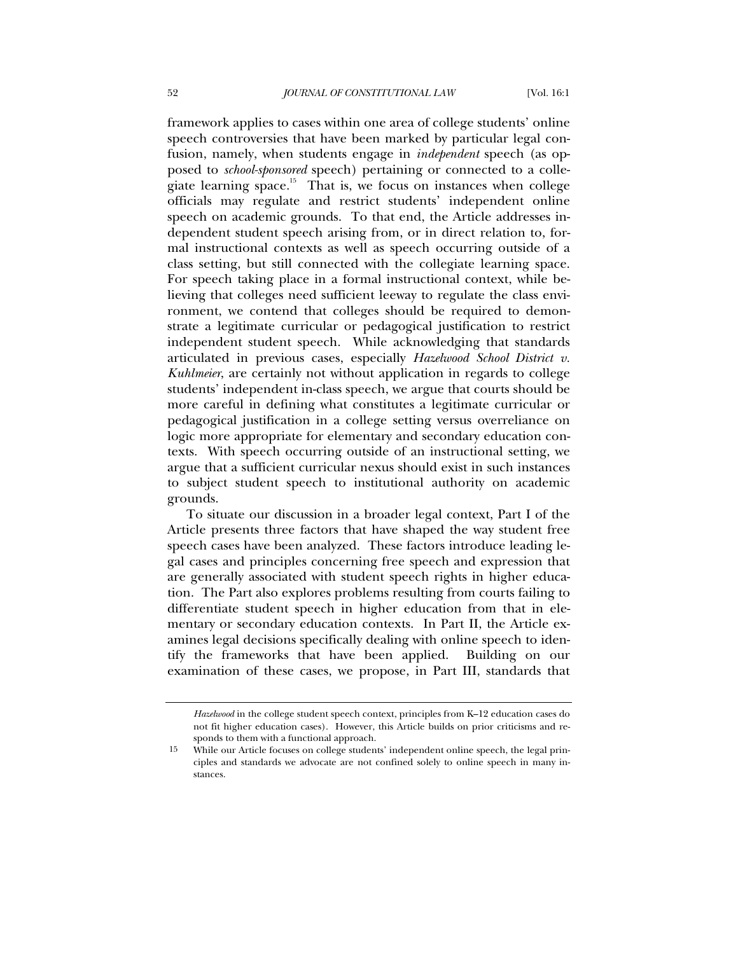framework applies to cases within one area of college students' online speech controversies that have been marked by particular legal confusion, namely, when students engage in *independent* speech (as opposed to *school-sponsored* speech) pertaining or connected to a collegiate learning space. $15$  That is, we focus on instances when college officials may regulate and restrict students' independent online speech on academic grounds. To that end, the Article addresses independent student speech arising from, or in direct relation to, formal instructional contexts as well as speech occurring outside of a class setting, but still connected with the collegiate learning space. For speech taking place in a formal instructional context, while believing that colleges need sufficient leeway to regulate the class environment, we contend that colleges should be required to demonstrate a legitimate curricular or pedagogical justification to restrict independent student speech. While acknowledging that standards articulated in previous cases, especially *Hazelwood School District v. Kuhlmeier*, are certainly not without application in regards to college students' independent in-class speech, we argue that courts should be more careful in defining what constitutes a legitimate curricular or pedagogical justification in a college setting versus overreliance on logic more appropriate for elementary and secondary education contexts. With speech occurring outside of an instructional setting, we argue that a sufficient curricular nexus should exist in such instances to subject student speech to institutional authority on academic grounds.

To situate our discussion in a broader legal context, Part I of the Article presents three factors that have shaped the way student free speech cases have been analyzed. These factors introduce leading legal cases and principles concerning free speech and expression that are generally associated with student speech rights in higher education. The Part also explores problems resulting from courts failing to differentiate student speech in higher education from that in elementary or secondary education contexts. In Part II, the Article examines legal decisions specifically dealing with online speech to identify the frameworks that have been applied. Building on our examination of these cases, we propose, in Part III, standards that

*Hazelwood* in the college student speech context, principles from K–12 education cases do not fit higher education cases). However, this Article builds on prior criticisms and responds to them with a functional approach.

<sup>15</sup> While our Article focuses on college students' independent online speech, the legal principles and standards we advocate are not confined solely to online speech in many instances.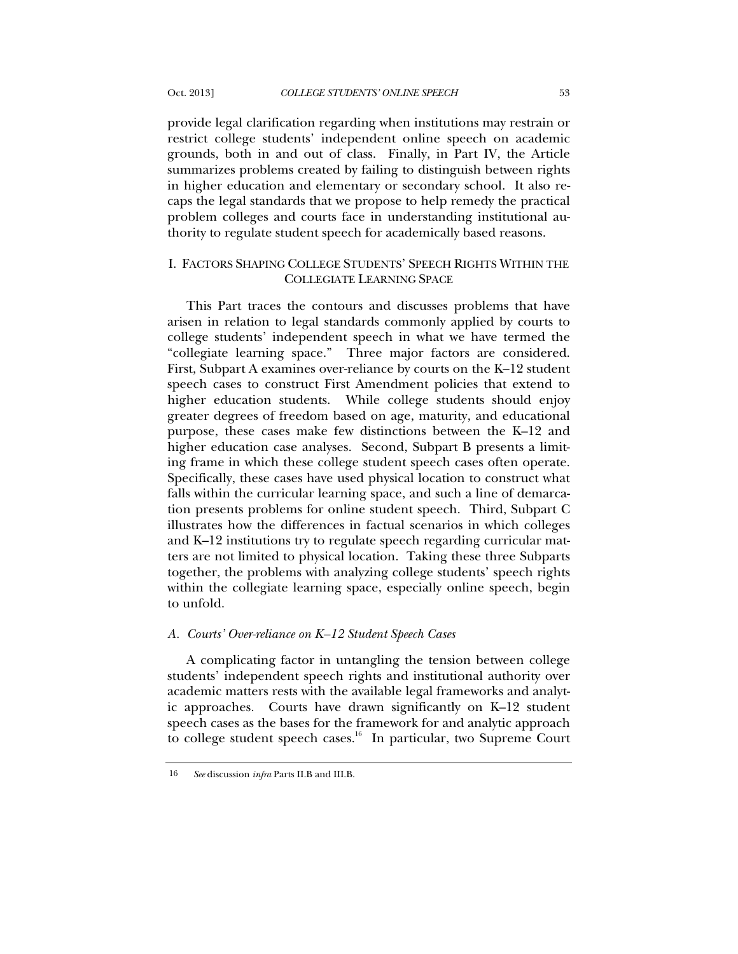provide legal clarification regarding when institutions may restrain or restrict college students' independent online speech on academic grounds, both in and out of class. Finally, in Part IV, the Article summarizes problems created by failing to distinguish between rights in higher education and elementary or secondary school. It also recaps the legal standards that we propose to help remedy the practical problem colleges and courts face in understanding institutional authority to regulate student speech for academically based reasons.

# I. FACTORS SHAPING COLLEGE STUDENTS' SPEECH RIGHTS WITHIN THE COLLEGIATE LEARNING SPACE

This Part traces the contours and discusses problems that have arisen in relation to legal standards commonly applied by courts to college students' independent speech in what we have termed the "collegiate learning space." Three major factors are considered. First, Subpart A examines over-reliance by courts on the K–12 student speech cases to construct First Amendment policies that extend to higher education students. While college students should enjoy greater degrees of freedom based on age, maturity, and educational purpose, these cases make few distinctions between the K–12 and higher education case analyses. Second, Subpart B presents a limiting frame in which these college student speech cases often operate. Specifically, these cases have used physical location to construct what falls within the curricular learning space, and such a line of demarcation presents problems for online student speech. Third, Subpart C illustrates how the differences in factual scenarios in which colleges and K–12 institutions try to regulate speech regarding curricular matters are not limited to physical location. Taking these three Subparts together, the problems with analyzing college students' speech rights within the collegiate learning space, especially online speech, begin to unfold.

#### *A. Courts' Over-reliance on K–12 Student Speech Cases*

A complicating factor in untangling the tension between college students' independent speech rights and institutional authority over academic matters rests with the available legal frameworks and analytic approaches. Courts have drawn significantly on K–12 student speech cases as the bases for the framework for and analytic approach to college student speech cases. $16$  In particular, two Supreme Court

<sup>16</sup> *See* discussion *infra* Parts II.B and III.B.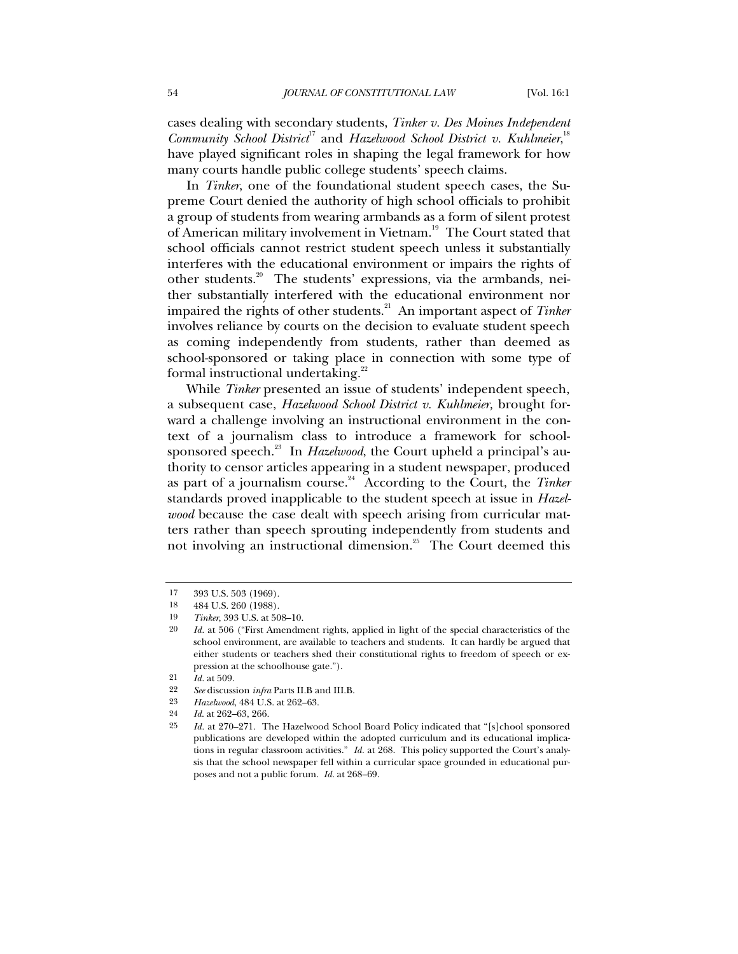cases dealing with secondary students, *Tinker v. Des Moines Independent*  Community School District<sup>17</sup> and *Hazelwood School District v. Kuhlmeier*,<sup>18</sup> have played significant roles in shaping the legal framework for how many courts handle public college students' speech claims.

In *Tinker*, one of the foundational student speech cases, the Supreme Court denied the authority of high school officials to prohibit a group of students from wearing armbands as a form of silent protest of American military involvement in Vietnam.<sup>19</sup> The Court stated that school officials cannot restrict student speech unless it substantially interferes with the educational environment or impairs the rights of other students.<sup>20</sup> The students' expressions, via the armbands, neither substantially interfered with the educational environment nor impaired the rights of other students.<sup>21</sup> An important aspect of *Tinker* involves reliance by courts on the decision to evaluate student speech as coming independently from students, rather than deemed as school-sponsored or taking place in connection with some type of formal instructional undertaking.<sup>22</sup>

While *Tinker* presented an issue of students' independent speech, a subsequent case, *Hazelwood School District v. Kuhlmeier,* brought forward a challenge involving an instructional environment in the context of a journalism class to introduce a framework for schoolsponsored speech.<sup>23</sup> In *Hazelwood*, the Court upheld a principal's authority to censor articles appearing in a student newspaper, produced as part of a journalism course.<sup>24</sup> According to the Court, the *Tinker* standards proved inapplicable to the student speech at issue in *Hazelwood* because the case dealt with speech arising from curricular matters rather than speech sprouting independently from students and not involving an instructional dimension.<sup>25</sup> The Court deemed this

<sup>17</sup> 393 U.S. 503 (1969).

<sup>18</sup> 484 U.S. 260 (1988).

<sup>19</sup> *Tinker*, 393 U.S. at 508–10.

<sup>20</sup> *Id.* at 506 ("First Amendment rights, applied in light of the special characteristics of the school environment, are available to teachers and students. It can hardly be argued that either students or teachers shed their constitutional rights to freedom of speech or expression at the schoolhouse gate.").

<sup>21</sup> *Id.* at 509.

<sup>22</sup> *See* discussion *infra* Parts II.B and III.B.

<sup>23</sup> *Hazelwood*, 484 U.S. at 262–63.

<sup>24</sup> *Id*. at 262–63, 266.

<sup>25</sup> *Id.* at 270–271. The Hazelwood School Board Policy indicated that "[s]chool sponsored publications are developed within the adopted curriculum and its educational implications in regular classroom activities." *Id.* at 268. This policy supported the Court's analysis that the school newspaper fell within a curricular space grounded in educational purposes and not a public forum. *Id.* at 268–69.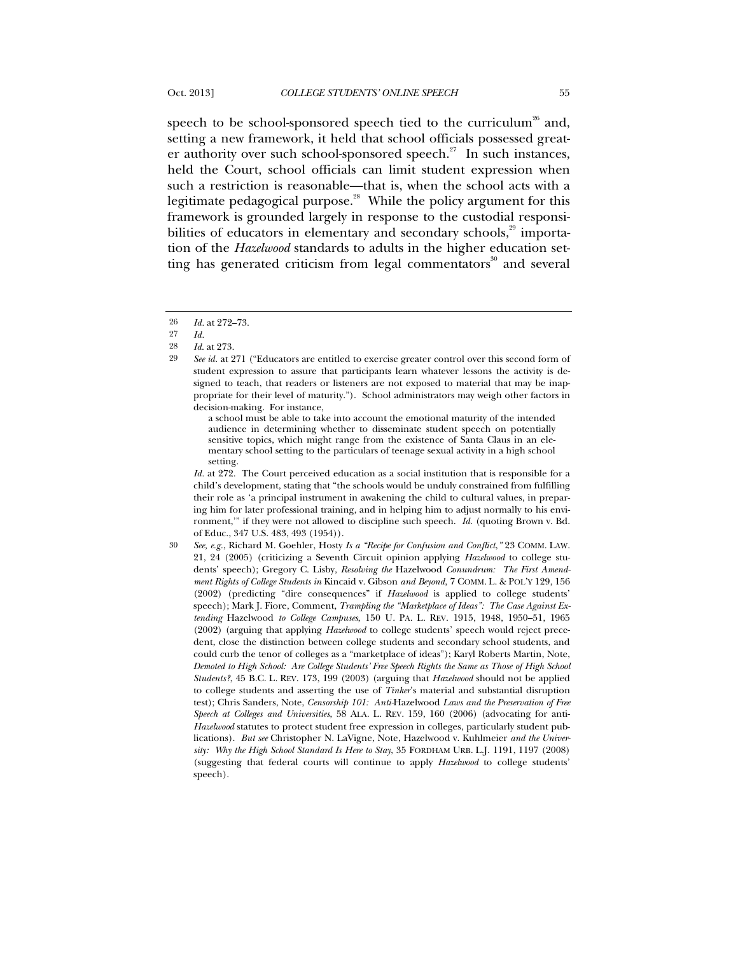speech to be school-sponsored speech tied to the curriculum<sup>26</sup> and, setting a new framework, it held that school officials possessed greater authority over such school-sponsored speech.<sup>27</sup> In such instances, held the Court, school officials can limit student expression when such a restriction is reasonable—that is, when the school acts with a legitimate pedagogical purpose.<sup>28</sup> While the policy argument for this framework is grounded largely in response to the custodial responsibilities of educators in elementary and secondary schools, $29$  importation of the *Hazelwood* standards to adults in the higher education setting has generated criticism from legal commentators $\delta$ <sup>0</sup> and several

a school must be able to take into account the emotional maturity of the intended audience in determining whether to disseminate student speech on potentially sensitive topics, which might range from the existence of Santa Claus in an elementary school setting to the particulars of teenage sexual activity in a high school setting.

*Id.* at 272. The Court perceived education as a social institution that is responsible for a child's development, stating that "the schools would be unduly constrained from fulfilling their role as 'a principal instrument in awakening the child to cultural values, in preparing him for later professional training, and in helping him to adjust normally to his environment,'" if they were not allowed to discipline such speech. *Id.* (quoting Brown v. Bd. of Educ., 347 U.S. 483, 493 (1954)).

<sup>26</sup> *Id.* at 272–73.

<sup>27</sup> *Id.*

<sup>28</sup> *Id*. at 273.

<sup>29</sup> *See id.* at 271 ("Educators are entitled to exercise greater control over this second form of student expression to assure that participants learn whatever lessons the activity is designed to teach, that readers or listeners are not exposed to material that may be inappropriate for their level of maturity."). School administrators may weigh other factors in decision-making. For instance,

<sup>30</sup> *See, e.g.*, Richard M. Goehler, Hosty *Is a "Recipe for Confusion and Conflict*,*"* 23 COMM. LAW. 21, 24 (2005) (criticizing a Seventh Circuit opinion applying *Hazelwood* to college students' speech); Gregory C. Lisby, *Resolving the* Hazelwood *Conundrum: The First Amendment Rights of College Students in* Kincaid v. Gibson *and Beyond*, 7 COMM. L. & POL'Y 129, 156 (2002) (predicting "dire consequences" if *Hazelwood* is applied to college students' speech); Mark J. Fiore, Comment, *Trampling the "Marketplace of Ideas": The Case Against Extending* Hazelwood *to College Campuses*, 150 U. PA. L. REV. 1915, 1948, 1950–51, 1965 (2002) (arguing that applying *Hazelwood* to college students' speech would reject precedent, close the distinction between college students and secondary school students, and could curb the tenor of colleges as a "marketplace of ideas"); Karyl Roberts Martin, Note, *Demoted to High School: Are College Students' Free Speech Rights the Same as Those of High School Students?*, 45 B.C. L. REV. 173, 199 (2003) (arguing that *Hazelwood* should not be applied to college students and asserting the use of *Tinker*'s material and substantial disruption test); Chris Sanders, Note, *Censorship 101: Anti-*Hazelwood *Laws and the Preservation of Free Speech at Colleges and Universities*, 58 ALA. L. REV. 159, 160 (2006) (advocating for anti-*Hazelwood* statutes to protect student free expression in colleges, particularly student publications). *But see* Christopher N. LaVigne, Note, Hazelwood v. Kuhlmeier *and the University: Why the High School Standard Is Here to Stay*, 35 FORDHAM URB. L.J. 1191, 1197 (2008) (suggesting that federal courts will continue to apply *Hazelwood* to college students' speech).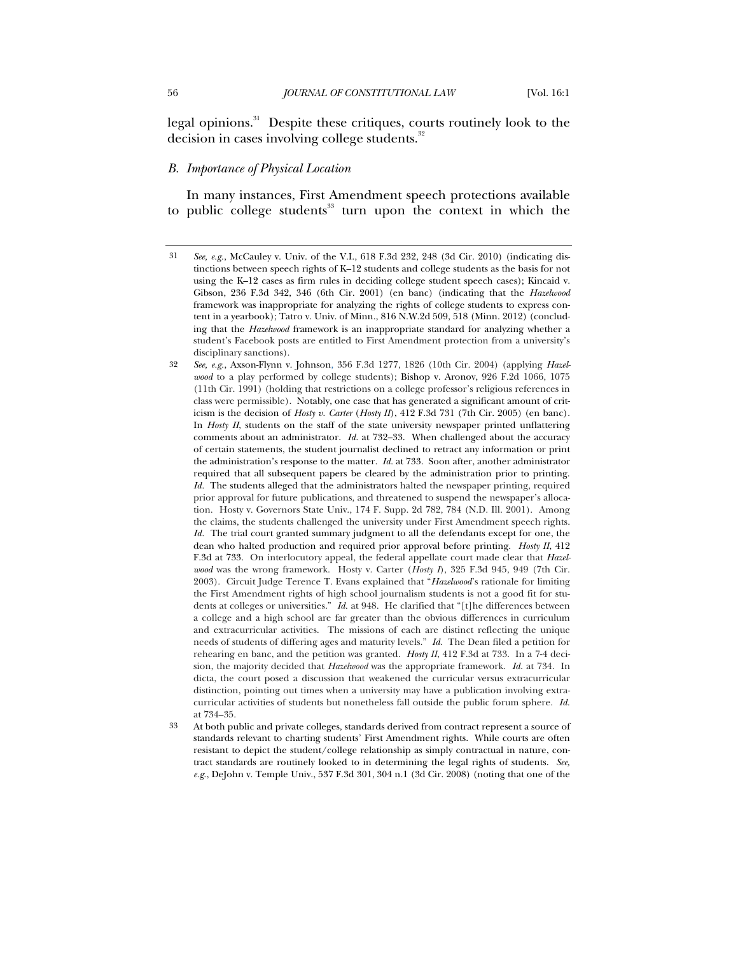legal opinions.<sup>31</sup> Despite these critiques, courts routinely look to the decision in cases involving college students.<sup>32</sup>

#### *B. Importance of Physical Location*

In many instances, First Amendment speech protections available to public college students<sup>33</sup> turn upon the context in which the

<sup>31</sup> *See, e.g.*, McCauley v. Univ. of the V.I., 618 F.3d 232, 248 (3d Cir. 2010) (indicating distinctions between speech rights of K–12 students and college students as the basis for not using the K–12 cases as firm rules in deciding college student speech cases); Kincaid v. Gibson, 236 F.3d 342, 346 (6th Cir. 2001) (en banc) (indicating that the *Hazelwood* framework was inappropriate for analyzing the rights of college students to express content in a yearbook); Tatro v. Univ. of Minn., 816 N.W.2d 509, 518 (Minn. 2012) (concluding that the *Hazelwood* framework is an inappropriate standard for analyzing whether a student's Facebook posts are entitled to First Amendment protection from a university's disciplinary sanctions).

<sup>32</sup> *See, e.g.*, Axson-Flynn v. Johnson, 356 F.3d 1277, 1826 (10th Cir. 2004) (applying *Hazelwood* to a play performed by college students); Bishop v. Aronov, 926 F.2d 1066, 1075 (11th Cir. 1991) (holding that restrictions on a college professor's religious references in class were permissible). Notably, one case that has generated a significant amount of criticism is the decision of *Hosty v. Carter* (*Hosty II*), 412 F.3d 731 (7th Cir. 2005) (en banc)*.* In *Hosty II*, students on the staff of the state university newspaper printed unflattering comments about an administrator. *Id.* at 732–33. When challenged about the accuracy of certain statements, the student journalist declined to retract any information or print the administration's response to the matter. *Id.* at 733. Soon after, another administrator required that all subsequent papers be cleared by the administration prior to printing. *Id.* The students alleged that the administrators halted the newspaper printing, required prior approval for future publications, and threatened to suspend the newspaper's allocation. Hosty v. Governors State Univ., 174 F. Supp. 2d 782, 784 (N.D. Ill. 2001). Among the claims, the students challenged the university under First Amendment speech rights. *Id.* The trial court granted summary judgment to all the defendants except for one, the dean who halted production and required prior approval before printing. *Hosty II*, 412 F.3d at 733. On interlocutory appeal, the federal appellate court made clear that *Hazelwood* was the wrong framework. Hosty v. Carter (*Hosty I*), 325 F.3d 945, 949 (7th Cir. 2003). Circuit Judge Terence T. Evans explained that "*Hazelwood*'s rationale for limiting the First Amendment rights of high school journalism students is not a good fit for students at colleges or universities." *Id.* at 948. He clarified that "[t]he differences between a college and a high school are far greater than the obvious differences in curriculum and extracurricular activities. The missions of each are distinct reflecting the unique needs of students of differing ages and maturity levels." *Id*. The Dean filed a petition for rehearing en banc, and the petition was granted. *Hosty II*, 412 F.3d at 733. In a 7-4 decision, the majority decided that *Hazelwood* was the appropriate framework. *Id.* at 734. In dicta, the court posed a discussion that weakened the curricular versus extracurricular distinction, pointing out times when a university may have a publication involving extracurricular activities of students but nonetheless fall outside the public forum sphere. *Id.* at 734–35.

<sup>33</sup> At both public and private colleges, standards derived from contract represent a source of standards relevant to charting students' First Amendment rights. While courts are often resistant to depict the student/college relationship as simply contractual in nature, contract standards are routinely looked to in determining the legal rights of students. *See, e.g.*, DeJohn v. Temple Univ., 537 F.3d 301, 304 n.1 (3d Cir. 2008) (noting that one of the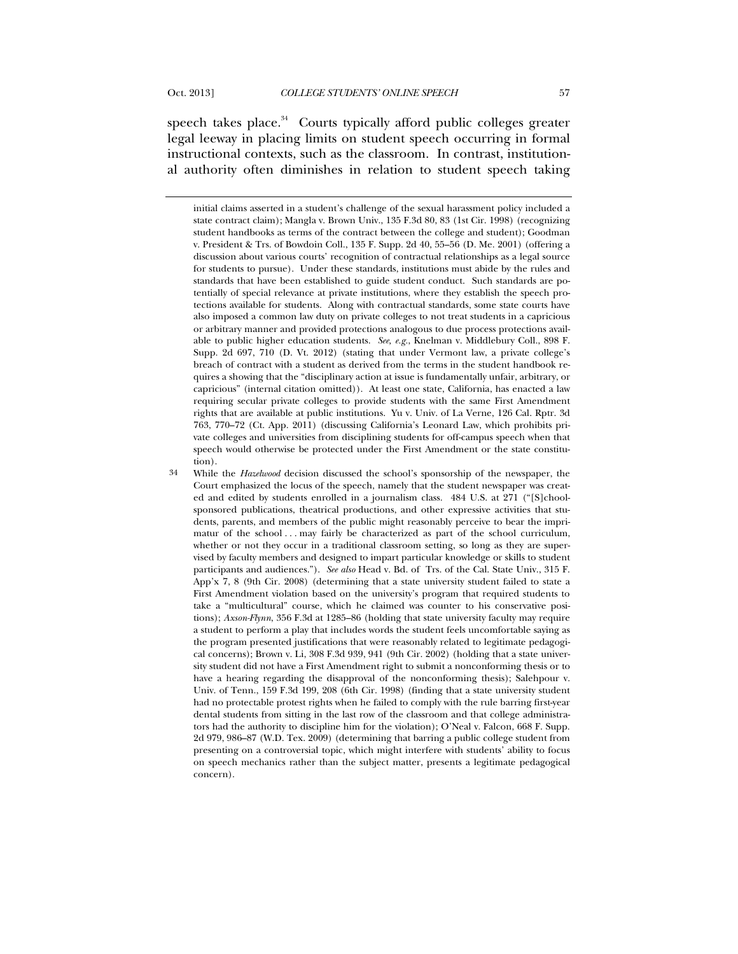speech takes place. $34$  Courts typically afford public colleges greater legal leeway in placing limits on student speech occurring in formal instructional contexts, such as the classroom. In contrast, institutional authority often diminishes in relation to student speech taking

initial claims asserted in a student's challenge of the sexual harassment policy included a state contract claim); Mangla v. Brown Univ., 135 F.3d 80, 83 (1st Cir. 1998) (recognizing student handbooks as terms of the contract between the college and student); Goodman v. President & Trs. of Bowdoin Coll., 135 F. Supp. 2d 40, 55–56 (D. Me. 2001) (offering a discussion about various courts' recognition of contractual relationships as a legal source for students to pursue). Under these standards, institutions must abide by the rules and standards that have been established to guide student conduct. Such standards are potentially of special relevance at private institutions, where they establish the speech protections available for students. Along with contractual standards, some state courts have also imposed a common law duty on private colleges to not treat students in a capricious or arbitrary manner and provided protections analogous to due process protections available to public higher education students. *See, e.g.*, Knelman v. Middlebury Coll., 898 F. Supp. 2d 697, 710 (D. Vt. 2012) (stating that under Vermont law, a private college's breach of contract with a student as derived from the terms in the student handbook requires a showing that the "disciplinary action at issue is fundamentally unfair, arbitrary, or capricious" (internal citation omitted)). At least one state, California, has enacted a law requiring secular private colleges to provide students with the same First Amendment rights that are available at public institutions. Yu v. Univ. of La Verne, 126 Cal. Rptr. 3d 763, 770–72 (Ct. App. 2011) (discussing California's Leonard Law, which prohibits private colleges and universities from disciplining students for off-campus speech when that speech would otherwise be protected under the First Amendment or the state constitution).

<sup>34</sup> While the *Hazelwood* decision discussed the school's sponsorship of the newspaper, the Court emphasized the locus of the speech, namely that the student newspaper was created and edited by students enrolled in a journalism class. 484 U.S. at 271 ("[S]choolsponsored publications, theatrical productions, and other expressive activities that students, parents, and members of the public might reasonably perceive to bear the imprimatur of the school . . . may fairly be characterized as part of the school curriculum, whether or not they occur in a traditional classroom setting, so long as they are supervised by faculty members and designed to impart particular knowledge or skills to student participants and audiences."). *See also* Head v. Bd. of Trs. of the Cal. State Univ., 315 F. App'x 7, 8 (9th Cir. 2008) (determining that a state university student failed to state a First Amendment violation based on the university's program that required students to take a "multicultural" course, which he claimed was counter to his conservative positions); *Axson-Flynn*, 356 F.3d at 1285–86 (holding that state university faculty may require a student to perform a play that includes words the student feels uncomfortable saying as the program presented justifications that were reasonably related to legitimate pedagogical concerns); Brown v. Li, 308 F.3d 939, 941 (9th Cir. 2002) (holding that a state university student did not have a First Amendment right to submit a nonconforming thesis or to have a hearing regarding the disapproval of the nonconforming thesis); Salehpour v. Univ. of Tenn., 159 F.3d 199, 208 (6th Cir. 1998) (finding that a state university student had no protectable protest rights when he failed to comply with the rule barring first-year dental students from sitting in the last row of the classroom and that college administrators had the authority to discipline him for the violation); O'Neal v. Falcon, 668 F. Supp. 2d 979, 986–87 (W.D. Tex. 2009) (determining that barring a public college student from presenting on a controversial topic, which might interfere with students' ability to focus on speech mechanics rather than the subject matter, presents a legitimate pedagogical concern).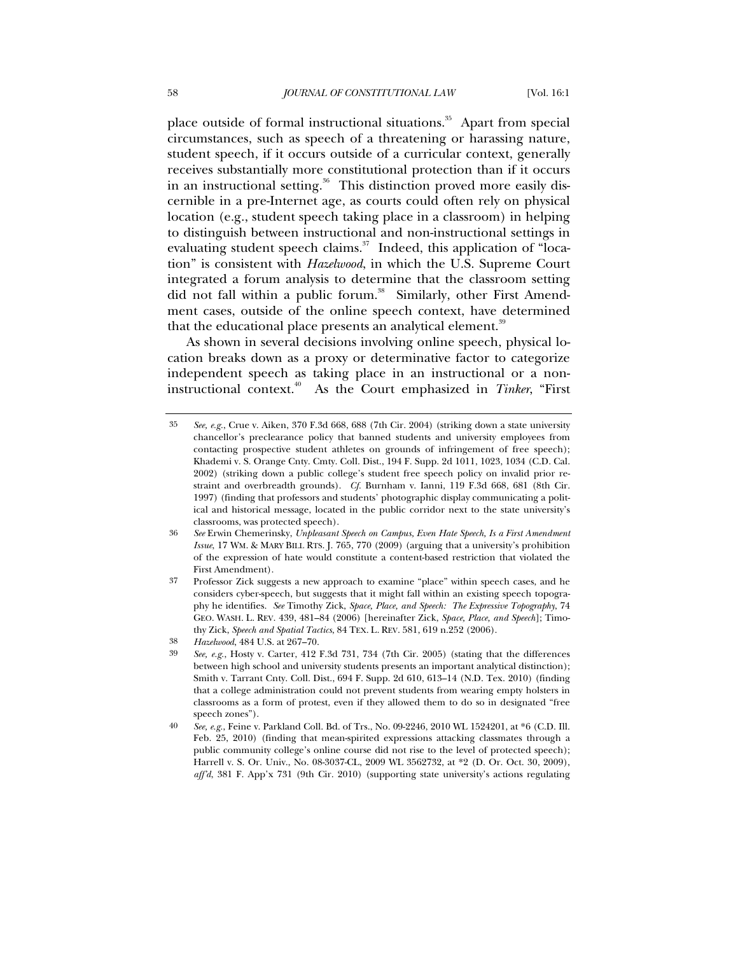place outside of formal instructional situations.<sup>35</sup> Apart from special circumstances, such as speech of a threatening or harassing nature, student speech, if it occurs outside of a curricular context, generally receives substantially more constitutional protection than if it occurs in an instructional setting.<sup>36</sup> This distinction proved more easily discernible in a pre-Internet age, as courts could often rely on physical location (e.g., student speech taking place in a classroom) in helping to distinguish between instructional and non-instructional settings in evaluating student speech claims.<sup>37</sup> Indeed, this application of "location" is consistent with *Hazelwood*, in which the U.S. Supreme Court integrated a forum analysis to determine that the classroom setting did not fall within a public forum.<sup>38</sup> Similarly, other First Amendment cases, outside of the online speech context, have determined that the educational place presents an analytical element.<sup>39</sup>

As shown in several decisions involving online speech, physical location breaks down as a proxy or determinative factor to categorize independent speech as taking place in an instructional or a noninstructional context.<sup>40</sup> As the Court emphasized in *Tinker*, "First

<sup>35</sup> *See, e.g.*, Crue v. Aiken, 370 F.3d 668, 688 (7th Cir. 2004) (striking down a state university chancellor's preclearance policy that banned students and university employees from contacting prospective student athletes on grounds of infringement of free speech); Khademi v. S. Orange Cnty. Cmty. Coll. Dist., 194 F. Supp. 2d 1011, 1023, 1034 (C.D. Cal. 2002) (striking down a public college's student free speech policy on invalid prior restraint and overbreadth grounds). *Cf.* Burnham v. Ianni, 119 F.3d 668, 681 (8th Cir. 1997) (finding that professors and students' photographic display communicating a political and historical message, located in the public corridor next to the state university's classrooms, was protected speech).

<sup>36</sup> *See* Erwin Chemerinsky, *Unpleasant Speech on Campus, Even Hate Speech, Is a First Amendment Issue*, 17 WM. & MARY BILL RTS. J. 765, 770 (2009) (arguing that a university's prohibition of the expression of hate would constitute a content-based restriction that violated the First Amendment).

<sup>37</sup> Professor Zick suggests a new approach to examine "place" within speech cases, and he considers cyber-speech, but suggests that it might fall within an existing speech topography he identifies. *See* Timothy Zick, *Space, Place, and Speech: The Expressive Topography*, 74 GEO. WASH. L. REV. 439, 481–84 (2006) [hereinafter Zick, *Space, Place, and Speech*]; Timothy Zick, *Speech and Spatial Tactics*, 84 TEX. L. REV. 581, 619 n.252 (2006).

<sup>38</sup> *Hazelwood*, 484 U.S. at 267–70.

<sup>39</sup> *See, e.g.*, Hosty v. Carter, 412 F.3d 731, 734 (7th Cir. 2005) (stating that the differences between high school and university students presents an important analytical distinction); Smith v. Tarrant Cnty. Coll. Dist., 694 F. Supp. 2d 610, 613–14 (N.D. Tex. 2010) (finding that a college administration could not prevent students from wearing empty holsters in classrooms as a form of protest, even if they allowed them to do so in designated "free speech zones").

<sup>40</sup> *See, e.g.*, Feine v. Parkland Coll. Bd. of Trs., No. 09-2246, 2010 WL 1524201, at \*6 (C.D. Ill. Feb. 25, 2010) (finding that mean-spirited expressions attacking classmates through a public community college's online course did not rise to the level of protected speech); Harrell v. S. Or. Univ., No. 08-3037-CL, 2009 WL 3562732, at \*2 (D. Or. Oct. 30, 2009), *aff'd*, 381 F. App'x 731 (9th Cir. 2010) (supporting state university's actions regulating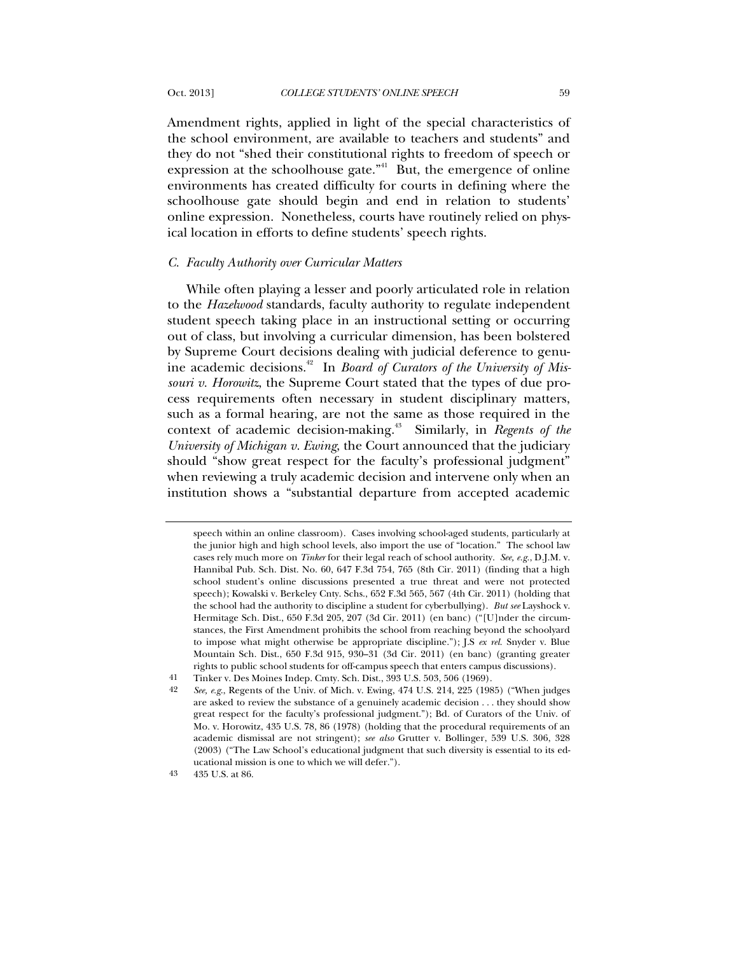Amendment rights, applied in light of the special characteristics of the school environment, are available to teachers and students" and they do not "shed their constitutional rights to freedom of speech or expression at the schoolhouse gate."<sup>41</sup> But, the emergence of online environments has created difficulty for courts in defining where the schoolhouse gate should begin and end in relation to students' online expression. Nonetheless, courts have routinely relied on physical location in efforts to define students' speech rights.

#### *C. Faculty Authority over Curricular Matters*

While often playing a lesser and poorly articulated role in relation to the *Hazelwood* standards, faculty authority to regulate independent student speech taking place in an instructional setting or occurring out of class, but involving a curricular dimension, has been bolstered by Supreme Court decisions dealing with judicial deference to genuine academic decisions.<sup>42</sup> In *Board of Curators of the University of Missouri v. Horowitz*, the Supreme Court stated that the types of due process requirements often necessary in student disciplinary matters, such as a formal hearing, are not the same as those required in the context of academic decision-making.43 Similarly, in *Regents of the University of Michigan v. Ewing*, the Court announced that the judiciary should "show great respect for the faculty's professional judgment" when reviewing a truly academic decision and intervene only when an institution shows a "substantial departure from accepted academic

43 435 U.S. at 86.

speech within an online classroom). Cases involving school-aged students, particularly at the junior high and high school levels, also import the use of "location." The school law cases rely much more on *Tinker* for their legal reach of school authority. *See, e.g.*, D.J.M. v. Hannibal Pub. Sch. Dist. No. 60, 647 F.3d 754, 765 (8th Cir. 2011) (finding that a high school student's online discussions presented a true threat and were not protected speech); Kowalski v. Berkeley Cnty. Schs., 652 F.3d 565, 567 (4th Cir. 2011) (holding that the school had the authority to discipline a student for cyberbullying). *But see* Layshock v. Hermitage Sch. Dist., 650 F.3d 205, 207 (3d Cir. 2011) (en banc) ("[U]nder the circumstances, the First Amendment prohibits the school from reaching beyond the schoolyard to impose what might otherwise be appropriate discipline."); J.S *ex rel.* Snyder v. Blue Mountain Sch. Dist., 650 F.3d 915, 930–31 (3d Cir. 2011) (en banc) (granting greater rights to public school students for off-campus speech that enters campus discussions).

<sup>41</sup> Tinker v. Des Moines Indep. Cmty. Sch. Dist., 393 U.S. 503, 506 (1969).

<sup>42</sup> *See, e.g*., Regents of the Univ. of Mich. v. Ewing, 474 U.S. 214, 225 (1985) ("When judges are asked to review the substance of a genuinely academic decision . . . they should show great respect for the faculty's professional judgment."); Bd. of Curators of the Univ. of Mo. v. Horowitz, 435 U.S. 78, 86 (1978) (holding that the procedural requirements of an academic dismissal are not stringent); *see also* Grutter v. Bollinger, 539 U.S. 306, 328 (2003) ("The Law School's educational judgment that such diversity is essential to its educational mission is one to which we will defer.").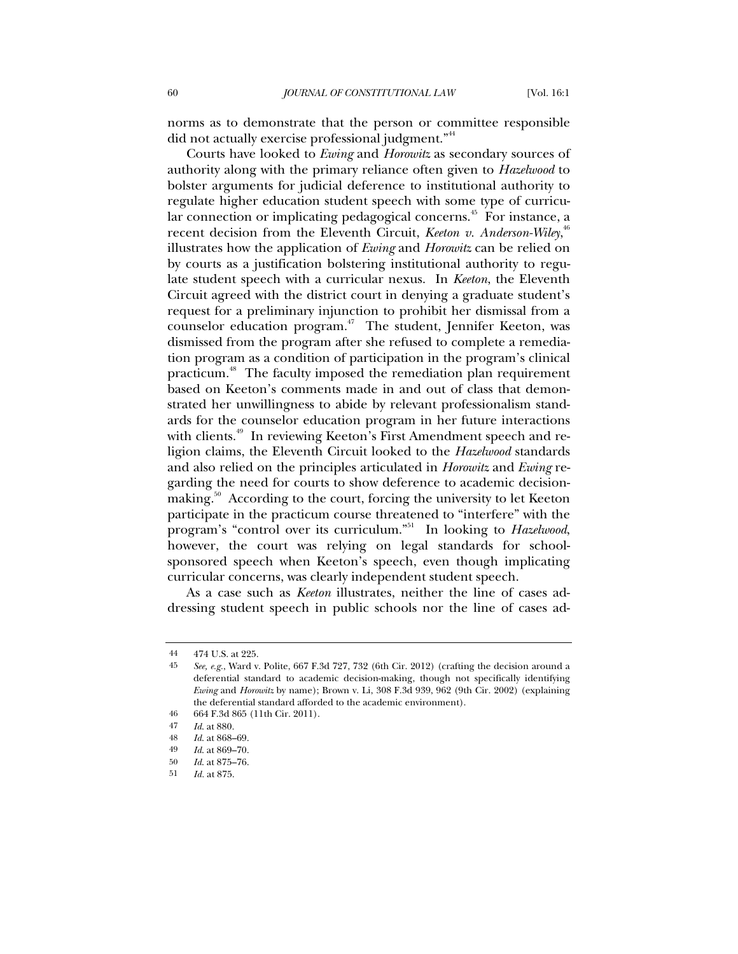norms as to demonstrate that the person or committee responsible did not actually exercise professional judgment."<sup>44</sup>

Courts have looked to *Ewing* and *Horowitz* as secondary sources of authority along with the primary reliance often given to *Hazelwood* to bolster arguments for judicial deference to institutional authority to regulate higher education student speech with some type of curricular connection or implicating pedagogical concerns.<sup>45</sup> For instance, a recent decision from the Eleventh Circuit, *Keeton v. Anderson-Wiley*,<sup>46</sup> illustrates how the application of *Ewing* and *Horowitz* can be relied on by courts as a justification bolstering institutional authority to regulate student speech with a curricular nexus. In *Keeton*, the Eleventh Circuit agreed with the district court in denying a graduate student's request for a preliminary injunction to prohibit her dismissal from a counselor education program.<sup>47</sup> The student, Jennifer Keeton, was dismissed from the program after she refused to complete a remediation program as a condition of participation in the program's clinical practicum.<sup>48</sup> The faculty imposed the remediation plan requirement based on Keeton's comments made in and out of class that demonstrated her unwillingness to abide by relevant professionalism standards for the counselor education program in her future interactions with clients.<sup>49</sup> In reviewing Keeton's First Amendment speech and religion claims, the Eleventh Circuit looked to the *Hazelwood* standards and also relied on the principles articulated in *Horowitz* and *Ewing* regarding the need for courts to show deference to academic decisionmaking.<sup>50</sup> According to the court, forcing the university to let Keeton participate in the practicum course threatened to "interfere" with the program's "control over its curriculum."51 In looking to *Hazelwood*, however, the court was relying on legal standards for schoolsponsored speech when Keeton's speech, even though implicating curricular concerns, was clearly independent student speech.

As a case such as *Keeton* illustrates, neither the line of cases addressing student speech in public schools nor the line of cases ad-

<sup>44</sup> 474 U.S. at 225.

<sup>45</sup> *See, e.g.*, Ward v. Polite, 667 F.3d 727, 732 (6th Cir. 2012) (crafting the decision around a deferential standard to academic decision-making, though not specifically identifying *Ewing* and *Horowitz* by name); Brown v. Li, 308 F.3d 939, 962 (9th Cir. 2002) (explaining the deferential standard afforded to the academic environment).

<sup>46</sup> 664 F.3d 865 (11th Cir. 2011).

<sup>47</sup> *Id*. at 880.

<sup>48</sup> *Id*. at 868–69.

<sup>49</sup> *Id*. at 869–70.

<sup>50</sup> *Id*. at 875–76.

<sup>51</sup> *Id.* at 875.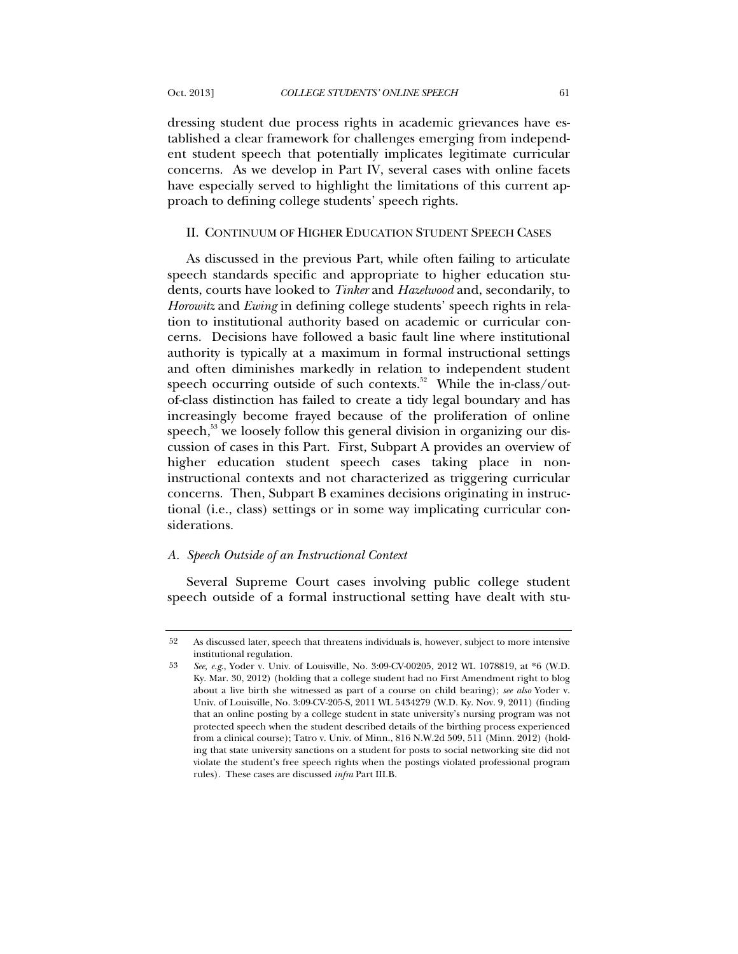dressing student due process rights in academic grievances have established a clear framework for challenges emerging from independent student speech that potentially implicates legitimate curricular concerns. As we develop in Part IV, several cases with online facets have especially served to highlight the limitations of this current approach to defining college students' speech rights.

## II. CONTINUUM OF HIGHER EDUCATION STUDENT SPEECH CASES

As discussed in the previous Part, while often failing to articulate speech standards specific and appropriate to higher education students, courts have looked to *Tinker* and *Hazelwood* and, secondarily, to *Horowitz* and *Ewing* in defining college students' speech rights in relation to institutional authority based on academic or curricular concerns. Decisions have followed a basic fault line where institutional authority is typically at a maximum in formal instructional settings and often diminishes markedly in relation to independent student speech occurring outside of such contexts.<sup>52</sup> While the in-class/outof-class distinction has failed to create a tidy legal boundary and has increasingly become frayed because of the proliferation of online speech,<sup>53</sup> we loosely follow this general division in organizing our discussion of cases in this Part. First, Subpart A provides an overview of higher education student speech cases taking place in noninstructional contexts and not characterized as triggering curricular concerns. Then, Subpart B examines decisions originating in instructional (i.e., class) settings or in some way implicating curricular considerations.

## *A. Speech Outside of an Instructional Context*

Several Supreme Court cases involving public college student speech outside of a formal instructional setting have dealt with stu-

<sup>52</sup> As discussed later, speech that threatens individuals is, however, subject to more intensive institutional regulation.

<sup>53</sup> *See, e.g*., Yoder v. Univ. of Louisville, No. 3:09-CV-00205, 2012 WL 1078819, at \*6 (W.D. Ky. Mar. 30, 2012) (holding that a college student had no First Amendment right to blog about a live birth she witnessed as part of a course on child bearing); *see also* Yoder v. Univ. of Louisville, No. 3:09-CV-205-S, 2011 WL 5434279 (W.D. Ky. Nov. 9, 2011) (finding that an online posting by a college student in state university's nursing program was not protected speech when the student described details of the birthing process experienced from a clinical course); Tatro v. Univ. of Minn., 816 N.W.2d 509, 511 (Minn. 2012) (holding that state university sanctions on a student for posts to social networking site did not violate the student's free speech rights when the postings violated professional program rules). These cases are discussed *infra* Part III.B.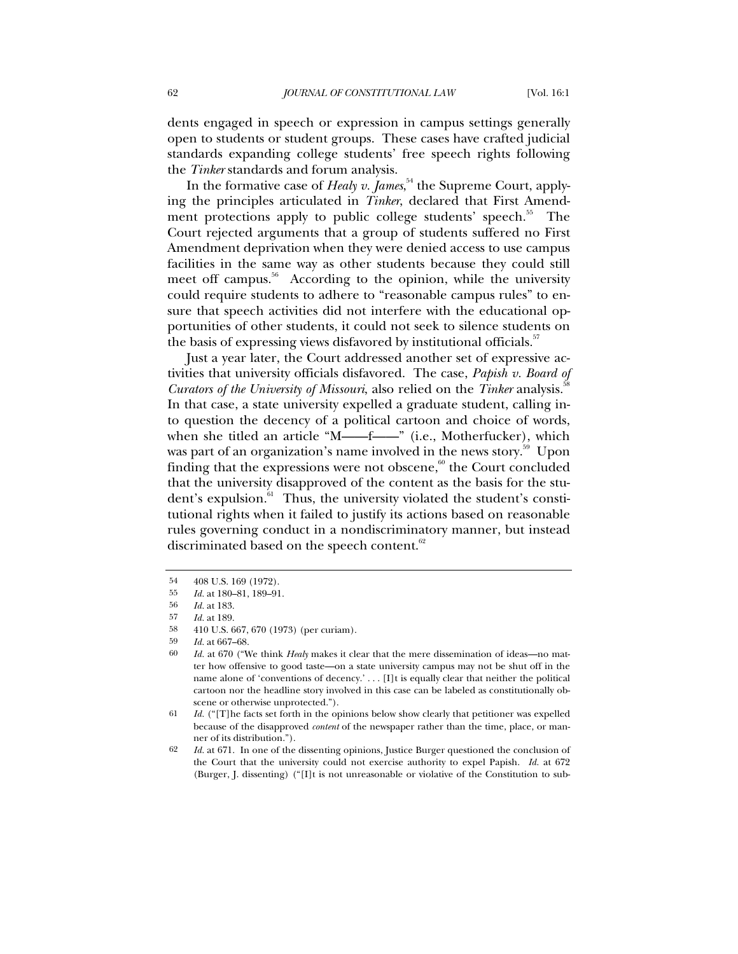dents engaged in speech or expression in campus settings generally open to students or student groups. These cases have crafted judicial standards expanding college students' free speech rights following the *Tinker* standards and forum analysis.

In the formative case of *Healy v. James*, <sup>54</sup> the Supreme Court, applying the principles articulated in *Tinker*, declared that First Amendment protections apply to public college students' speech.<sup>55</sup> The Court rejected arguments that a group of students suffered no First Amendment deprivation when they were denied access to use campus facilities in the same way as other students because they could still meet off campus.<sup>56</sup> According to the opinion, while the university could require students to adhere to "reasonable campus rules" to ensure that speech activities did not interfere with the educational opportunities of other students, it could not seek to silence students on the basis of expressing views disfavored by institutional officials.<sup>57</sup>

Just a year later, the Court addressed another set of expressive activities that university officials disfavored. The case, *Papish v. Board of Curators of the University of Missouri*, also relied on the *Tinker* analysis.<sup>5</sup> In that case, a state university expelled a graduate student, calling into question the decency of a political cartoon and choice of words, when she titled an article "M——f——" (i.e., Motherfucker), which was part of an organization's name involved in the news story.<sup>59</sup> Upon finding that the expressions were not obscene, $60$  the Court concluded that the university disapproved of the content as the basis for the student's expulsion.<sup>61</sup> Thus, the university violated the student's constitutional rights when it failed to justify its actions based on reasonable rules governing conduct in a nondiscriminatory manner, but instead discriminated based on the speech content.<sup>62</sup>

<sup>54</sup> 408 U.S. 169 (1972).

<sup>55</sup> *Id.* at 180–81, 189–91.

<sup>56</sup> *Id.* at 183.

<sup>57</sup> *Id.* at 189.

<sup>58</sup> 410 U.S. 667, 670 (1973) (per curiam).

<sup>59</sup> *Id.* at 667–68.

<sup>60</sup> *Id.* at 670 ("We think *Healy* makes it clear that the mere dissemination of ideas—no matter how offensive to good taste—on a state university campus may not be shut off in the name alone of 'conventions of decency.' . . . [I]t is equally clear that neither the political cartoon nor the headline story involved in this case can be labeled as constitutionally obscene or otherwise unprotected.").

<sup>61</sup> *Id.* ("[T]he facts set forth in the opinions below show clearly that petitioner was expelled because of the disapproved *content* of the newspaper rather than the time, place, or manner of its distribution.").

<sup>62</sup> *Id.* at 671. In one of the dissenting opinions, Justice Burger questioned the conclusion of the Court that the university could not exercise authority to expel Papish. *Id.* at 672 (Burger, J. dissenting) ("[I]t is not unreasonable or violative of the Constitution to sub-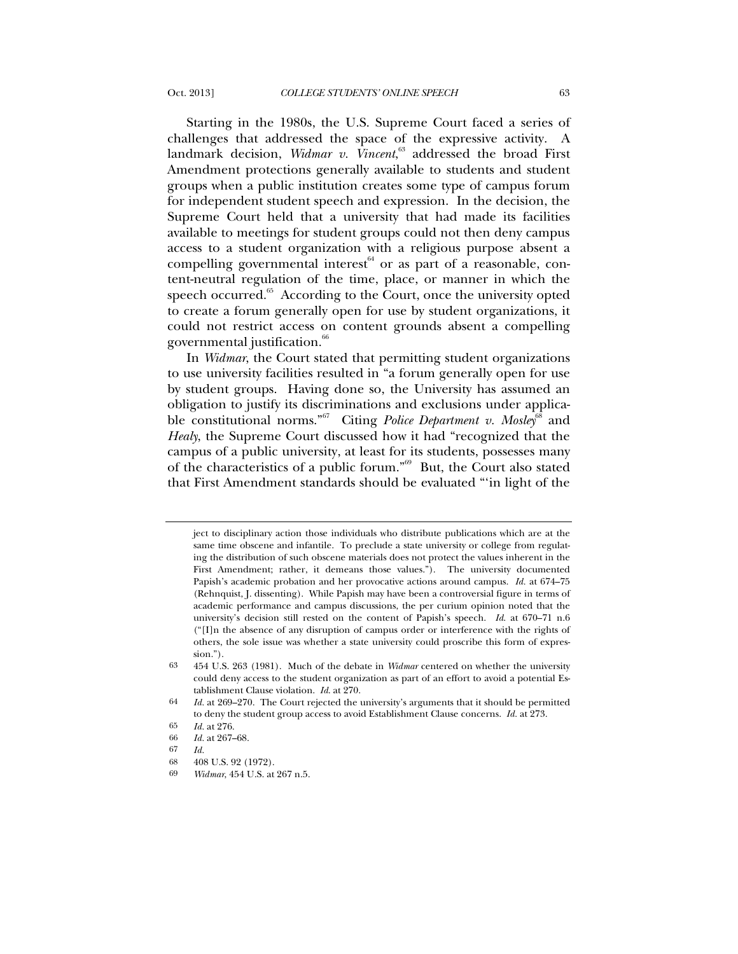Starting in the 1980s, the U.S. Supreme Court faced a series of challenges that addressed the space of the expressive activity. A landmark decision, *Widmar v. Vincent*, <sup>63</sup> addressed the broad First Amendment protections generally available to students and student groups when a public institution creates some type of campus forum for independent student speech and expression. In the decision, the Supreme Court held that a university that had made its facilities available to meetings for student groups could not then deny campus access to a student organization with a religious purpose absent a compelling governmental interest $64$  or as part of a reasonable, content-neutral regulation of the time, place, or manner in which the speech occurred.<sup>65</sup> According to the Court, once the university opted to create a forum generally open for use by student organizations, it could not restrict access on content grounds absent a compelling governmental justification.<sup>66</sup>

In *Widmar*, the Court stated that permitting student organizations to use university facilities resulted in "a forum generally open for use by student groups. Having done so, the University has assumed an obligation to justify its discriminations and exclusions under applicable constitutional norms."<sup>67</sup> Citing *Police Department v. Mosley*<sup>68</sup> and *Healy*, the Supreme Court discussed how it had "recognized that the campus of a public university, at least for its students, possesses many of the characteristics of a public forum."69 But, the Court also stated that First Amendment standards should be evaluated "'in light of the

ject to disciplinary action those individuals who distribute publications which are at the same time obscene and infantile. To preclude a state university or college from regulating the distribution of such obscene materials does not protect the values inherent in the First Amendment; rather, it demeans those values."). The university documented Papish's academic probation and her provocative actions around campus. *Id.* at 674–75 (Rehnquist, J. dissenting). While Papish may have been a controversial figure in terms of academic performance and campus discussions, the per curium opinion noted that the university's decision still rested on the content of Papish's speech. *Id*. at 670–71 n.6 ("[I]n the absence of any disruption of campus order or interference with the rights of others, the sole issue was whether a state university could proscribe this form of expression.").

<sup>63</sup> 454 U.S. 263 (1981). Much of the debate in *Widmar* centered on whether the university could deny access to the student organization as part of an effort to avoid a potential Establishment Clause violation. *Id*. at 270.

<sup>64</sup> *Id.* at 269–270. The Court rejected the university's arguments that it should be permitted to deny the student group access to avoid Establishment Clause concerns. *Id.* at 273.

<sup>65</sup> *Id.* at 276.

<sup>66</sup> *Id.* at 267–68.

<sup>67</sup> *Id.*

<sup>68</sup> 408 U.S. 92 (1972).

<sup>69</sup> *Widmar*, 454 U.S. at 267 n.5.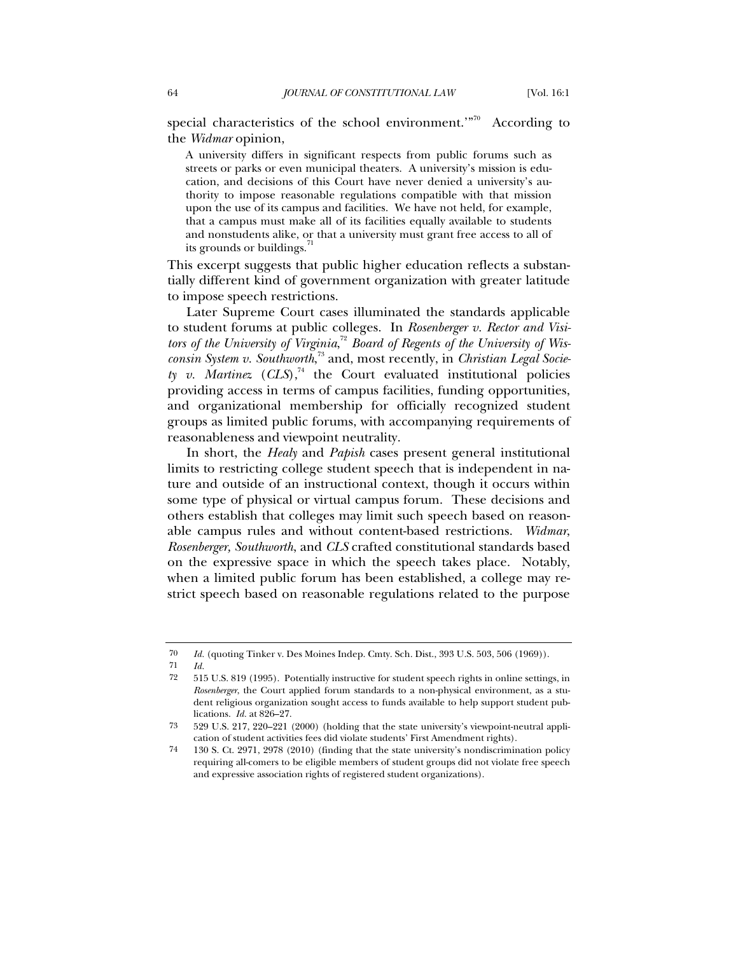special characteristics of the school environment.'"<sup>70</sup> According to the *Widmar* opinion,

A university differs in significant respects from public forums such as streets or parks or even municipal theaters. A university's mission is education, and decisions of this Court have never denied a university's authority to impose reasonable regulations compatible with that mission upon the use of its campus and facilities. We have not held, for example, that a campus must make all of its facilities equally available to students and nonstudents alike, or that a university must grant free access to all of its grounds or buildings.

This excerpt suggests that public higher education reflects a substantially different kind of government organization with greater latitude to impose speech restrictions.

Later Supreme Court cases illuminated the standards applicable to student forums at public colleges. In *Rosenberger v. Rector and Visi*tors of the University of Virginia,<sup>72</sup> Board of Regents of the University of Wis*consin System v. Southworth*, <sup>73</sup> and, most recently, in *Christian Legal Socie* $t$ *y v. Martinez* (*CLS*),<sup>74</sup> the Court evaluated institutional policies providing access in terms of campus facilities, funding opportunities, and organizational membership for officially recognized student groups as limited public forums, with accompanying requirements of reasonableness and viewpoint neutrality.

In short, the *Healy* and *Papish* cases present general institutional limits to restricting college student speech that is independent in nature and outside of an instructional context, though it occurs within some type of physical or virtual campus forum. These decisions and others establish that colleges may limit such speech based on reasonable campus rules and without content-based restrictions. *Widmar*, *Rosenberger, Southworth*, and *CLS* crafted constitutional standards based on the expressive space in which the speech takes place. Notably, when a limited public forum has been established, a college may restrict speech based on reasonable regulations related to the purpose

<sup>70</sup> *Id.* (quoting Tinker v. Des Moines Indep. Cmty. Sch. Dist., 393 U.S. 503, 506 (1969)).

<sup>71</sup> *Id.*

<sup>72</sup> 515 U.S. 819 (1995). Potentially instructive for student speech rights in online settings, in *Rosenberger*, the Court applied forum standards to a non-physical environment, as a student religious organization sought access to funds available to help support student publications. *Id.* at 826–27.

<sup>73</sup> 529 U.S. 217, 220–221 (2000) (holding that the state university's viewpoint-neutral application of student activities fees did violate students' First Amendment rights).

<sup>74</sup> 130 S. Ct. 2971, 2978 (2010) (finding that the state university's nondiscrimination policy requiring all-comers to be eligible members of student groups did not violate free speech and expressive association rights of registered student organizations).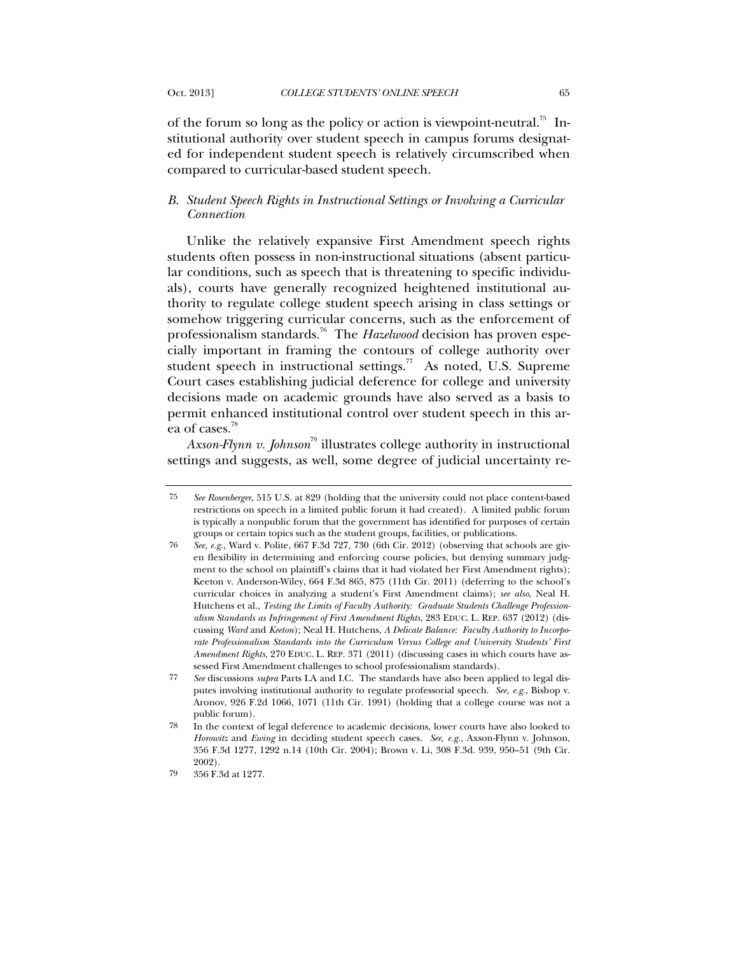of the forum so long as the policy or action is viewpoint-neutral.<sup>75</sup> Institutional authority over student speech in campus forums designated for independent student speech is relatively circumscribed when compared to curricular-based student speech.

## *B. Student Speech Rights in Instructional Settings or Involving a Curricular Connection*

Unlike the relatively expansive First Amendment speech rights students often possess in non-instructional situations (absent particular conditions, such as speech that is threatening to specific individuals), courts have generally recognized heightened institutional authority to regulate college student speech arising in class settings or somehow triggering curricular concerns, such as the enforcement of professionalism standards.<sup>76</sup> The *Hazelwood* decision has proven especially important in framing the contours of college authority over student speech in instructional settings.<sup>77</sup> As noted, U.S. Supreme Court cases establishing judicial deference for college and university decisions made on academic grounds have also served as a basis to permit enhanced institutional control over student speech in this area of cases.<sup>78</sup>

*Axson-Flynn v. Johnson*<sup>79</sup> illustrates college authority in instructional settings and suggests, as well, some degree of judicial uncertainty re-

<sup>75</sup> *See Rosenberger*, 515 U.S. at 829 (holding that the university could not place content-based restrictions on speech in a limited public forum it had created). A limited public forum is typically a nonpublic forum that the government has identified for purposes of certain groups or certain topics such as the student groups, facilities, or publications.

<sup>76</sup> *See, e.g.*, Ward v. Polite, 667 F.3d 727, 730 (6th Cir. 2012) (observing that schools are given flexibility in determining and enforcing course policies, but denying summary judgment to the school on plaintiff's claims that it had violated her First Amendment rights); Keeton v. Anderson-Wiley, 664 F.3d 865, 875 (11th Cir. 2011) (deferring to the school's curricular choices in analyzing a student's First Amendment claims); *see also*, Neal H. Hutchens et al., *Testing the Limits of Faculty Authority: Graduate Students Challenge Professionalism Standards as Infringement of First Amendment Rights*, 283 EDUC. L. REP. 637 (2012) (discussing *Ward* and *Keeton*); Neal H. Hutchens, *A Delicate Balance: Faculty Authority to Incorporate Professionalism Standards into the Curriculum Versus College and University Students' First Amendment Rights*, 270 EDUC. L. REP. 371 (2011) (discussing cases in which courts have assessed First Amendment challenges to school professionalism standards).

<sup>77</sup> *See* discussions *supra* Parts I.A and I.C. The standards have also been applied to legal disputes involving institutional authority to regulate professorial speech. *See, e.g.*, Bishop v. Aronov, 926 F.2d 1066, 1071 (11th Cir. 1991) (holding that a college course was not a public forum).

<sup>78</sup> In the context of legal deference to academic decisions, lower courts have also looked to *Horowitz* and *Ewing* in deciding student speech cases. *See, e.g.*, Axson-Flynn v. Johnson, 356 F.3d 1277, 1292 n.14 (10th Cir. 2004); Brown v. Li, 308 F.3d. 939, 950–51 (9th Cir. 2002).

<sup>79</sup> 356 F.3d at 1277.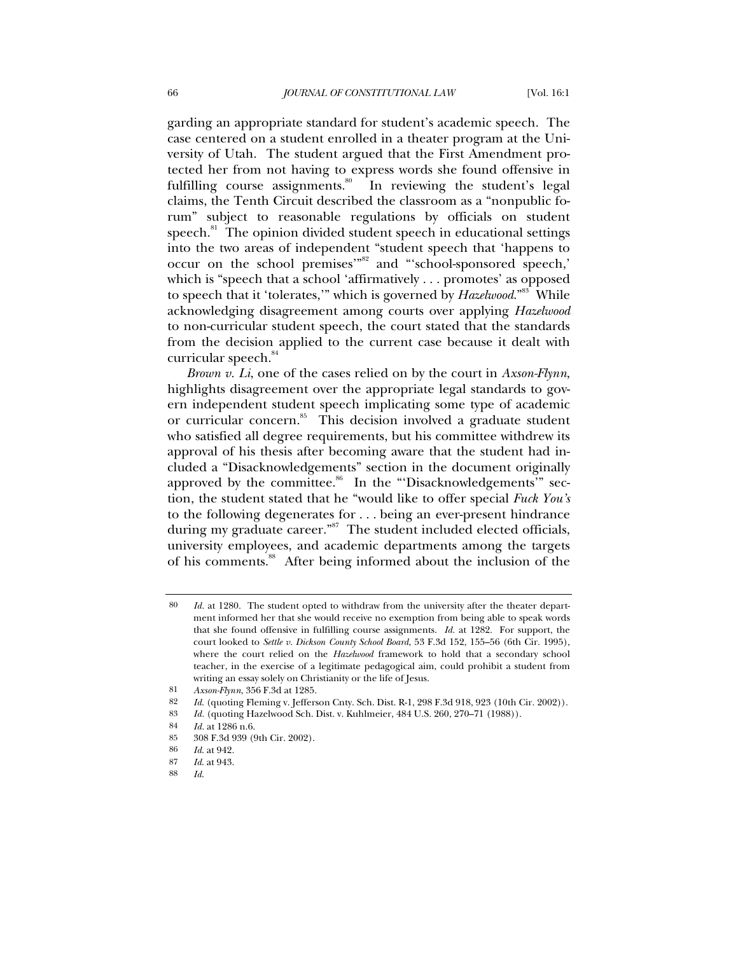garding an appropriate standard for student's academic speech. The case centered on a student enrolled in a theater program at the University of Utah. The student argued that the First Amendment protected her from not having to express words she found offensive in fulfilling course assignments.<sup>80</sup> In reviewing the student's legal claims, the Tenth Circuit described the classroom as a "nonpublic forum" subject to reasonable regulations by officials on student speech.<sup>81</sup> The opinion divided student speech in educational settings into the two areas of independent "student speech that 'happens to occur on the school premises'"82 and "'school-sponsored speech,' which is "speech that a school 'affirmatively . . . promotes' as opposed to speech that it 'tolerates,'" which is governed by *Hazelwood*."<sup>83</sup> While acknowledging disagreement among courts over applying *Hazelwood* to non-curricular student speech, the court stated that the standards from the decision applied to the current case because it dealt with curricular speech.<sup>84</sup>

*Brown v. Li*, one of the cases relied on by the court in *Axson-Flynn*, highlights disagreement over the appropriate legal standards to govern independent student speech implicating some type of academic or curricular concern.<sup>85</sup> This decision involved a graduate student who satisfied all degree requirements, but his committee withdrew its approval of his thesis after becoming aware that the student had included a "Disacknowledgements" section in the document originally approved by the committee.<sup>86</sup> In the "Disacknowledgements'" section, the student stated that he "would like to offer special *Fuck You's* to the following degenerates for . . . being an ever-present hindrance during my graduate career."<sup>87</sup> The student included elected officials, university employees, and academic departments among the targets of his comments.<sup>88</sup> After being informed about the inclusion of the

<sup>80</sup> *Id.* at 1280. The student opted to withdraw from the university after the theater department informed her that she would receive no exemption from being able to speak words that she found offensive in fulfilling course assignments. *Id.* at 1282. For support, the court looked to *Settle v. Dickson County School Board*, 53 F.3d 152, 155–56 (6th Cir. 1995), where the court relied on the *Hazelwood* framework to hold that a secondary school teacher, in the exercise of a legitimate pedagogical aim, could prohibit a student from writing an essay solely on Christianity or the life of Jesus.

<sup>81</sup> *Axson-Flynn*, 356 F.3d at 1285.

<sup>82</sup> *Id*. (quoting Fleming v. Jefferson Cnty. Sch. Dist. R-1, 298 F.3d 918, 923 (10th Cir. 2002)).

<sup>83</sup> *Id.* (quoting Hazelwood Sch. Dist. v. Kuhlmeier, 484 U.S. 260, 270–71 (1988)).

<sup>84</sup> *Id.* at 1286 n.6.

<sup>85</sup> 308 F.3d 939 (9th Cir. 2002).

<sup>86</sup> *Id*. at 942.

<sup>87</sup> *Id*. at 943.

<sup>88</sup> *Id*.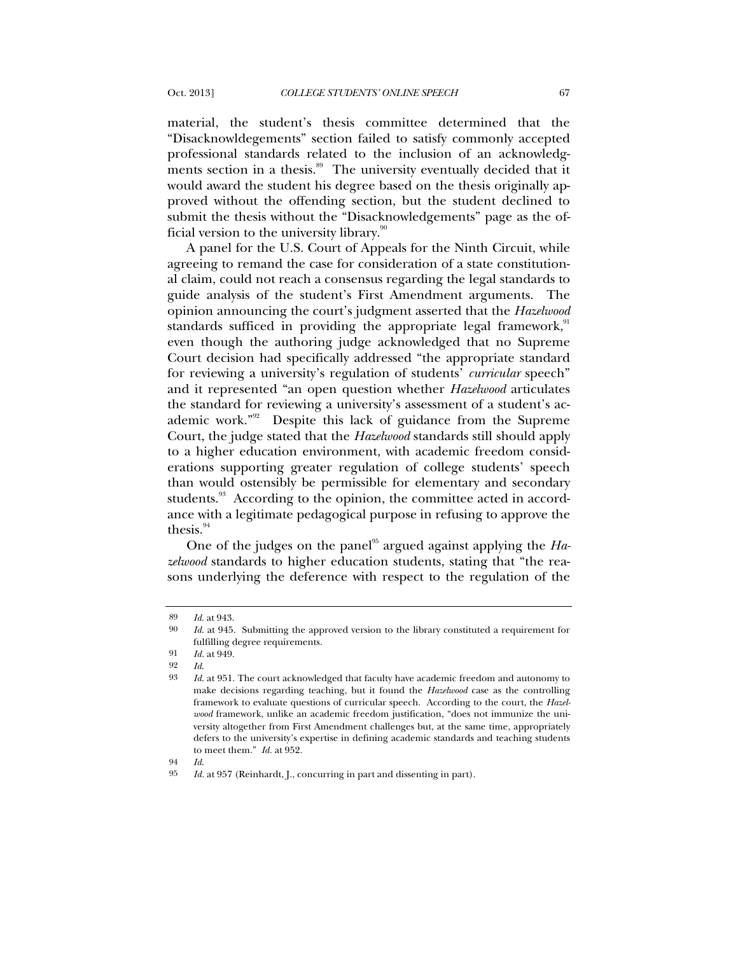material, the student's thesis committee determined that the "Disacknowldegements" section failed to satisfy commonly accepted professional standards related to the inclusion of an acknowledgments section in a thesis.<sup>89</sup> The university eventually decided that it would award the student his degree based on the thesis originally approved without the offending section, but the student declined to submit the thesis without the "Disacknowledgements" page as the official version to the university library. $\frac{90}{90}$ 

A panel for the U.S. Court of Appeals for the Ninth Circuit, while agreeing to remand the case for consideration of a state constitutional claim, could not reach a consensus regarding the legal standards to guide analysis of the student's First Amendment arguments. The opinion announcing the court's judgment asserted that the *Hazelwood* standards sufficed in providing the appropriate legal framework,  $91$ even though the authoring judge acknowledged that no Supreme Court decision had specifically addressed "the appropriate standard for reviewing a university's regulation of students' *curricular* speech" and it represented "an open question whether *Hazelwood* articulates the standard for reviewing a university's assessment of a student's academic work."<sup>92</sup> Despite this lack of guidance from the Supreme Court, the judge stated that the *Hazelwood* standards still should apply to a higher education environment, with academic freedom considerations supporting greater regulation of college students' speech than would ostensibly be permissible for elementary and secondary students.<sup>93</sup> According to the opinion, the committee acted in accordance with a legitimate pedagogical purpose in refusing to approve the thesis. $94$ 

One of the judges on the panel<sup>95</sup> argued against applying the *Hazelwood* standards to higher education students, stating that "the reasons underlying the deference with respect to the regulation of the

94 *Id*.

<sup>89</sup> *Id*. at 943.

<sup>90</sup> *Id*. at 945. Submitting the approved version to the library constituted a requirement for fulfilling degree requirements.

<sup>91</sup> *Id.* at 949.

<sup>92</sup> *Id*.

<sup>93</sup> *Id*. at 951. The court acknowledged that faculty have academic freedom and autonomy to make decisions regarding teaching, but it found the *Hazelwood* case as the controlling framework to evaluate questions of curricular speech. According to the court, the *Hazelwood* framework, unlike an academic freedom justification, "does not immunize the university altogether from First Amendment challenges but, at the same time, appropriately defers to the university's expertise in defining academic standards and teaching students to meet them." *Id.* at 952.

<sup>95</sup> *Id.* at 957 (Reinhardt, J., concurring in part and dissenting in part).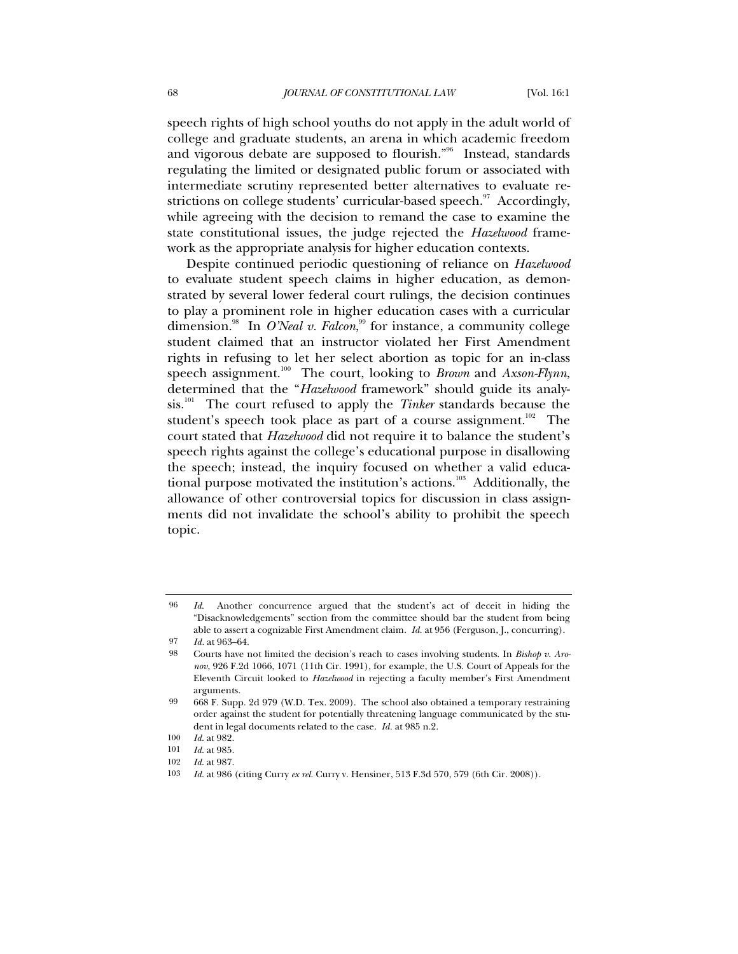speech rights of high school youths do not apply in the adult world of college and graduate students, an arena in which academic freedom and vigorous debate are supposed to flourish."<sup>96</sup> Instead, standards regulating the limited or designated public forum or associated with intermediate scrutiny represented better alternatives to evaluate restrictions on college students' curricular-based speech.<sup>97</sup> Accordingly, while agreeing with the decision to remand the case to examine the state constitutional issues, the judge rejected the *Hazelwood* framework as the appropriate analysis for higher education contexts.

Despite continued periodic questioning of reliance on *Hazelwood* to evaluate student speech claims in higher education, as demonstrated by several lower federal court rulings, the decision continues to play a prominent role in higher education cases with a curricular dimension.<sup>98</sup> In *O'Neal v. Falcon*,<sup>99</sup> for instance, a community college student claimed that an instructor violated her First Amendment rights in refusing to let her select abortion as topic for an in-class speech assignment.<sup>100</sup> The court, looking to *Brown* and *Axson-Flynn*, determined that the "*Hazelwood* framework" should guide its analysis.101 The court refused to apply the *Tinker* standards because the student's speech took place as part of a course assignment.<sup>102</sup> The court stated that *Hazelwood* did not require it to balance the student's speech rights against the college's educational purpose in disallowing the speech; instead, the inquiry focused on whether a valid educational purpose motivated the institution's actions.<sup>103</sup> Additionally, the allowance of other controversial topics for discussion in class assignments did not invalidate the school's ability to prohibit the speech topic.

<sup>96</sup> *Id*. Another concurrence argued that the student's act of deceit in hiding the "Disacknowledgements" section from the committee should bar the student from being able to assert a cognizable First Amendment claim. *Id.* at 956 (Ferguson, J., concurring).

<sup>97</sup> *Id.* at 963–64.

<sup>98</sup> Courts have not limited the decision's reach to cases involving students. In *Bishop v. Aronov*, 926 F.2d 1066, 1071 (11th Cir. 1991), for example, the U.S. Court of Appeals for the Eleventh Circuit looked to *Hazelwood* in rejecting a faculty member's First Amendment arguments.

<sup>99</sup> 668 F. Supp. 2d 979 (W.D. Tex. 2009). The school also obtained a temporary restraining order against the student for potentially threatening language communicated by the student in legal documents related to the case. *Id.* at 985 n.2.

<sup>100</sup> *Id*. at 982.

<sup>101</sup> *Id*. at 985.

<sup>102</sup> *Id*. at 987.

<sup>103</sup> *Id*. at 986 (citing Curry *ex rel.* Curry v. Hensiner, 513 F.3d 570, 579 (6th Cir. 2008)).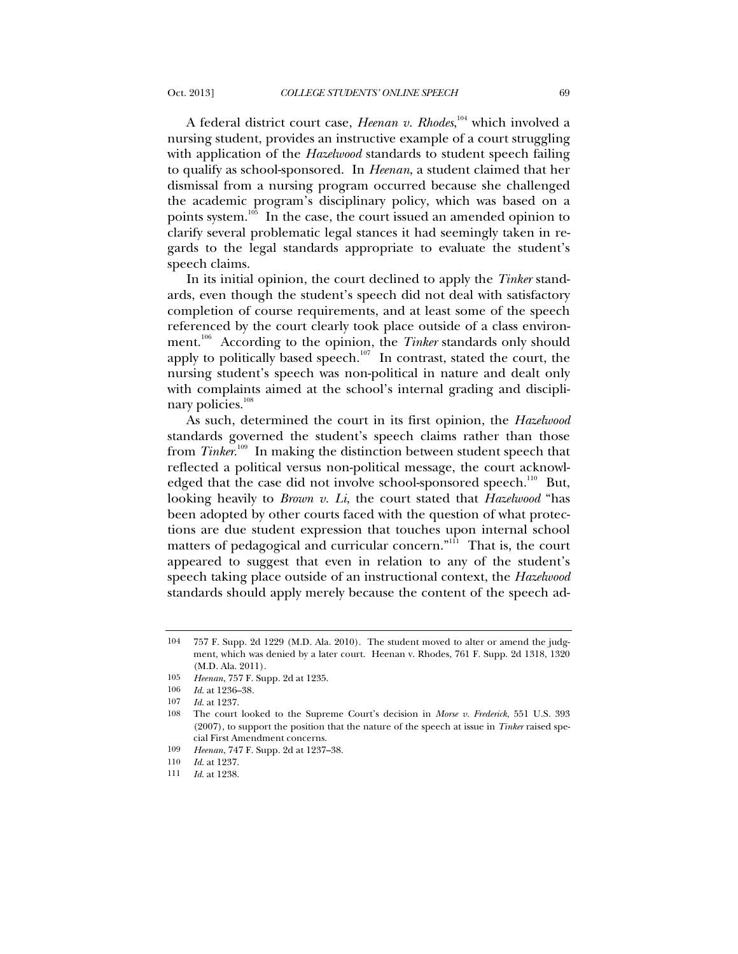speech claims.

A federal district court case, *Heenan v. Rhodes*,<sup>104</sup> which involved a nursing student, provides an instructive example of a court struggling with application of the *Hazelwood* standards to student speech failing to qualify as school-sponsored. In *Heenan*, a student claimed that her dismissal from a nursing program occurred because she challenged the academic program's disciplinary policy, which was based on a points system.<sup>105</sup> In the case, the court issued an amended opinion to clarify several problematic legal stances it had seemingly taken in re-

In its initial opinion, the court declined to apply the *Tinker* standards, even though the student's speech did not deal with satisfactory completion of course requirements, and at least some of the speech referenced by the court clearly took place outside of a class environment.<sup>106</sup> According to the opinion, the *Tinker* standards only should apply to politically based speech. $107$  In contrast, stated the court, the nursing student's speech was non-political in nature and dealt only with complaints aimed at the school's internal grading and disciplinary policies.<sup>108</sup>

gards to the legal standards appropriate to evaluate the student's

As such, determined the court in its first opinion, the *Hazelwood* standards governed the student's speech claims rather than those from *Tinker*.<sup>109</sup> In making the distinction between student speech that reflected a political versus non-political message, the court acknowledged that the case did not involve school-sponsored speech.<sup>110</sup> But, looking heavily to *Brown v. Li*, the court stated that *Hazelwood* "has been adopted by other courts faced with the question of what protections are due student expression that touches upon internal school matters of pedagogical and curricular concern."<sup>111</sup> That is, the court appeared to suggest that even in relation to any of the student's speech taking place outside of an instructional context, the *Hazelwood* standards should apply merely because the content of the speech ad-

<sup>104</sup> 757 F. Supp. 2d 1229 (M.D. Ala. 2010). The student moved to alter or amend the judgment, which was denied by a later court. Heenan v. Rhodes, 761 F. Supp. 2d 1318, 1320 (M.D. Ala. 2011).

<sup>105</sup> *Heenan*, 757 F. Supp. 2d at 1235.

<sup>106</sup> *Id*. at 1236–38.

<sup>107</sup> *Id*. at 1237.

<sup>108</sup> The court looked to the Supreme Court's decision in *Morse v. Frederick*, 551 U.S. 393 (2007), to support the position that the nature of the speech at issue in *Tinker* raised special First Amendment concerns.

<sup>109</sup> *Heenan*, 747 F. Supp. 2d at 1237–38.

<sup>110</sup> *Id*. at 1237.

<sup>111</sup> *Id*. at 1238.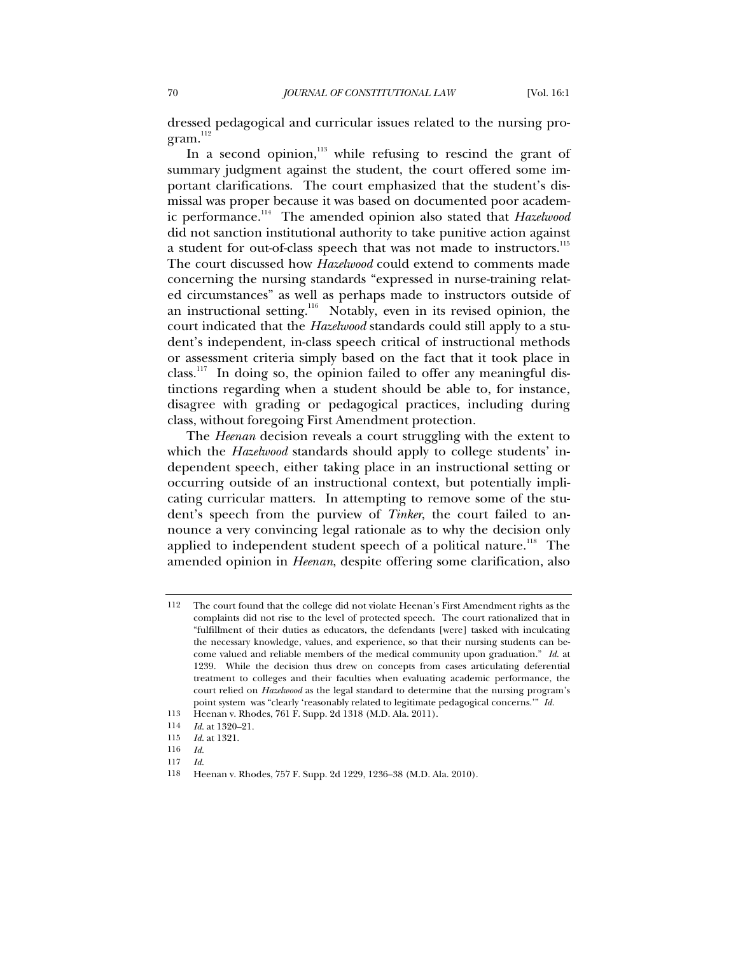dressed pedagogical and curricular issues related to the nursing pro $gram.<sup>112</sup>$ 

In a second opinion, $113$  while refusing to rescind the grant of summary judgment against the student, the court offered some important clarifications. The court emphasized that the student's dismissal was proper because it was based on documented poor academic performance.114 The amended opinion also stated that *Hazelwood* did not sanction institutional authority to take punitive action against a student for out-of-class speech that was not made to instructors.<sup>115</sup> The court discussed how *Hazelwood* could extend to comments made concerning the nursing standards "expressed in nurse-training related circumstances" as well as perhaps made to instructors outside of an instructional setting.<sup>116</sup> Notably, even in its revised opinion, the court indicated that the *Hazelwood* standards could still apply to a student's independent, in-class speech critical of instructional methods or assessment criteria simply based on the fact that it took place in class.<sup>117</sup> In doing so, the opinion failed to offer any meaningful distinctions regarding when a student should be able to, for instance, disagree with grading or pedagogical practices, including during class, without foregoing First Amendment protection.

The *Heenan* decision reveals a court struggling with the extent to which the *Hazelwood* standards should apply to college students' independent speech, either taking place in an instructional setting or occurring outside of an instructional context, but potentially implicating curricular matters. In attempting to remove some of the student's speech from the purview of *Tinker*, the court failed to announce a very convincing legal rationale as to why the decision only applied to independent student speech of a political nature.<sup>118</sup> The amended opinion in *Heenan*, despite offering some clarification, also

117 *Id*.

<sup>112</sup> The court found that the college did not violate Heenan's First Amendment rights as the complaints did not rise to the level of protected speech. The court rationalized that in "fulfillment of their duties as educators, the defendants [were] tasked with inculcating the necessary knowledge, values, and experience, so that their nursing students can become valued and reliable members of the medical community upon graduation." *Id.* at 1239. While the decision thus drew on concepts from cases articulating deferential treatment to colleges and their faculties when evaluating academic performance, the court relied on *Hazelwood* as the legal standard to determine that the nursing program's point system was "clearly 'reasonably related to legitimate pedagogical concerns.'" *Id.*

<sup>113</sup> Heenan v. Rhodes, 761 F. Supp. 2d 1318 (M.D. Ala. 2011).

<sup>114</sup> *Id*. at 1320–21.

<sup>115</sup> *Id*. at 1321.

<sup>116</sup> *Id*.

<sup>118</sup> Heenan v. Rhodes, 757 F. Supp. 2d 1229, 1236–38 (M.D. Ala. 2010).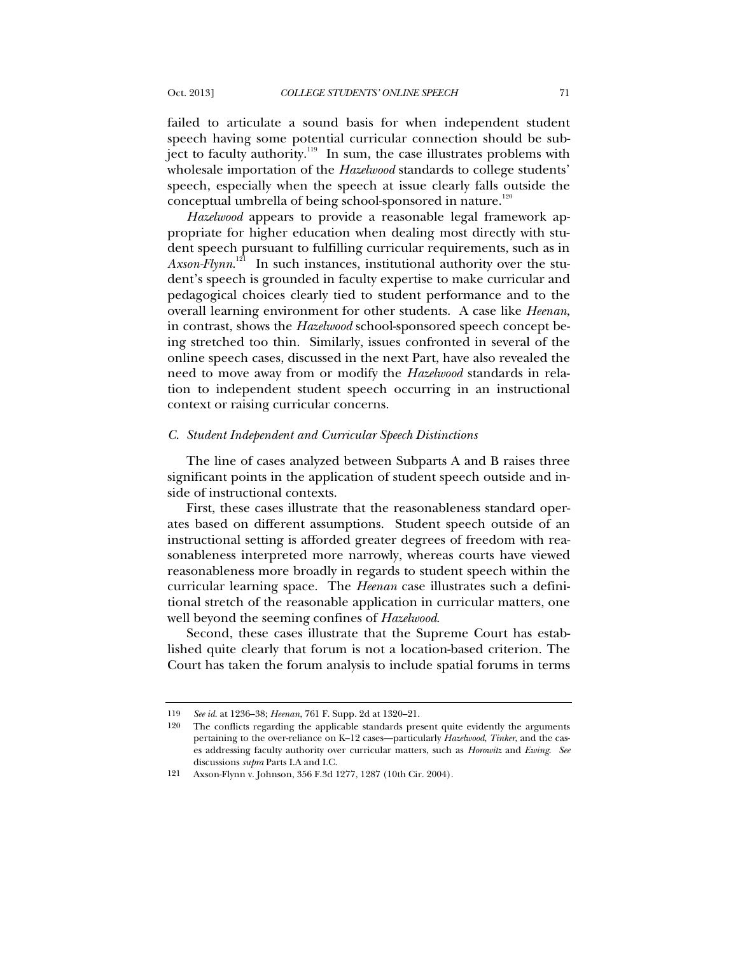failed to articulate a sound basis for when independent student speech having some potential curricular connection should be subject to faculty authority. $119$  In sum, the case illustrates problems with wholesale importation of the *Hazelwood* standards to college students' speech, especially when the speech at issue clearly falls outside the conceptual umbrella of being school-sponsored in nature.<sup>120</sup>

*Hazelwood* appears to provide a reasonable legal framework appropriate for higher education when dealing most directly with student speech pursuant to fulfilling curricular requirements, such as in Axson-Flynn.<sup>121</sup> In such instances, institutional authority over the student's speech is grounded in faculty expertise to make curricular and pedagogical choices clearly tied to student performance and to the overall learning environment for other students. A case like *Heenan*, in contrast, shows the *Hazelwood* school-sponsored speech concept being stretched too thin. Similarly, issues confronted in several of the online speech cases, discussed in the next Part, have also revealed the need to move away from or modify the *Hazelwood* standards in relation to independent student speech occurring in an instructional context or raising curricular concerns.

### *C. Student Independent and Curricular Speech Distinctions*

The line of cases analyzed between Subparts A and B raises three significant points in the application of student speech outside and inside of instructional contexts.

First, these cases illustrate that the reasonableness standard operates based on different assumptions. Student speech outside of an instructional setting is afforded greater degrees of freedom with reasonableness interpreted more narrowly, whereas courts have viewed reasonableness more broadly in regards to student speech within the curricular learning space. The *Heenan* case illustrates such a definitional stretch of the reasonable application in curricular matters, one well beyond the seeming confines of *Hazelwood*.

Second, these cases illustrate that the Supreme Court has established quite clearly that forum is not a location-based criterion. The Court has taken the forum analysis to include spatial forums in terms

<sup>119</sup> *See id.* at 1236–38; *Heenan*, 761 F. Supp. 2d at 1320–21.

<sup>120</sup> The conflicts regarding the applicable standards present quite evidently the arguments pertaining to the over-reliance on K–12 cases—particularly *Hazelwood*, *Tinker*, and the cases addressing faculty authority over curricular matters, such as *Horowitz* and *Ewing*. *See* discussions *supra* Parts I.A and I.C.

<sup>121</sup> Axson-Flynn v. Johnson, 356 F.3d 1277, 1287 (10th Cir. 2004).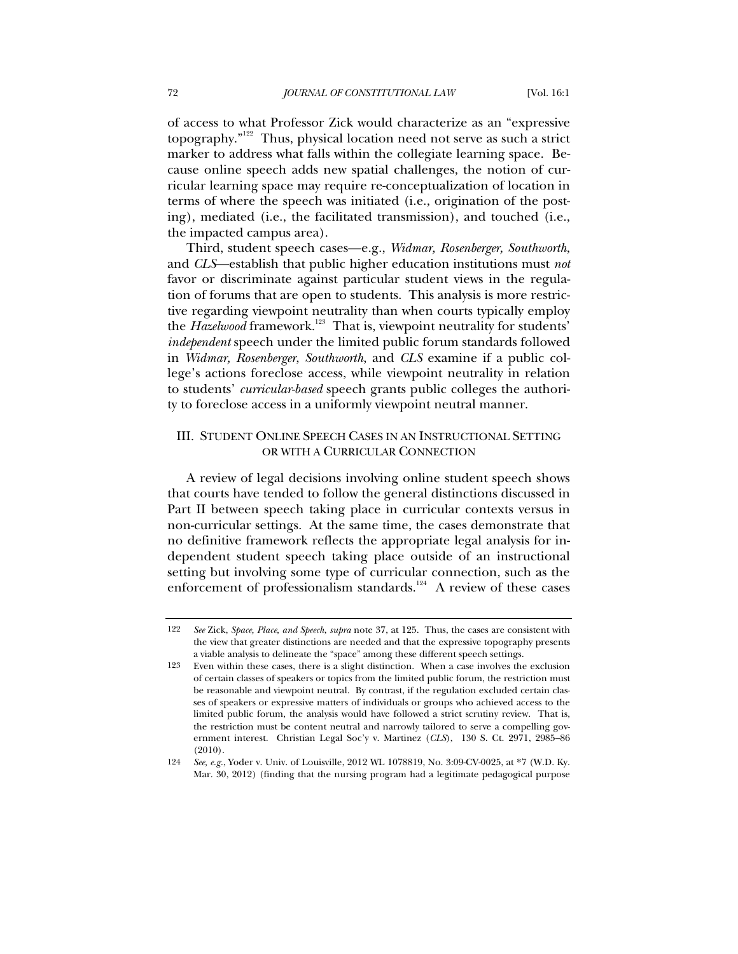of access to what Professor Zick would characterize as an "expressive topography."122 Thus, physical location need not serve as such a strict marker to address what falls within the collegiate learning space. Because online speech adds new spatial challenges, the notion of curricular learning space may require re-conceptualization of location in terms of where the speech was initiated (i.e., origination of the posting), mediated (i.e., the facilitated transmission), and touched (i.e., the impacted campus area).

Third, student speech cases—e.g., *Widmar, Rosenberger, Southworth*, and *CLS*—establish that public higher education institutions must *not* favor or discriminate against particular student views in the regulation of forums that are open to students. This analysis is more restrictive regarding viewpoint neutrality than when courts typically employ the *Hazelwood* framework.<sup>123</sup> That is, viewpoint neutrality for students' *independent* speech under the limited public forum standards followed in *Widmar, Rosenberger*, *Southworth*, and *CLS* examine if a public college's actions foreclose access, while viewpoint neutrality in relation to students' *curricular-based* speech grants public colleges the authority to foreclose access in a uniformly viewpoint neutral manner.

# III. STUDENT ONLINE SPEECH CASES IN AN INSTRUCTIONAL SETTING OR WITH A CURRICULAR CONNECTION

A review of legal decisions involving online student speech shows that courts have tended to follow the general distinctions discussed in Part II between speech taking place in curricular contexts versus in non-curricular settings. At the same time, the cases demonstrate that no definitive framework reflects the appropriate legal analysis for independent student speech taking place outside of an instructional setting but involving some type of curricular connection, such as the enforcement of professionalism standards.<sup>124</sup> A review of these cases

<sup>122</sup> *See* Zick, *Space, Place, and Speech*, *supra* note 37, at 125. Thus, the cases are consistent with the view that greater distinctions are needed and that the expressive topography presents a viable analysis to delineate the "space" among these different speech settings.

<sup>123</sup> Even within these cases, there is a slight distinction. When a case involves the exclusion of certain classes of speakers or topics from the limited public forum, the restriction must be reasonable and viewpoint neutral. By contrast, if the regulation excluded certain classes of speakers or expressive matters of individuals or groups who achieved access to the limited public forum, the analysis would have followed a strict scrutiny review. That is, the restriction must be content neutral and narrowly tailored to serve a compelling government interest. Christian Legal Soc'y v. Martinez (*CLS*), 130 S. Ct. 2971, 2985–86 (2010).

<sup>124</sup> *See, e.g.*, Yoder v. Univ. of Louisville, 2012 WL 1078819, No. 3:09-CV-0025, at \*7 (W.D. Ky. Mar. 30, 2012) (finding that the nursing program had a legitimate pedagogical purpose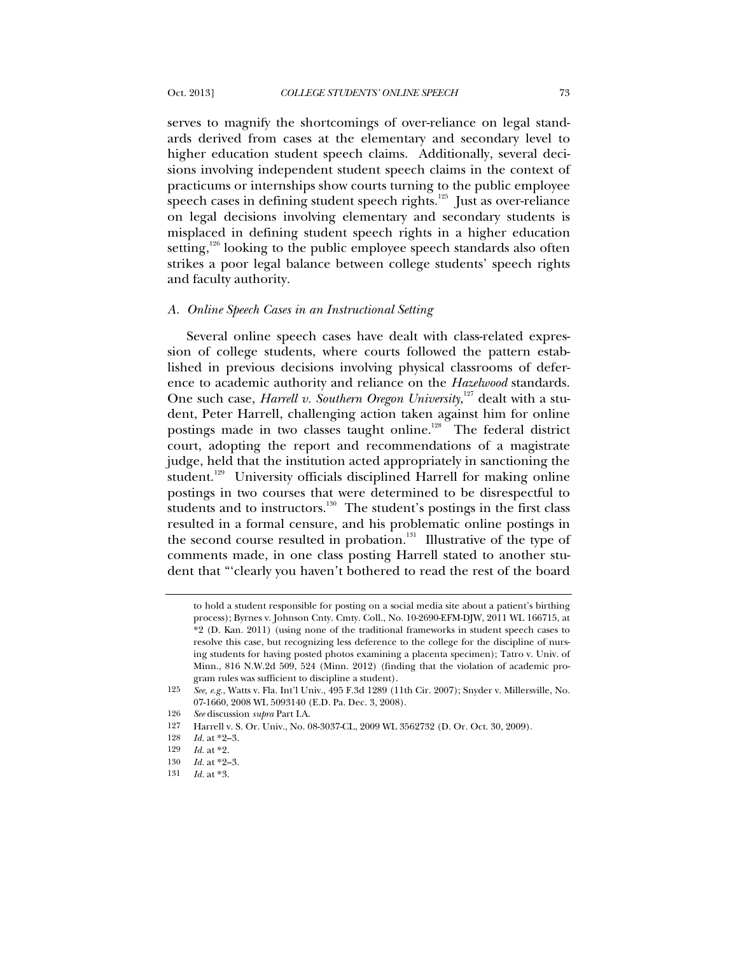serves to magnify the shortcomings of over-reliance on legal standards derived from cases at the elementary and secondary level to higher education student speech claims. Additionally, several decisions involving independent student speech claims in the context of practicums or internships show courts turning to the public employee speech cases in defining student speech rights.<sup>125</sup> Just as over-reliance on legal decisions involving elementary and secondary students is misplaced in defining student speech rights in a higher education setting, $126$  looking to the public employee speech standards also often strikes a poor legal balance between college students' speech rights and faculty authority.

### *A. Online Speech Cases in an Instructional Setting*

Several online speech cases have dealt with class-related expression of college students, where courts followed the pattern established in previous decisions involving physical classrooms of deference to academic authority and reliance on the *Hazelwood* standards. One such case, *Harrell v. Southern Oregon University*,<sup>127</sup> dealt with a student, Peter Harrell, challenging action taken against him for online postings made in two classes taught online.<sup>128</sup> The federal district court, adopting the report and recommendations of a magistrate judge, held that the institution acted appropriately in sanctioning the student.<sup>129</sup> University officials disciplined Harrell for making online postings in two courses that were determined to be disrespectful to students and to instructors.<sup>130</sup> The student's postings in the first class resulted in a formal censure, and his problematic online postings in the second course resulted in probation. $131$  Illustrative of the type of comments made, in one class posting Harrell stated to another student that "'clearly you haven't bothered to read the rest of the board

to hold a student responsible for posting on a social media site about a patient's birthing process); Byrnes v. Johnson Cnty. Cmty. Coll., No. 10-2690-EFM-DJW, 2011 WL 166715, at \*2 (D. Kan. 2011) (using none of the traditional frameworks in student speech cases to resolve this case, but recognizing less deference to the college for the discipline of nursing students for having posted photos examining a placenta specimen); Tatro v. Univ. of Minn., 816 N.W.2d 509, 524 (Minn. 2012) (finding that the violation of academic program rules was sufficient to discipline a student).

<sup>125</sup> *See, e.g.*, Watts v. Fla. Int'l Univ., 495 F.3d 1289 (11th Cir. 2007); Snyder v. Millersville, No. 07-1660, 2008 WL 5093140 (E.D. Pa. Dec. 3, 2008).

<sup>126</sup> *See* discussion *supra* Part I.A.

<sup>127</sup> Harrell v. S. Or. Univ., No. 08-3037-CL, 2009 WL 3562732 (D. Or. Oct. 30, 2009).

<sup>128</sup> *Id.* at \*2–3.

<sup>129</sup> *Id.* at \*2.

<sup>130</sup> *Id.* at \*2–3.

<sup>131</sup> *Id.* at \*3.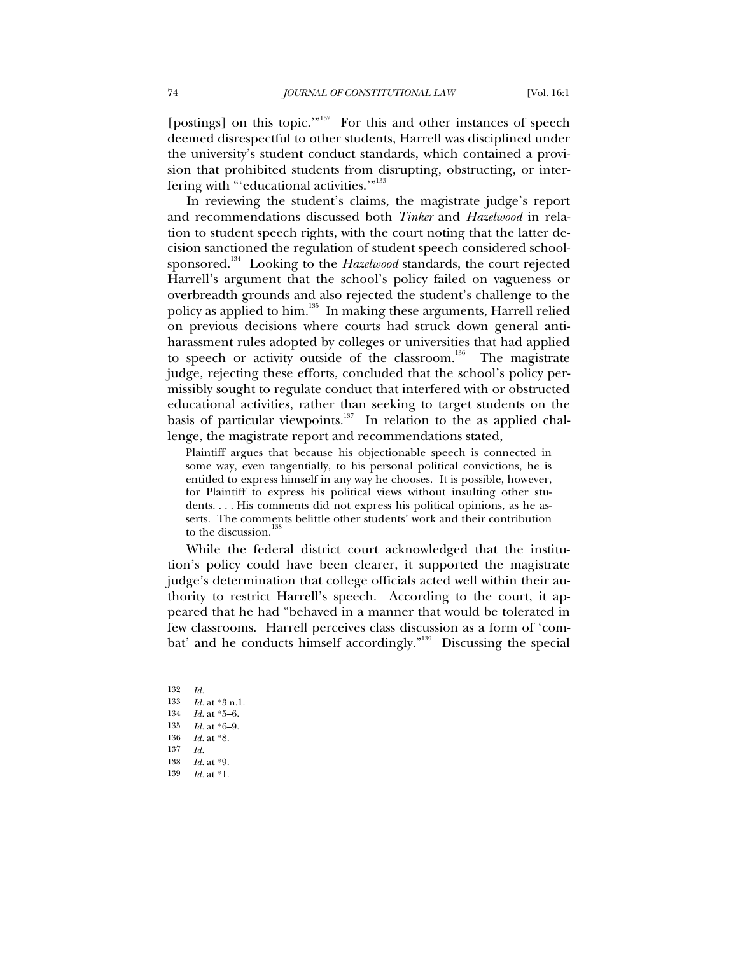[postings] on this topic.'"<sup>132</sup> For this and other instances of speech deemed disrespectful to other students, Harrell was disciplined under the university's student conduct standards, which contained a provision that prohibited students from disrupting, obstructing, or interfering with "'educational activities."<sup>133</sup>

In reviewing the student's claims, the magistrate judge's report and recommendations discussed both *Tinker* and *Hazelwood* in relation to student speech rights, with the court noting that the latter decision sanctioned the regulation of student speech considered schoolsponsored.<sup>134</sup> Looking to the *Hazelwood* standards, the court rejected Harrell's argument that the school's policy failed on vagueness or overbreadth grounds and also rejected the student's challenge to the policy as applied to him.<sup>135</sup> In making these arguments, Harrell relied on previous decisions where courts had struck down general antiharassment rules adopted by colleges or universities that had applied to speech or activity outside of the classroom.<sup>136</sup> The magistrate judge, rejecting these efforts, concluded that the school's policy permissibly sought to regulate conduct that interfered with or obstructed educational activities, rather than seeking to target students on the basis of particular viewpoints.<sup>137</sup> In relation to the as applied challenge, the magistrate report and recommendations stated,

Plaintiff argues that because his objectionable speech is connected in some way, even tangentially, to his personal political convictions, he is entitled to express himself in any way he chooses. It is possible, however, for Plaintiff to express his political views without insulting other students. . . . His comments did not express his political opinions, as he asserts. The comments belittle other students' work and their contribution to the discussion.<sup>138</sup>

While the federal district court acknowledged that the institution's policy could have been clearer, it supported the magistrate judge's determination that college officials acted well within their authority to restrict Harrell's speech. According to the court, it appeared that he had "behaved in a manner that would be tolerated in few classrooms. Harrell perceives class discussion as a form of 'combat' and he conducts himself accordingly."<sup>139</sup> Discussing the special

<sup>132</sup> *Id.*

<sup>133</sup> *Id.* at \*3 n.1.

<sup>134</sup> *Id.* at \*5–6.

<sup>135</sup> *Id.* at \*6–9.

<sup>136</sup> *Id.* at \*8.

<sup>137</sup> *Id.*

<sup>138</sup> *Id.* at \*9.

<sup>139</sup> *Id.* at \*1.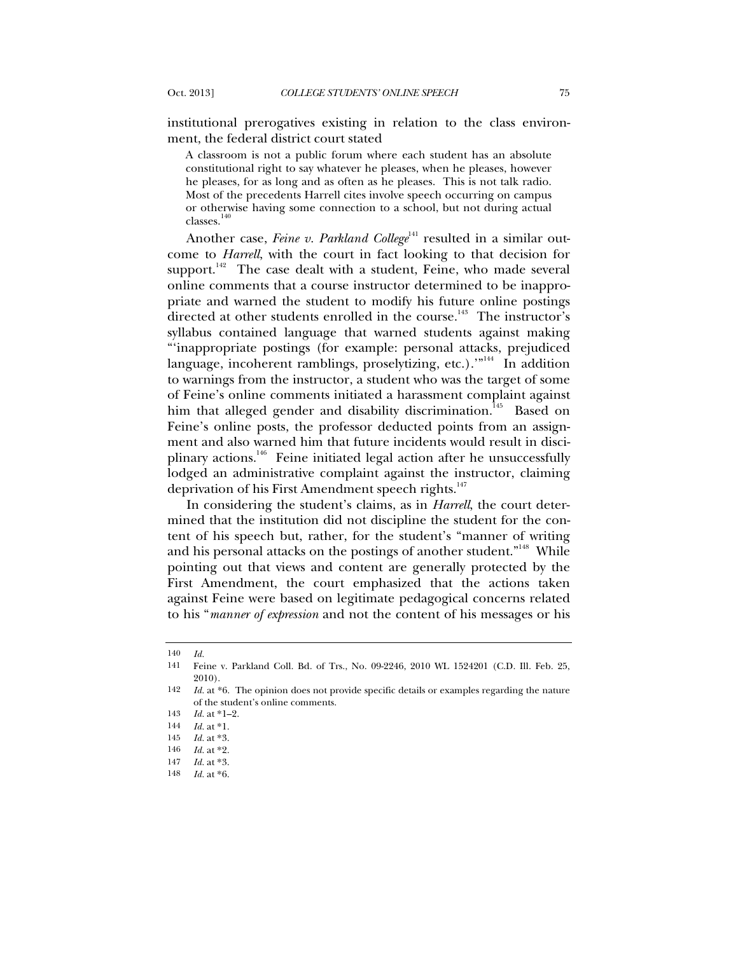institutional prerogatives existing in relation to the class environment, the federal district court stated

A classroom is not a public forum where each student has an absolute constitutional right to say whatever he pleases, when he pleases, however he pleases, for as long and as often as he pleases. This is not talk radio. Most of the precedents Harrell cites involve speech occurring on campus or otherwise having some connection to a school, but not during actual  $\,$  classes.  $^{140}$ 

Another case, *Feine v. Parkland College*<sup>141</sup> resulted in a similar outcome to *Harrell*, with the court in fact looking to that decision for support. $142$  The case dealt with a student, Feine, who made several online comments that a course instructor determined to be inappropriate and warned the student to modify his future online postings directed at other students enrolled in the course.<sup>143</sup> The instructor's syllabus contained language that warned students against making "'inappropriate postings (for example: personal attacks, prejudiced language, incoherent ramblings, proselytizing, etc.)."<sup>144</sup> In addition to warnings from the instructor, a student who was the target of some of Feine's online comments initiated a harassment complaint against him that alleged gender and disability discrimination.<sup>145</sup> Based on Feine's online posts, the professor deducted points from an assignment and also warned him that future incidents would result in disciplinary actions.<sup>146</sup> Feine initiated legal action after he unsuccessfully lodged an administrative complaint against the instructor, claiming deprivation of his First Amendment speech rights.<sup>147</sup>

In considering the student's claims, as in *Harrell*, the court determined that the institution did not discipline the student for the content of his speech but, rather, for the student's "manner of writing and his personal attacks on the postings of another student."<sup>148</sup> While pointing out that views and content are generally protected by the First Amendment, the court emphasized that the actions taken against Feine were based on legitimate pedagogical concerns related to his "*manner of expression* and not the content of his messages or his

<sup>140</sup> *Id.*

<sup>141</sup> Feine v. Parkland Coll. Bd. of Trs., No. 09-2246, 2010 WL 1524201 (C.D. Ill. Feb. 25, 2010).

<sup>142</sup> *Id.* at \*6. The opinion does not provide specific details or examples regarding the nature of the student's online comments.

<sup>143</sup> *Id.* at \*1–2.

<sup>144</sup> *Id.* at \*1.

<sup>145</sup> *Id.* at \*3.

<sup>146</sup> *Id.* at \*2.

<sup>147</sup> *Id.* at \*3.

<sup>148</sup> *Id.* at \*6.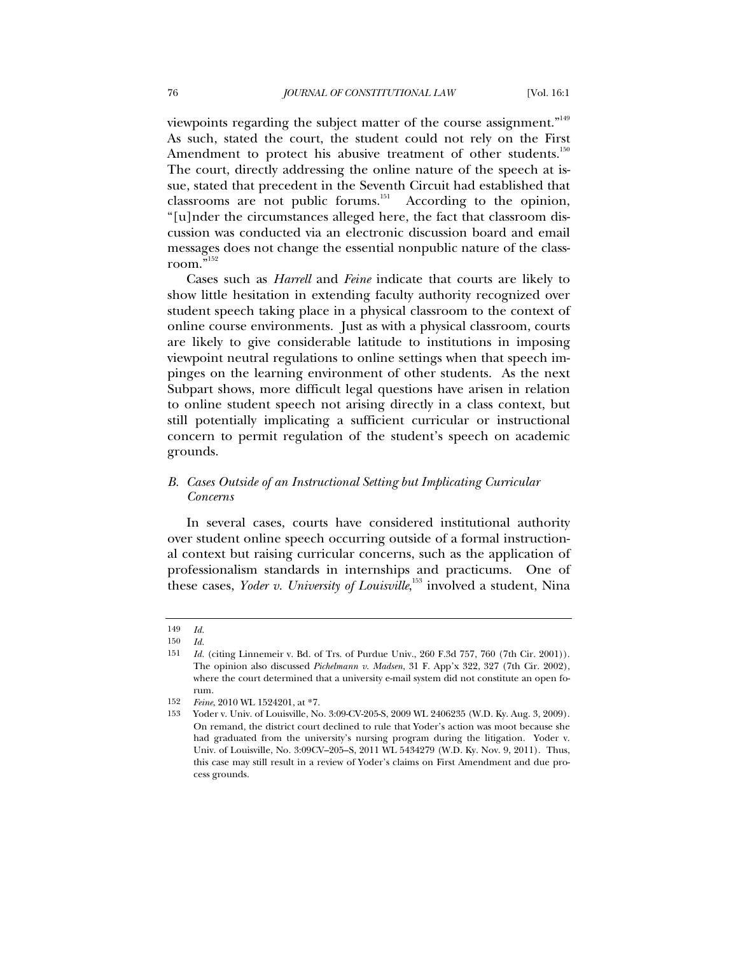viewpoints regarding the subject matter of the course assignment."<sup>149</sup> As such, stated the court, the student could not rely on the First Amendment to protect his abusive treatment of other students.<sup>150</sup> The court, directly addressing the online nature of the speech at issue, stated that precedent in the Seventh Circuit had established that classrooms are not public forums.<sup>151</sup> According to the opinion, "[u]nder the circumstances alleged here, the fact that classroom discussion was conducted via an electronic discussion board and email messages does not change the essential nonpublic nature of the classroom."152

Cases such as *Harrell* and *Feine* indicate that courts are likely to show little hesitation in extending faculty authority recognized over student speech taking place in a physical classroom to the context of online course environments. Just as with a physical classroom, courts are likely to give considerable latitude to institutions in imposing viewpoint neutral regulations to online settings when that speech impinges on the learning environment of other students. As the next Subpart shows, more difficult legal questions have arisen in relation to online student speech not arising directly in a class context, but still potentially implicating a sufficient curricular or instructional concern to permit regulation of the student's speech on academic grounds.

# *B. Cases Outside of an Instructional Setting but Implicating Curricular Concerns*

In several cases, courts have considered institutional authority over student online speech occurring outside of a formal instructional context but raising curricular concerns, such as the application of professionalism standards in internships and practicums. One of these cases, *Yoder v. University of Louisville*, <sup>153</sup> involved a student, Nina

<sup>149</sup> *Id.*

<sup>150</sup> *Id.*

<sup>151</sup> *Id.* (citing Linnemeir v. Bd. of Trs. of Purdue Univ., 260 F.3d 757, 760 (7th Cir. 2001)). The opinion also discussed *Pichelmann v. Madsen*, 31 F. App'x 322, 327 (7th Cir. 2002), where the court determined that a university e-mail system did not constitute an open forum.

<sup>152</sup> *Feine*, 2010 WL 1524201, at \*7.

<sup>153</sup> Yoder v. Univ. of Louisville, No. 3:09-CV-205-S, 2009 WL 2406235 (W.D. Ky. Aug. 3, 2009). On remand, the district court declined to rule that Yoder's action was moot because she had graduated from the university's nursing program during the litigation. Yoder v. Univ. of Louisville, No. 3:09CV–205–S, 2011 WL 5434279 (W.D. Ky. Nov. 9, 2011). Thus, this case may still result in a review of Yoder's claims on First Amendment and due process grounds.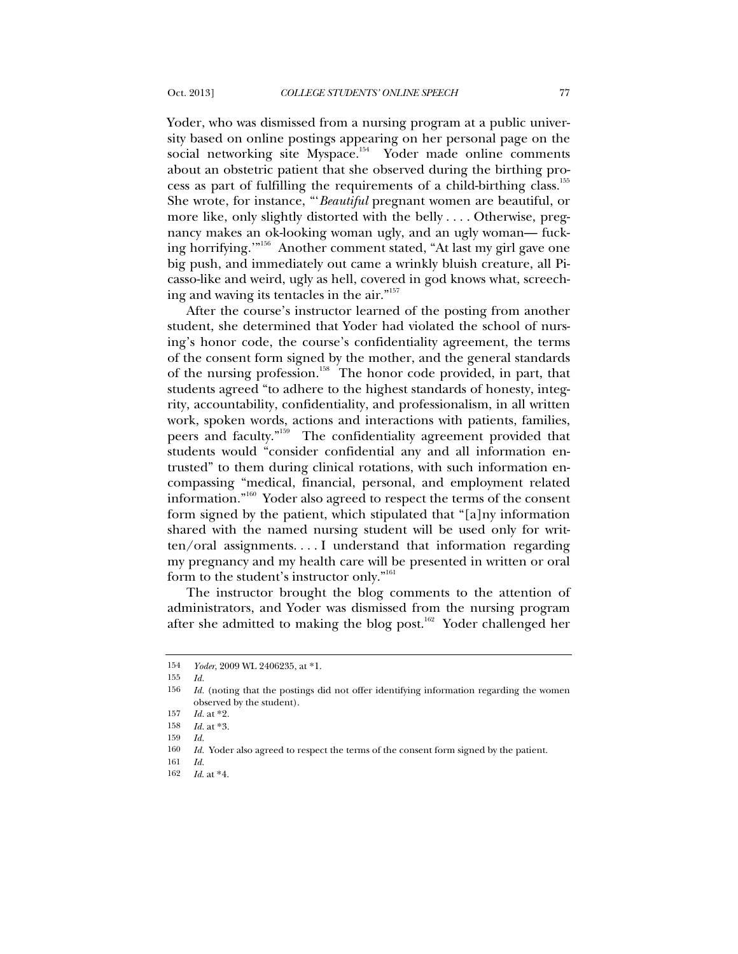Yoder, who was dismissed from a nursing program at a public university based on online postings appearing on her personal page on the social networking site Myspace.<sup>154</sup> Yoder made online comments about an obstetric patient that she observed during the birthing process as part of fulfilling the requirements of a child-birthing class.<sup>155</sup> She wrote, for instance, "'*Beautiful* pregnant women are beautiful, or more like, only slightly distorted with the belly . . . . Otherwise, pregnancy makes an ok-looking woman ugly, and an ugly woman— fucking horrifying.'"156 Another comment stated, "At last my girl gave one big push, and immediately out came a wrinkly bluish creature, all Picasso-like and weird, ugly as hell, covered in god knows what, screeching and waving its tentacles in the air."157

After the course's instructor learned of the posting from another student, she determined that Yoder had violated the school of nursing's honor code, the course's confidentiality agreement, the terms of the consent form signed by the mother, and the general standards of the nursing profession.<sup>158</sup> The honor code provided, in part, that students agreed "to adhere to the highest standards of honesty, integrity, accountability, confidentiality, and professionalism, in all written work, spoken words, actions and interactions with patients, families, peers and faculty."159 The confidentiality agreement provided that students would "consider confidential any and all information entrusted" to them during clinical rotations, with such information encompassing "medical, financial, personal, and employment related information."160 Yoder also agreed to respect the terms of the consent form signed by the patient, which stipulated that "[a]ny information shared with the named nursing student will be used only for written/oral assignments. . . . I understand that information regarding my pregnancy and my health care will be presented in written or oral form to the student's instructor only."161

The instructor brought the blog comments to the attention of administrators, and Yoder was dismissed from the nursing program after she admitted to making the blog post.<sup>162</sup> Yoder challenged her

<sup>154</sup> *Yoder*, 2009 WL 2406235, at \*1.

<sup>155</sup> *Id.*

<sup>156</sup> *Id.* (noting that the postings did not offer identifying information regarding the women observed by the student).

<sup>157</sup> *Id.* at \*2.

<sup>158</sup> *Id.* at \*3.

<sup>159</sup> *Id.*

<sup>160</sup> *Id.* Yoder also agreed to respect the terms of the consent form signed by the patient.

<sup>161</sup> *Id.*

<sup>162</sup> *Id*. at \*4.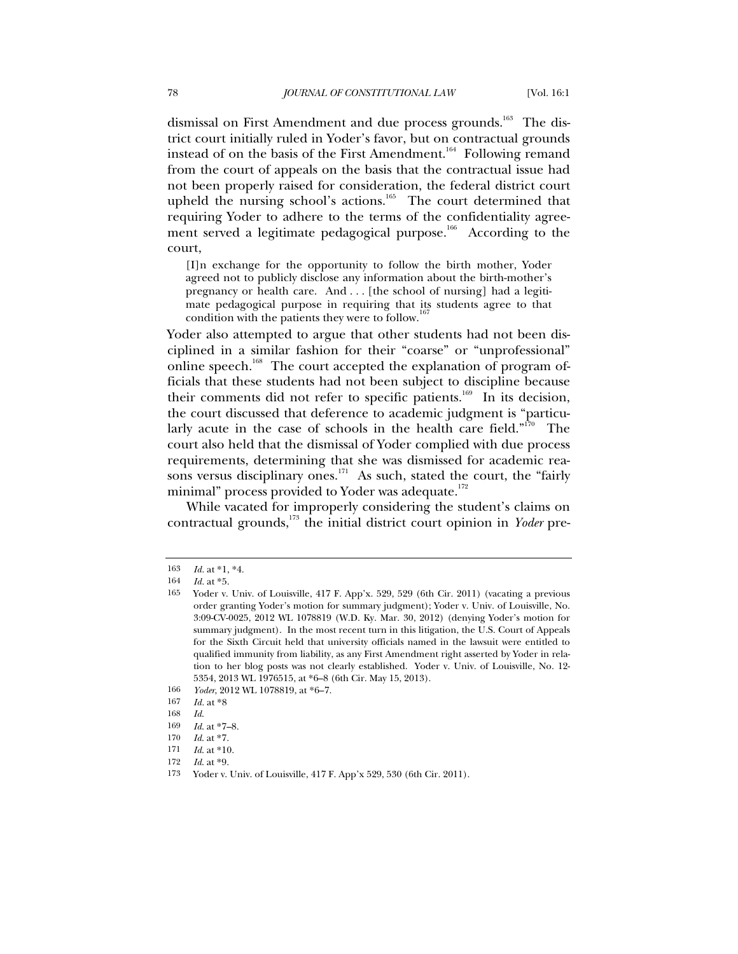dismissal on First Amendment and due process grounds.<sup>163</sup> The district court initially ruled in Yoder's favor, but on contractual grounds instead of on the basis of the First Amendment.<sup>164</sup> Following remand from the court of appeals on the basis that the contractual issue had not been properly raised for consideration, the federal district court upheld the nursing school's actions.<sup>165</sup> The court determined that requiring Yoder to adhere to the terms of the confidentiality agreement served a legitimate pedagogical purpose.<sup>166</sup> According to the court,

[I]n exchange for the opportunity to follow the birth mother, Yoder agreed not to publicly disclose any information about the birth-mother's pregnancy or health care. And . . . [the school of nursing] had a legitimate pedagogical purpose in requiring that its students agree to that condition with the patients they were to follow.

Yoder also attempted to argue that other students had not been disciplined in a similar fashion for their "coarse" or "unprofessional" online speech.<sup>168</sup> The court accepted the explanation of program officials that these students had not been subject to discipline because their comments did not refer to specific patients.<sup>169</sup> In its decision, the court discussed that deference to academic judgment is "particularly acute in the case of schools in the health care field."<sup>170</sup> The court also held that the dismissal of Yoder complied with due process requirements, determining that she was dismissed for academic reasons versus disciplinary ones.<sup>171</sup> As such, stated the court, the "fairly" minimal" process provided to Yoder was adequate.<sup>172</sup>

While vacated for improperly considering the student's claims on contractual grounds,173 the initial district court opinion in *Yoder* pre-

<sup>163</sup> *Id.* at \*1, \*4.

<sup>164</sup> *Id.* at \*5.

<sup>165</sup> Yoder v. Univ. of Louisville, 417 F. App'x. 529, 529 (6th Cir. 2011) (vacating a previous order granting Yoder's motion for summary judgment); Yoder v. Univ. of Louisville, No. 3:09-CV-0025, 2012 WL 1078819 (W.D. Ky. Mar. 30, 2012) (denying Yoder's motion for summary judgment). In the most recent turn in this litigation, the U.S. Court of Appeals for the Sixth Circuit held that university officials named in the lawsuit were entitled to qualified immunity from liability, as any First Amendment right asserted by Yoder in relation to her blog posts was not clearly established. Yoder v. Univ. of Louisville, No. 12- 5354, 2013 WL 1976515, at \*6–8 (6th Cir. May 15, 2013).

<sup>166</sup> *Yoder*, 2012 WL 1078819, at \*6–7.

<sup>167</sup> *Id.* at \*8

<sup>168</sup> *Id*.

<sup>169</sup> *Id*. at \*7–8.

<sup>170</sup> *Id*. at \*7.

<sup>171</sup> *Id*. at \*10.

<sup>172</sup> *Id*. at \*9.

<sup>173</sup> Yoder v. Univ. of Louisville, 417 F. App'x 529, 530 (6th Cir. 2011).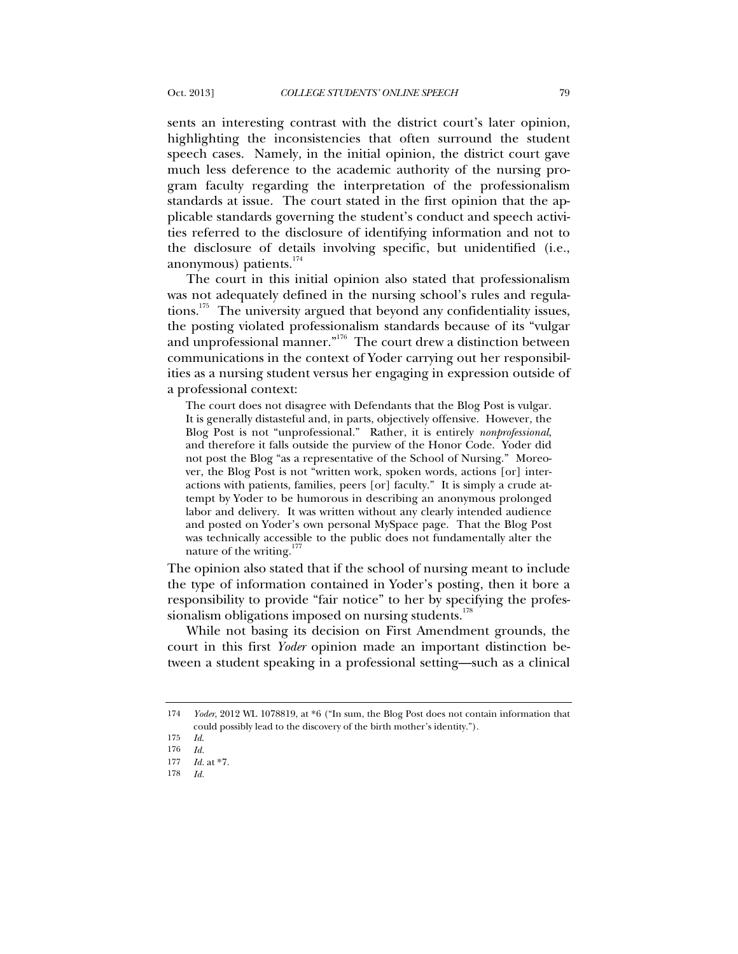sents an interesting contrast with the district court's later opinion, highlighting the inconsistencies that often surround the student speech cases. Namely, in the initial opinion, the district court gave much less deference to the academic authority of the nursing program faculty regarding the interpretation of the professionalism standards at issue. The court stated in the first opinion that the applicable standards governing the student's conduct and speech activities referred to the disclosure of identifying information and not to the disclosure of details involving specific, but unidentified (i.e., anonymous) patients. $174$ 

The court in this initial opinion also stated that professionalism was not adequately defined in the nursing school's rules and regulations.175 The university argued that beyond any confidentiality issues, the posting violated professionalism standards because of its "vulgar and unprofessional manner."<sup>176</sup> The court drew a distinction between communications in the context of Yoder carrying out her responsibilities as a nursing student versus her engaging in expression outside of a professional context:

The court does not disagree with Defendants that the Blog Post is vulgar. It is generally distasteful and, in parts, objectively offensive. However, the Blog Post is not "unprofessional." Rather, it is entirely *nonprofessional*, and therefore it falls outside the purview of the Honor Code. Yoder did not post the Blog "as a representative of the School of Nursing." Moreover, the Blog Post is not "written work, spoken words, actions [or] interactions with patients, families, peers [or] faculty." It is simply a crude attempt by Yoder to be humorous in describing an anonymous prolonged labor and delivery. It was written without any clearly intended audience and posted on Yoder's own personal MySpace page. That the Blog Post was technically accessible to the public does not fundamentally alter the nature of the writing. $177$ 

The opinion also stated that if the school of nursing meant to include the type of information contained in Yoder's posting, then it bore a responsibility to provide "fair notice" to her by specifying the professionalism obligations imposed on nursing students.<sup>178</sup>

While not basing its decision on First Amendment grounds, the court in this first *Yoder* opinion made an important distinction between a student speaking in a professional setting—such as a clinical

<sup>174</sup> *Yoder*, 2012 WL 1078819, at \*6 ("In sum, the Blog Post does not contain information that could possibly lead to the discovery of the birth mother's identity.").

<sup>175</sup> *Id*.

<sup>176</sup> *Id.*

<sup>177</sup> *Id.* at \*7.

<sup>178</sup> *Id.*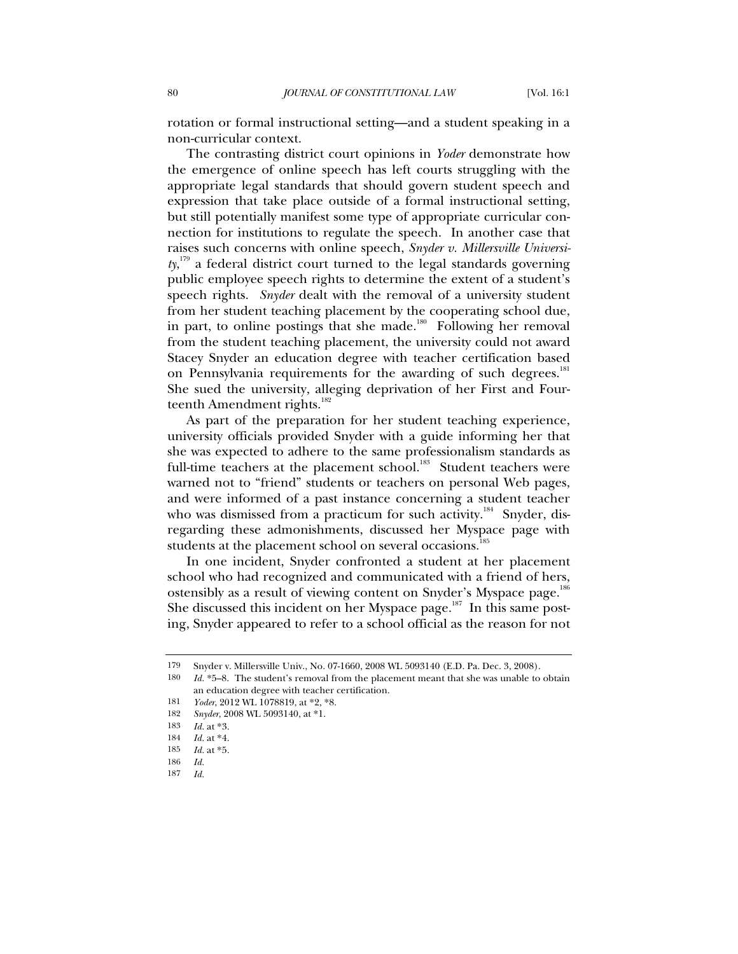rotation or formal instructional setting—and a student speaking in a non-curricular context.

The contrasting district court opinions in *Yoder* demonstrate how the emergence of online speech has left courts struggling with the appropriate legal standards that should govern student speech and expression that take place outside of a formal instructional setting, but still potentially manifest some type of appropriate curricular connection for institutions to regulate the speech. In another case that raises such concerns with online speech, *Snyder v. Millersville University*, <sup>179</sup> a federal district court turned to the legal standards governing public employee speech rights to determine the extent of a student's speech rights. *Snyder* dealt with the removal of a university student from her student teaching placement by the cooperating school due, in part, to online postings that she made. $180$  Following her removal from the student teaching placement, the university could not award Stacey Snyder an education degree with teacher certification based on Pennsylvania requirements for the awarding of such degrees.<sup>181</sup> She sued the university, alleging deprivation of her First and Fourteenth Amendment rights.<sup>182</sup>

As part of the preparation for her student teaching experience, university officials provided Snyder with a guide informing her that she was expected to adhere to the same professionalism standards as full-time teachers at the placement school.<sup>183</sup> Student teachers were warned not to "friend" students or teachers on personal Web pages, and were informed of a past instance concerning a student teacher who was dismissed from a practicum for such activity.<sup>184</sup> Snyder, disregarding these admonishments, discussed her Myspace page with students at the placement school on several occasions.<sup>185</sup>

In one incident, Snyder confronted a student at her placement school who had recognized and communicated with a friend of hers, ostensibly as a result of viewing content on Snyder's Myspace page.<sup>186</sup> She discussed this incident on her Myspace page. $^{187}$  In this same posting, Snyder appeared to refer to a school official as the reason for not

<sup>179</sup> Snyder v. Millersville Univ., No. 07-1660, 2008 WL 5093140 (E.D. Pa. Dec. 3, 2008).

<sup>180</sup> *Id.* \*5–8. The student's removal from the placement meant that she was unable to obtain an education degree with teacher certification.

<sup>181</sup> *Yoder*, 2012 WL 1078819, at \*2, \*8.

<sup>182</sup> *Snyder*, 2008 WL 5093140, at \*1.

<sup>183</sup> *Id.* at \*3.

<sup>184</sup> *Id.* at \*4.

<sup>185</sup> *Id.* at \*5.

<sup>186</sup> *Id.*

<sup>187</sup> *Id.*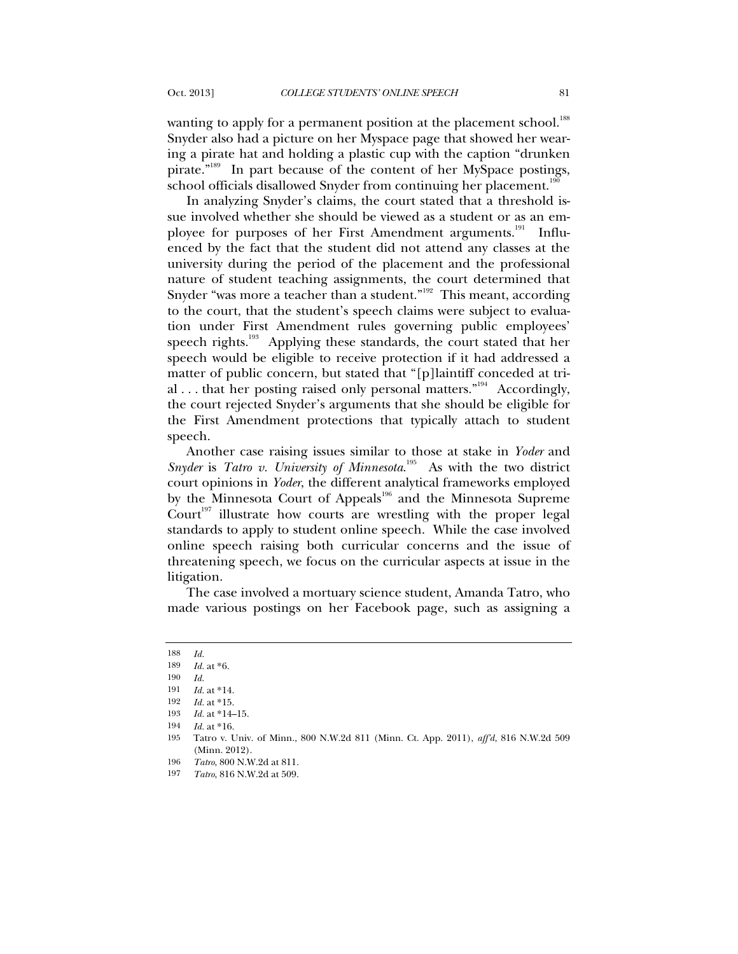wanting to apply for a permanent position at the placement school.<sup>188</sup> Snyder also had a picture on her Myspace page that showed her wearing a pirate hat and holding a plastic cup with the caption "drunken pirate."189 In part because of the content of her MySpace postings, school officials disallowed Snyder from continuing her placement.<sup>190</sup>

In analyzing Snyder's claims, the court stated that a threshold issue involved whether she should be viewed as a student or as an employee for purposes of her First Amendment arguments.<sup>191</sup> Influenced by the fact that the student did not attend any classes at the university during the period of the placement and the professional nature of student teaching assignments, the court determined that Snyder "was more a teacher than a student." $192$  This meant, according to the court, that the student's speech claims were subject to evaluation under First Amendment rules governing public employees' speech rights.<sup>193</sup> Applying these standards, the court stated that her speech would be eligible to receive protection if it had addressed a matter of public concern, but stated that "[p]laintiff conceded at trial . . . that her posting raised only personal matters."<sup>194</sup> Accordingly, the court rejected Snyder's arguments that she should be eligible for the First Amendment protections that typically attach to student speech.

Another case raising issues similar to those at stake in *Yoder* and *Snyder* is *Tatro v. University of Minnesota*.<sup>195</sup> As with the two district court opinions in *Yoder*, the different analytical frameworks employed by the Minnesota Court of Appeals<sup>196</sup> and the Minnesota Supreme Court<sup>197</sup> illustrate how courts are wrestling with the proper legal standards to apply to student online speech. While the case involved online speech raising both curricular concerns and the issue of threatening speech, we focus on the curricular aspects at issue in the litigation.

The case involved a mortuary science student, Amanda Tatro, who made various postings on her Facebook page, such as assigning a

<sup>188</sup> *Id.*

<sup>189</sup> *Id.* at \*6.

<sup>190</sup> *Id.*

<sup>191</sup> *Id.* at \*14.

<sup>192</sup> *Id.* at \*15.

<sup>193</sup> *Id.* at \*14–15.

<sup>194</sup> *Id.* at \*16.

<sup>195</sup> Tatro v. Univ. of Minn., 800 N.W.2d 811 (Minn. Ct. App. 2011), *aff'd*, 816 N.W.2d 509 (Minn. 2012).

<sup>196</sup> *Tatro*, 800 N.W.2d at 811.

<sup>197</sup> *Tatro*, 816 N.W.2d at 509.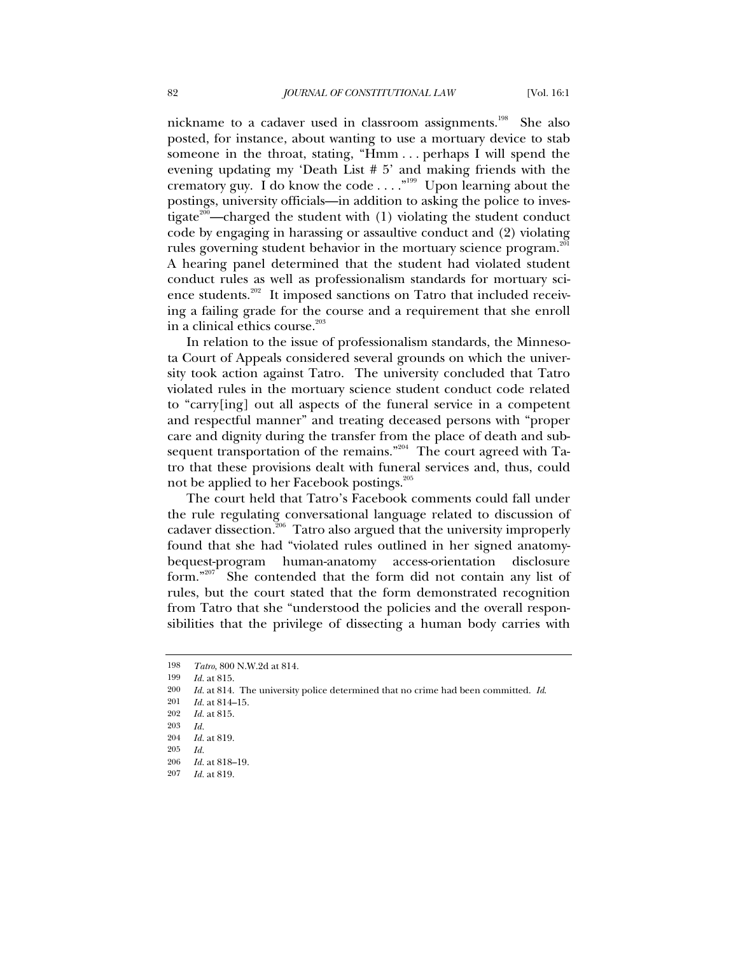nickname to a cadaver used in classroom assignments.198 She also posted, for instance, about wanting to use a mortuary device to stab someone in the throat, stating, "Hmm . . . perhaps I will spend the evening updating my 'Death List # 5' and making friends with the crematory guy. I do know the code  $\dots$ ."<sup>199</sup> Upon learning about the postings, university officials—in addition to asking the police to investigate<sup>200</sup>—charged the student with  $(1)$  violating the student conduct code by engaging in harassing or assaultive conduct and (2) violating rules governing student behavior in the mortuary science program.<sup>201</sup> A hearing panel determined that the student had violated student conduct rules as well as professionalism standards for mortuary science students.<sup>202</sup> It imposed sanctions on Tatro that included receiving a failing grade for the course and a requirement that she enroll in a clinical ethics course. $203$ 

In relation to the issue of professionalism standards, the Minnesota Court of Appeals considered several grounds on which the university took action against Tatro. The university concluded that Tatro violated rules in the mortuary science student conduct code related to "carry[ing] out all aspects of the funeral service in a competent and respectful manner" and treating deceased persons with "proper care and dignity during the transfer from the place of death and subsequent transportation of the remains."<sup>204</sup> The court agreed with Tatro that these provisions dealt with funeral services and, thus, could not be applied to her Facebook postings.<sup>205</sup>

The court held that Tatro's Facebook comments could fall under the rule regulating conversational language related to discussion of cadaver dissection.<sup>206</sup> Tatro also argued that the university improperly found that she had "violated rules outlined in her signed anatomybequest-program human-anatomy access-orientation disclosure form."207 She contended that the form did not contain any list of rules, but the court stated that the form demonstrated recognition from Tatro that she "understood the policies and the overall responsibilities that the privilege of dissecting a human body carries with

199 *Id.* at 815.

201 *Id.* at 814–15.

<sup>198</sup> *Tatro*, 800 N.W.2d at 814.

<sup>200</sup> *Id.* at 814. The university police determined that no crime had been committed. *Id*.

<sup>202</sup> *Id.* at 815.

<sup>203</sup> *Id.*

<sup>204</sup> *Id.* at 819.

<sup>205</sup> *Id.*

<sup>206</sup> *Id.* at 818–19.

<sup>207</sup> *Id.* at 819.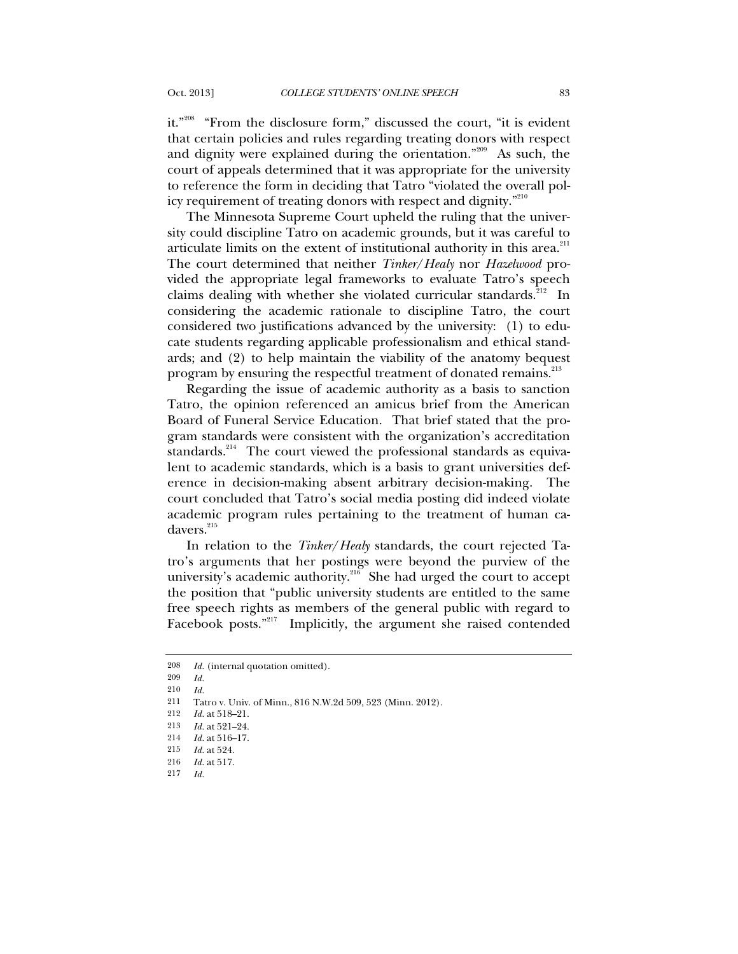it."<sup>208</sup> "From the disclosure form," discussed the court, "it is evident that certain policies and rules regarding treating donors with respect and dignity were explained during the orientation."<sup>209</sup> As such, the court of appeals determined that it was appropriate for the university to reference the form in deciding that Tatro "violated the overall policy requirement of treating donors with respect and dignity."<sup>210</sup>

The Minnesota Supreme Court upheld the ruling that the university could discipline Tatro on academic grounds, but it was careful to articulate limits on the extent of institutional authority in this area. $^{211}$ The court determined that neither *Tinker*/*Healy* nor *Hazelwood* provided the appropriate legal frameworks to evaluate Tatro's speech claims dealing with whether she violated curricular standards.<sup>212</sup> In considering the academic rationale to discipline Tatro, the court considered two justifications advanced by the university: (1) to educate students regarding applicable professionalism and ethical standards; and (2) to help maintain the viability of the anatomy bequest program by ensuring the respectful treatment of donated remains.<sup>213</sup>

Regarding the issue of academic authority as a basis to sanction Tatro, the opinion referenced an amicus brief from the American Board of Funeral Service Education. That brief stated that the program standards were consistent with the organization's accreditation standards.<sup>214</sup> The court viewed the professional standards as equivalent to academic standards, which is a basis to grant universities deference in decision-making absent arbitrary decision-making. The court concluded that Tatro's social media posting did indeed violate academic program rules pertaining to the treatment of human cadavers.<sup>215</sup>

In relation to the *Tinker*/*Healy* standards, the court rejected Tatro's arguments that her postings were beyond the purview of the university's academic authority. $^{216}$  She had urged the court to accept the position that "public university students are entitled to the same free speech rights as members of the general public with regard to Facebook posts."<sup>217</sup> Implicitly, the argument she raised contended

<sup>208</sup> *Id.* (internal quotation omitted).

<sup>209</sup> *Id.*

<sup>210</sup> *Id.*

<sup>211</sup> Tatro v. Univ. of Minn., 816 N.W.2d 509, 523 (Minn. 2012).

<sup>212</sup> *Id.* at 518–21.

<sup>213</sup> *Id.* at 521–24.

<sup>214</sup> *Id.* at 516–17.

<sup>215</sup> *Id.* at 524.

<sup>216</sup> *Id.* at 517.

<sup>217</sup> *Id.*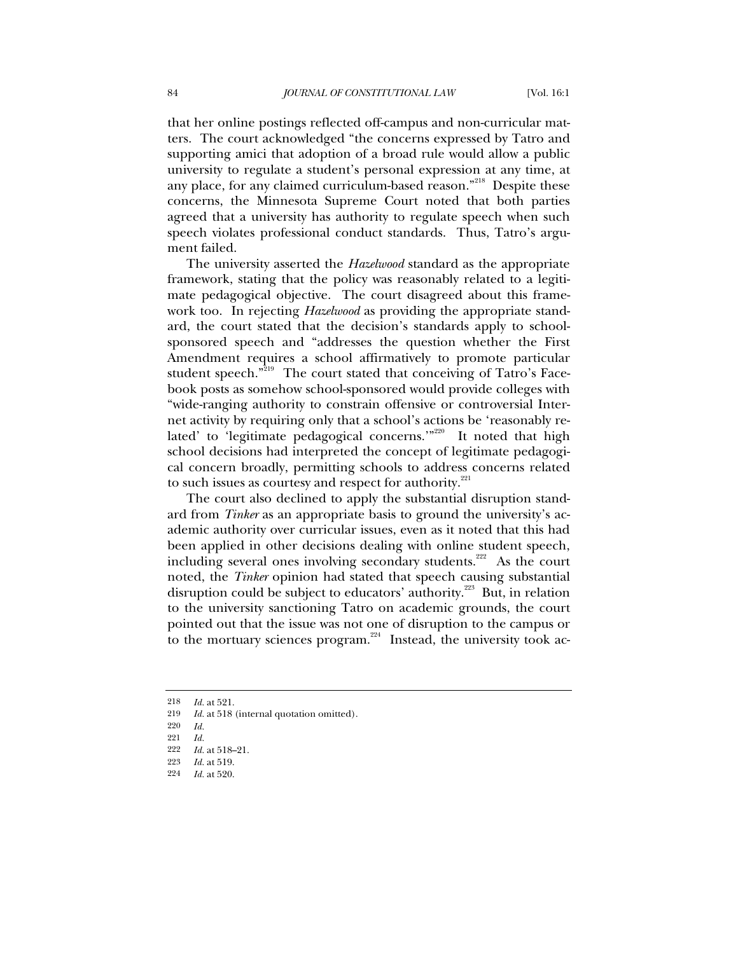that her online postings reflected off-campus and non-curricular matters. The court acknowledged "the concerns expressed by Tatro and supporting amici that adoption of a broad rule would allow a public university to regulate a student's personal expression at any time, at any place, for any claimed curriculum-based reason."<sup>218</sup> Despite these concerns, the Minnesota Supreme Court noted that both parties agreed that a university has authority to regulate speech when such speech violates professional conduct standards. Thus, Tatro's argument failed.

The university asserted the *Hazelwood* standard as the appropriate framework, stating that the policy was reasonably related to a legitimate pedagogical objective. The court disagreed about this framework too. In rejecting *Hazelwood* as providing the appropriate standard, the court stated that the decision's standards apply to schoolsponsored speech and "addresses the question whether the First Amendment requires a school affirmatively to promote particular student speech."<sup>219</sup> The court stated that conceiving of Tatro's Facebook posts as somehow school-sponsored would provide colleges with "wide-ranging authority to constrain offensive or controversial Internet activity by requiring only that a school's actions be 'reasonably related' to 'legitimate pedagogical concerns.'"<sup>220</sup> It noted that high school decisions had interpreted the concept of legitimate pedagogical concern broadly, permitting schools to address concerns related to such issues as courtesy and respect for authority.<sup>221</sup>

The court also declined to apply the substantial disruption standard from *Tinker* as an appropriate basis to ground the university's academic authority over curricular issues, even as it noted that this had been applied in other decisions dealing with online student speech, including several ones involving secondary students.<sup> $222$ </sup> As the court noted, the *Tinker* opinion had stated that speech causing substantial disruption could be subject to educators' authority.<sup>223</sup> But, in relation to the university sanctioning Tatro on academic grounds, the court pointed out that the issue was not one of disruption to the campus or to the mortuary sciences program.<sup>224</sup> Instead, the university took ac-

<sup>218</sup> *Id.* at 521.

<sup>219</sup> *Id.* at 518 (internal quotation omitted).

<sup>220</sup> *Id.*

<sup>221</sup> *Id.*

<sup>222</sup> *Id.* at 518–21.

<sup>223</sup> *Id.* at 519.

<sup>224</sup> *Id.* at 520.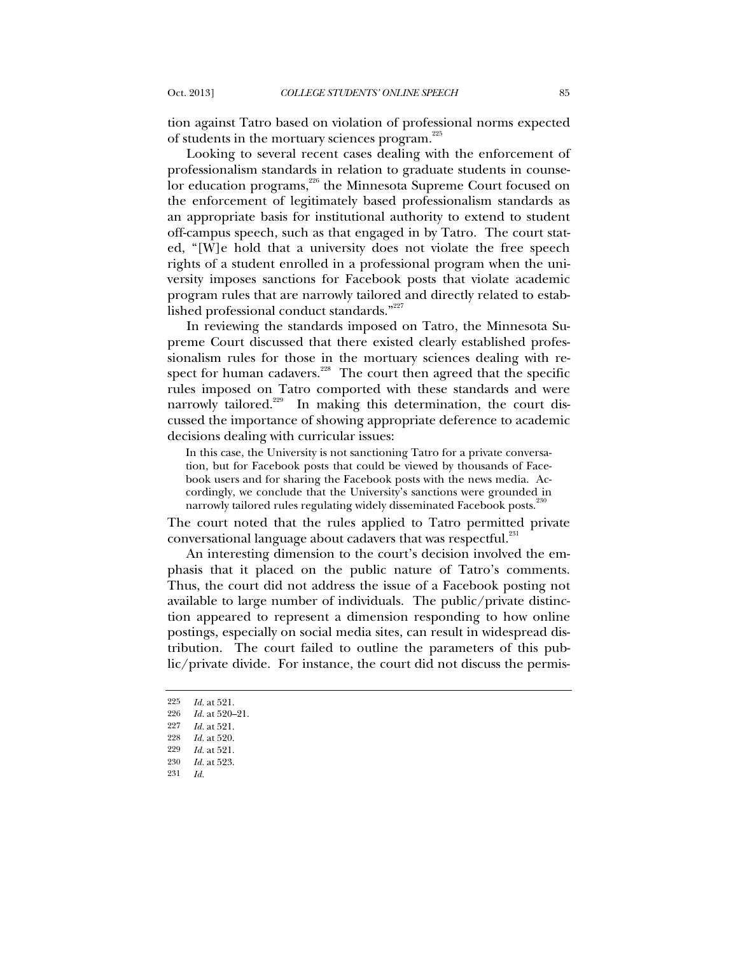tion against Tatro based on violation of professional norms expected of students in the mortuary sciences program.<sup>225</sup>

Looking to several recent cases dealing with the enforcement of professionalism standards in relation to graduate students in counselor education programs,<sup>226</sup> the Minnesota Supreme Court focused on the enforcement of legitimately based professionalism standards as an appropriate basis for institutional authority to extend to student off-campus speech, such as that engaged in by Tatro. The court stated, "[W]e hold that a university does not violate the free speech rights of a student enrolled in a professional program when the university imposes sanctions for Facebook posts that violate academic program rules that are narrowly tailored and directly related to established professional conduct standards."<sup>227</sup>

In reviewing the standards imposed on Tatro, the Minnesota Supreme Court discussed that there existed clearly established professionalism rules for those in the mortuary sciences dealing with respect for human cadavers.<sup>228</sup> The court then agreed that the specific rules imposed on Tatro comported with these standards and were narrowly tailored.<sup>229</sup> In making this determination, the court discussed the importance of showing appropriate deference to academic decisions dealing with curricular issues:

In this case, the University is not sanctioning Tatro for a private conversation, but for Facebook posts that could be viewed by thousands of Facebook users and for sharing the Facebook posts with the news media. Accordingly, we conclude that the University's sanctions were grounded in narrowly tailored rules regulating widely disseminated Facebook posts.<sup>2</sup>

The court noted that the rules applied to Tatro permitted private conversational language about cadavers that was respectful.<sup>231</sup>

An interesting dimension to the court's decision involved the emphasis that it placed on the public nature of Tatro's comments. Thus, the court did not address the issue of a Facebook posting not available to large number of individuals. The public/private distinction appeared to represent a dimension responding to how online postings, especially on social media sites, can result in widespread distribution. The court failed to outline the parameters of this public/private divide. For instance, the court did not discuss the permis-

<sup>225</sup> *Id.* at 521.

<sup>226</sup> *Id.* at 520–21.

<sup>227</sup> *Id.* at 521.

<sup>228</sup> *Id.* at 520.

<sup>229</sup> *Id.* at 521.

<sup>230</sup> *Id.* at 523.

<sup>231</sup> *Id.*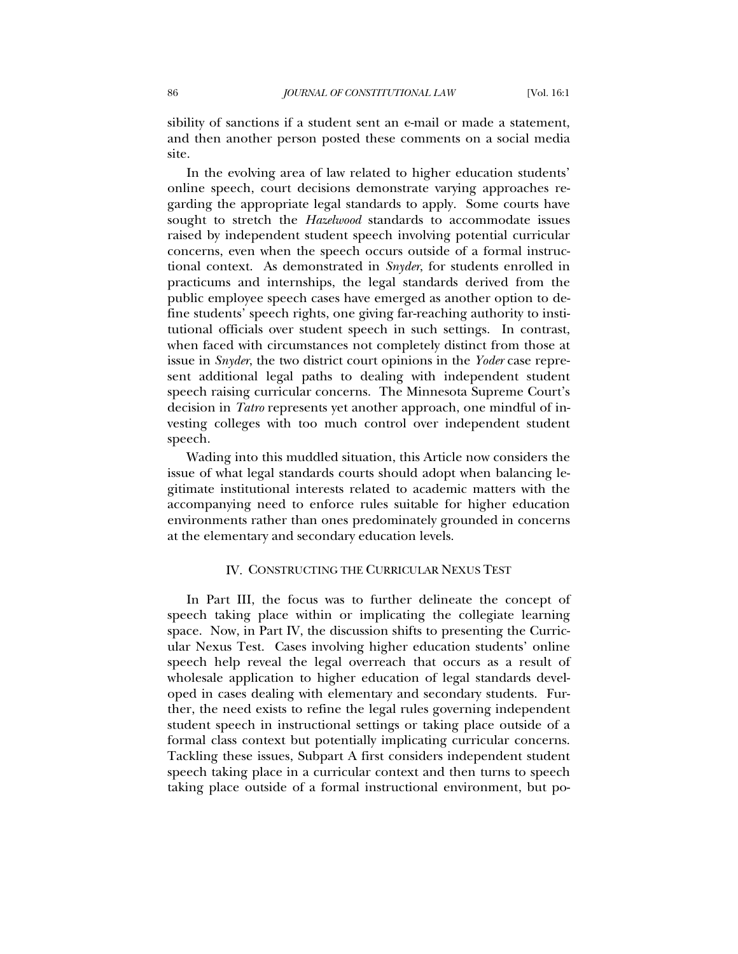sibility of sanctions if a student sent an e-mail or made a statement, and then another person posted these comments on a social media site.

In the evolving area of law related to higher education students' online speech, court decisions demonstrate varying approaches regarding the appropriate legal standards to apply. Some courts have sought to stretch the *Hazelwood* standards to accommodate issues raised by independent student speech involving potential curricular concerns, even when the speech occurs outside of a formal instructional context. As demonstrated in *Snyder*, for students enrolled in practicums and internships, the legal standards derived from the public employee speech cases have emerged as another option to define students' speech rights, one giving far-reaching authority to institutional officials over student speech in such settings. In contrast, when faced with circumstances not completely distinct from those at issue in *Snyder*, the two district court opinions in the *Yoder* case represent additional legal paths to dealing with independent student speech raising curricular concerns. The Minnesota Supreme Court's decision in *Tatro* represents yet another approach, one mindful of investing colleges with too much control over independent student speech.

Wading into this muddled situation, this Article now considers the issue of what legal standards courts should adopt when balancing legitimate institutional interests related to academic matters with the accompanying need to enforce rules suitable for higher education environments rather than ones predominately grounded in concerns at the elementary and secondary education levels.

## IV. CONSTRUCTING THE CURRICULAR NEXUS TEST

In Part III, the focus was to further delineate the concept of speech taking place within or implicating the collegiate learning space. Now, in Part IV, the discussion shifts to presenting the Curricular Nexus Test. Cases involving higher education students' online speech help reveal the legal overreach that occurs as a result of wholesale application to higher education of legal standards developed in cases dealing with elementary and secondary students. Further, the need exists to refine the legal rules governing independent student speech in instructional settings or taking place outside of a formal class context but potentially implicating curricular concerns. Tackling these issues, Subpart A first considers independent student speech taking place in a curricular context and then turns to speech taking place outside of a formal instructional environment, but po-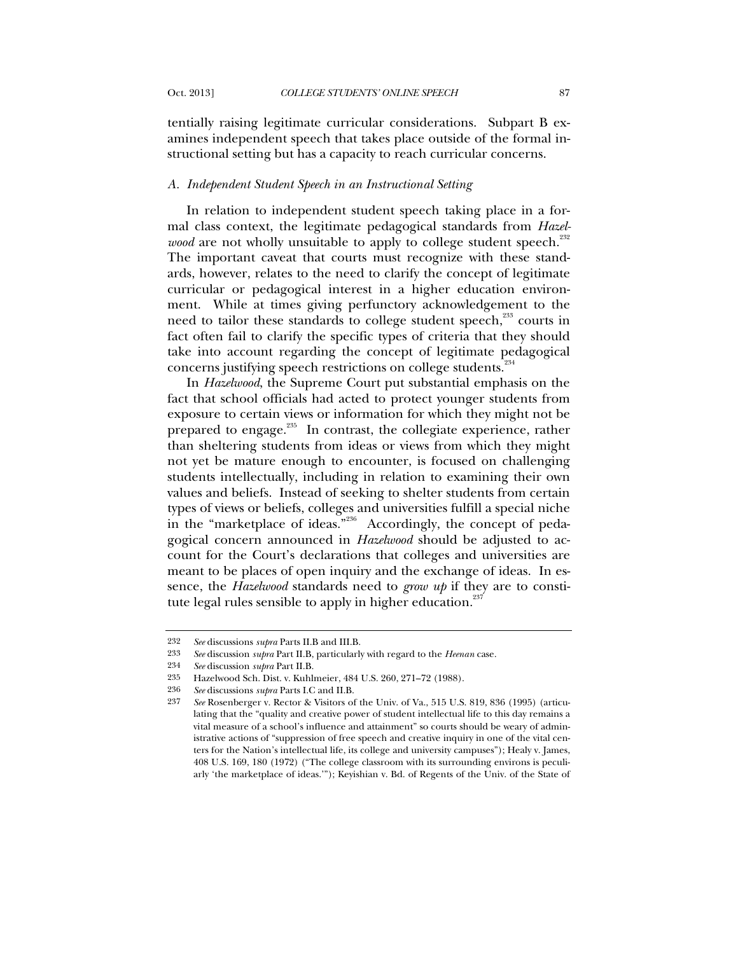tentially raising legitimate curricular considerations. Subpart B examines independent speech that takes place outside of the formal instructional setting but has a capacity to reach curricular concerns.

### *A. Independent Student Speech in an Instructional Setting*

In relation to independent student speech taking place in a formal class context, the legitimate pedagogical standards from *Hazelwood* are not wholly unsuitable to apply to college student speech.<sup>232</sup> The important caveat that courts must recognize with these standards, however, relates to the need to clarify the concept of legitimate curricular or pedagogical interest in a higher education environment. While at times giving perfunctory acknowledgement to the need to tailor these standards to college student speech,<sup>233</sup> courts in fact often fail to clarify the specific types of criteria that they should take into account regarding the concept of legitimate pedagogical concerns justifying speech restrictions on college students.<sup>234</sup>

In *Hazelwood*, the Supreme Court put substantial emphasis on the fact that school officials had acted to protect younger students from exposure to certain views or information for which they might not be prepared to engage.<sup>235</sup> In contrast, the collegiate experience, rather than sheltering students from ideas or views from which they might not yet be mature enough to encounter, is focused on challenging students intellectually, including in relation to examining their own values and beliefs. Instead of seeking to shelter students from certain types of views or beliefs, colleges and universities fulfill a special niche in the "marketplace of ideas."<sup>236</sup> Accordingly, the concept of pedagogical concern announced in *Hazelwood* should be adjusted to account for the Court's declarations that colleges and universities are meant to be places of open inquiry and the exchange of ideas. In essence, the *Hazelwood* standards need to *grow up* if they are to constitute legal rules sensible to apply in higher education.<sup>237</sup>

<sup>232</sup> *See* discussions *supra* Parts II.B and III.B.

<sup>233</sup> *See* discussion *supra* Part II.B, particularly with regard to the *Heenan* case.

<sup>234</sup> *See* discussion *supra* Part II.B.

<sup>235</sup> Hazelwood Sch. Dist. v. Kuhlmeier, 484 U.S. 260, 271–72 (1988).

<sup>236</sup> *See* discussions *supra* Parts I.C and II.B.

<sup>237</sup> *See* Rosenberger v. Rector & Visitors of the Univ. of Va., 515 U.S. 819, 836 (1995) (articulating that the "quality and creative power of student intellectual life to this day remains a vital measure of a school's influence and attainment" so courts should be weary of administrative actions of "suppression of free speech and creative inquiry in one of the vital centers for the Nation's intellectual life, its college and university campuses"); Healy v. James, 408 U.S. 169, 180 (1972) ("The college classroom with its surrounding environs is peculiarly 'the marketplace of ideas.'"); Keyishian v. Bd. of Regents of the Univ. of the State of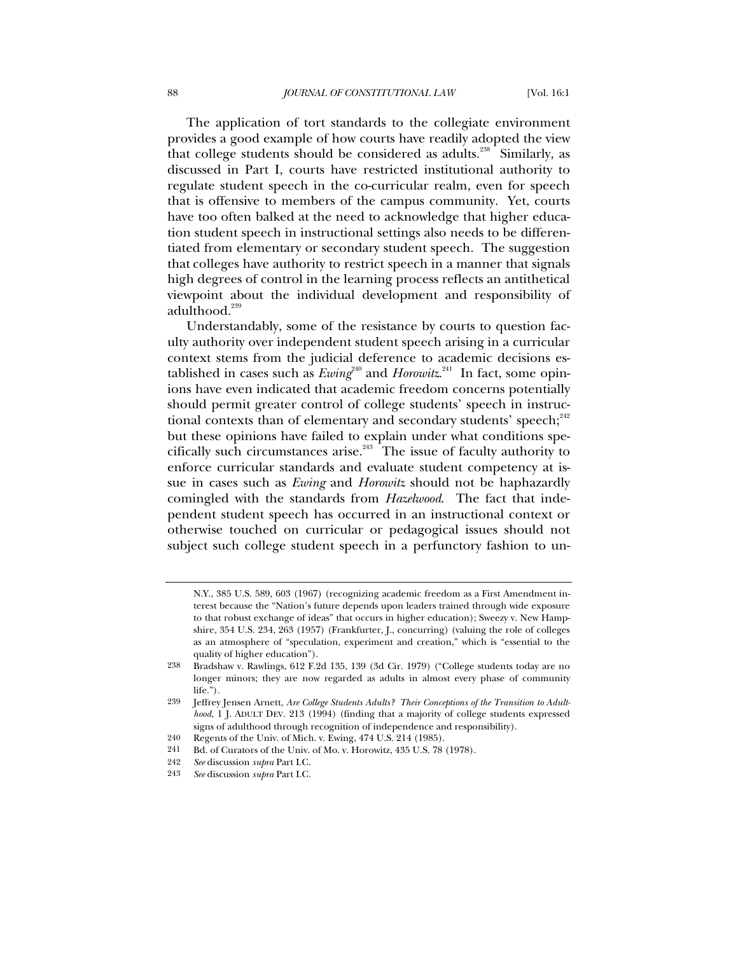The application of tort standards to the collegiate environment provides a good example of how courts have readily adopted the view that college students should be considered as adults.<sup>238</sup> Similarly, as discussed in Part I, courts have restricted institutional authority to regulate student speech in the co-curricular realm, even for speech that is offensive to members of the campus community. Yet, courts have too often balked at the need to acknowledge that higher education student speech in instructional settings also needs to be differentiated from elementary or secondary student speech. The suggestion that colleges have authority to restrict speech in a manner that signals high degrees of control in the learning process reflects an antithetical viewpoint about the individual development and responsibility of adulthood.<sup>239</sup>

Understandably, some of the resistance by courts to question faculty authority over independent student speech arising in a curricular context stems from the judicial deference to academic decisions established in cases such as  $Ewing^{240}$  and  $Horowitz^{241}$  In fact, some opinions have even indicated that academic freedom concerns potentially should permit greater control of college students' speech in instructional contexts than of elementary and secondary students' speech; $^{242}$ but these opinions have failed to explain under what conditions specifically such circumstances arise.243 The issue of faculty authority to enforce curricular standards and evaluate student competency at issue in cases such as *Ewing* and *Horowitz* should not be haphazardly comingled with the standards from *Hazelwood*. The fact that independent student speech has occurred in an instructional context or otherwise touched on curricular or pedagogical issues should not subject such college student speech in a perfunctory fashion to un-

N.Y., 385 U.S. 589, 603 (1967) (recognizing academic freedom as a First Amendment interest because the "Nation's future depends upon leaders trained through wide exposure to that robust exchange of ideas" that occurs in higher education); Sweezy v. New Hampshire, 354 U.S. 234, 263 (1957) (Frankfurter, J., concurring) (valuing the role of colleges as an atmosphere of "speculation, experiment and creation," which is "essential to the quality of higher education").

<sup>238</sup> Bradshaw v. Rawlings, 612 F.2d 135, 139 (3d Cir. 1979) ("College students today are no longer minors; they are now regarded as adults in almost every phase of community life.").

<sup>239</sup> Jeffrey Jensen Arnett, *Are College Students Adults? Their Conceptions of the Transition to Adulthood*, 1 J. ADULT DEV. 213 (1994) (finding that a majority of college students expressed signs of adulthood through recognition of independence and responsibility).

<sup>240</sup> Regents of the Univ. of Mich. v. Ewing, 474 U.S. 214 (1985).

<sup>241</sup> Bd. of Curators of the Univ. of Mo. v. Horowitz, 435 U.S. 78 (1978).

<sup>242</sup> *See* discussion *supra* Part I.C.

<sup>243</sup> *See* discussion *supra* Part I.C.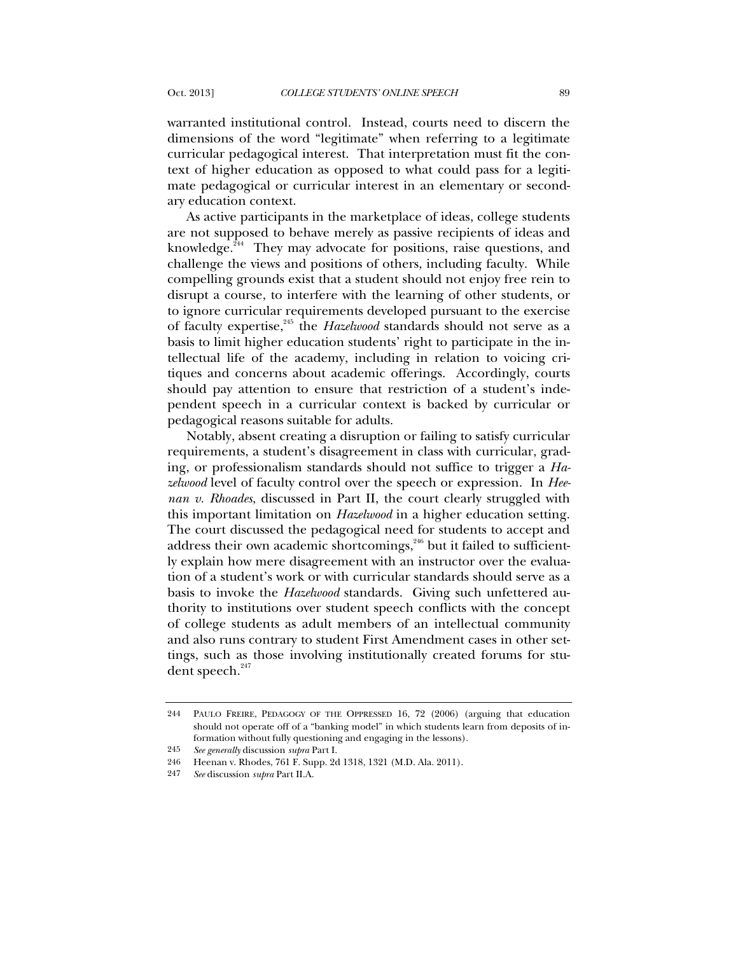warranted institutional control. Instead, courts need to discern the dimensions of the word "legitimate" when referring to a legitimate curricular pedagogical interest. That interpretation must fit the context of higher education as opposed to what could pass for a legitimate pedagogical or curricular interest in an elementary or secondary education context.

As active participants in the marketplace of ideas, college students are not supposed to behave merely as passive recipients of ideas and knowledge.<sup>244</sup> They may advocate for positions, raise questions, and challenge the views and positions of others, including faculty. While compelling grounds exist that a student should not enjoy free rein to disrupt a course, to interfere with the learning of other students, or to ignore curricular requirements developed pursuant to the exercise of faculty expertise,<sup>245</sup> the *Hazelwood* standards should not serve as a basis to limit higher education students' right to participate in the intellectual life of the academy, including in relation to voicing critiques and concerns about academic offerings. Accordingly, courts should pay attention to ensure that restriction of a student's independent speech in a curricular context is backed by curricular or pedagogical reasons suitable for adults.

Notably, absent creating a disruption or failing to satisfy curricular requirements, a student's disagreement in class with curricular, grading, or professionalism standards should not suffice to trigger a *Hazelwood* level of faculty control over the speech or expression. In *Heenan v. Rhoades*, discussed in Part II, the court clearly struggled with this important limitation on *Hazelwood* in a higher education setting. The court discussed the pedagogical need for students to accept and address their own academic shortcomings,<sup>246</sup> but it failed to sufficiently explain how mere disagreement with an instructor over the evaluation of a student's work or with curricular standards should serve as a basis to invoke the *Hazelwood* standards. Giving such unfettered authority to institutions over student speech conflicts with the concept of college students as adult members of an intellectual community and also runs contrary to student First Amendment cases in other settings, such as those involving institutionally created forums for student speech. $247$ 

<sup>244</sup> PAULO FREIRE, PEDAGOGY OF THE OPPRESSED 16, 72 (2006) (arguing that education should not operate off of a "banking model" in which students learn from deposits of information without fully questioning and engaging in the lessons).

<sup>245</sup> *See generally* discussion *supra* Part I.

<sup>246</sup> Heenan v. Rhodes, 761 F. Supp. 2d 1318, 1321 (M.D. Ala. 2011).

<sup>247</sup> *See* discussion *supra* Part II.A.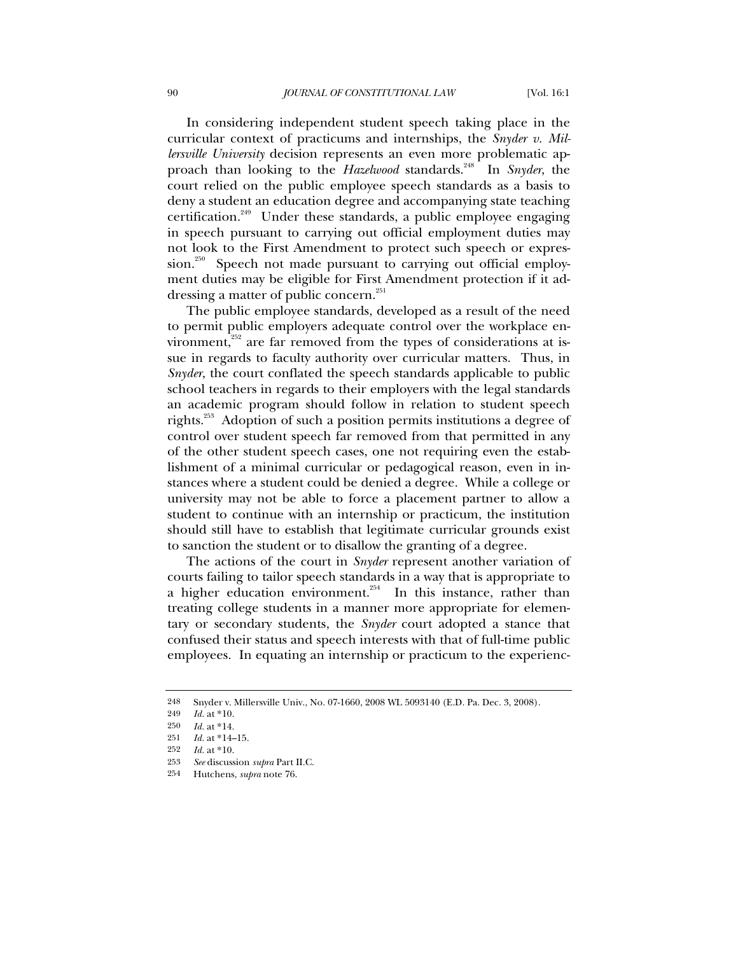In considering independent student speech taking place in the curricular context of practicums and internships, the *Snyder v. Millersville University* decision represents an even more problematic approach than looking to the *Hazelwood* standards.<sup>248</sup> In *Snyder*, the court relied on the public employee speech standards as a basis to deny a student an education degree and accompanying state teaching certification.249 Under these standards, a public employee engaging in speech pursuant to carrying out official employment duties may not look to the First Amendment to protect such speech or expression.<sup>250</sup> Speech not made pursuant to carrying out official employment duties may be eligible for First Amendment protection if it addressing a matter of public concern.<sup>251</sup>

The public employee standards, developed as a result of the need to permit public employers adequate control over the workplace environment,<sup>252</sup> are far removed from the types of considerations at issue in regards to faculty authority over curricular matters. Thus, in *Snyder*, the court conflated the speech standards applicable to public school teachers in regards to their employers with the legal standards an academic program should follow in relation to student speech rights.<sup>253</sup> Adoption of such a position permits institutions a degree of control over student speech far removed from that permitted in any of the other student speech cases, one not requiring even the establishment of a minimal curricular or pedagogical reason, even in instances where a student could be denied a degree. While a college or university may not be able to force a placement partner to allow a student to continue with an internship or practicum, the institution should still have to establish that legitimate curricular grounds exist to sanction the student or to disallow the granting of a degree.

The actions of the court in *Snyder* represent another variation of courts failing to tailor speech standards in a way that is appropriate to a higher education environment.<sup>254</sup> In this instance, rather than treating college students in a manner more appropriate for elementary or secondary students, the *Snyder* court adopted a stance that confused their status and speech interests with that of full-time public employees. In equating an internship or practicum to the experienc-

<sup>248</sup> Snyder v. Millersville Univ., No. 07-1660, 2008 WL 5093140 (E.D. Pa. Dec. 3, 2008).

<sup>249</sup> *Id.* at \*10.

<sup>250</sup> *Id.* at \*14.

<sup>251</sup> *Id.* at \*14–15.

<sup>252</sup> *Id.* at \*10.

<sup>253</sup> *See* discussion *supra* Part II.C.

<sup>254</sup> Hutchens, *supra* note 76.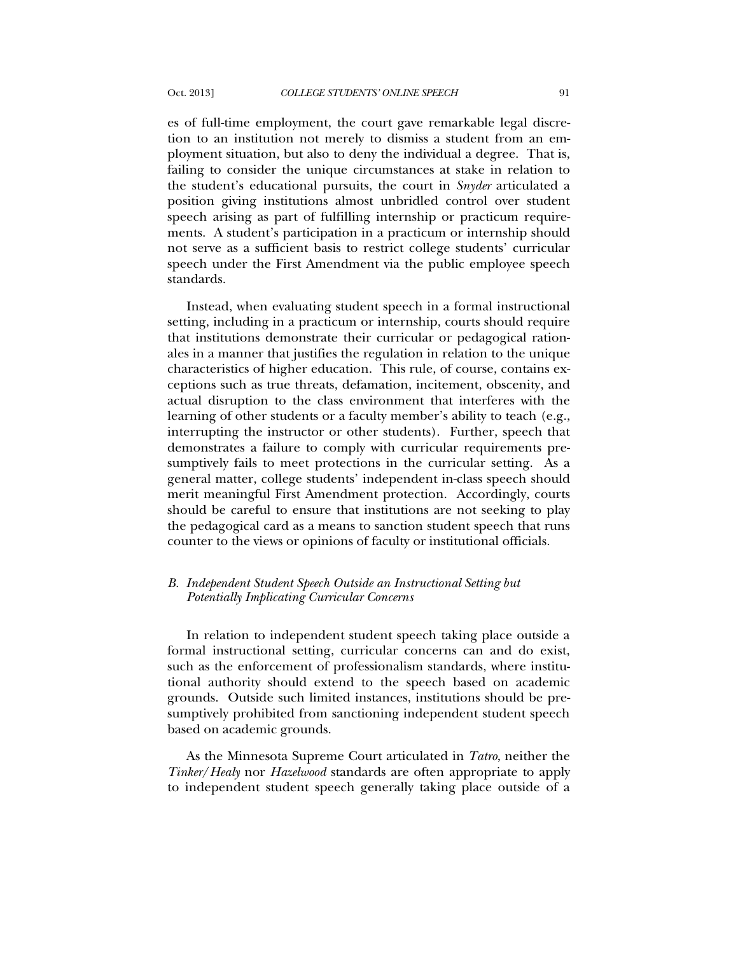es of full-time employment, the court gave remarkable legal discretion to an institution not merely to dismiss a student from an employment situation, but also to deny the individual a degree. That is, failing to consider the unique circumstances at stake in relation to the student's educational pursuits, the court in *Snyder* articulated a position giving institutions almost unbridled control over student speech arising as part of fulfilling internship or practicum requirements. A student's participation in a practicum or internship should not serve as a sufficient basis to restrict college students' curricular speech under the First Amendment via the public employee speech standards.

Instead, when evaluating student speech in a formal instructional setting, including in a practicum or internship, courts should require that institutions demonstrate their curricular or pedagogical rationales in a manner that justifies the regulation in relation to the unique characteristics of higher education. This rule, of course, contains exceptions such as true threats, defamation, incitement, obscenity, and actual disruption to the class environment that interferes with the learning of other students or a faculty member's ability to teach (e.g., interrupting the instructor or other students). Further, speech that demonstrates a failure to comply with curricular requirements presumptively fails to meet protections in the curricular setting. As a general matter, college students' independent in-class speech should merit meaningful First Amendment protection. Accordingly, courts should be careful to ensure that institutions are not seeking to play the pedagogical card as a means to sanction student speech that runs counter to the views or opinions of faculty or institutional officials.

## *B. Independent Student Speech Outside an Instructional Setting but Potentially Implicating Curricular Concerns*

In relation to independent student speech taking place outside a formal instructional setting, curricular concerns can and do exist, such as the enforcement of professionalism standards, where institutional authority should extend to the speech based on academic grounds. Outside such limited instances, institutions should be presumptively prohibited from sanctioning independent student speech based on academic grounds.

As the Minnesota Supreme Court articulated in *Tatro*, neither the *Tinker*/*Healy* nor *Hazelwood* standards are often appropriate to apply to independent student speech generally taking place outside of a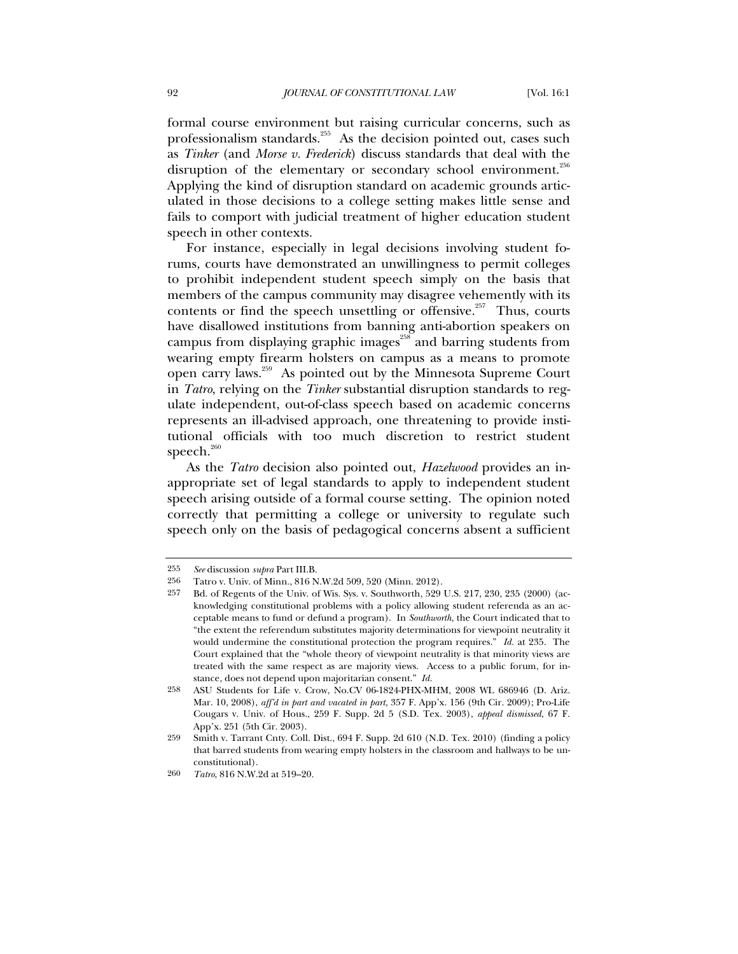formal course environment but raising curricular concerns, such as professionalism standards.<sup>255</sup> As the decision pointed out, cases such as *Tinker* (and *Morse v. Frederick*) discuss standards that deal with the disruption of the elementary or secondary school environment.<sup>256</sup> Applying the kind of disruption standard on academic grounds articulated in those decisions to a college setting makes little sense and fails to comport with judicial treatment of higher education student speech in other contexts.

For instance, especially in legal decisions involving student forums, courts have demonstrated an unwillingness to permit colleges to prohibit independent student speech simply on the basis that members of the campus community may disagree vehemently with its contents or find the speech unsettling or offensive. $257$  Thus, courts have disallowed institutions from banning anti-abortion speakers on campus from displaying graphic images<sup>258</sup> and barring students from wearing empty firearm holsters on campus as a means to promote open carry laws.259 As pointed out by the Minnesota Supreme Court in *Tatro*, relying on the *Tinker* substantial disruption standards to regulate independent, out-of-class speech based on academic concerns represents an ill-advised approach, one threatening to provide institutional officials with too much discretion to restrict student speech.<sup>260</sup>

As the *Tatro* decision also pointed out, *Hazelwood* provides an inappropriate set of legal standards to apply to independent student speech arising outside of a formal course setting. The opinion noted correctly that permitting a college or university to regulate such speech only on the basis of pedagogical concerns absent a sufficient

<sup>255</sup> *See* discussion *supra* Part III.B.

<sup>256</sup> Tatro v. Univ. of Minn., 816 N.W.2d 509, 520 (Minn. 2012).

<sup>257</sup> Bd. of Regents of the Univ. of Wis. Sys. v. Southworth, 529 U.S. 217, 230, 235 (2000) (acknowledging constitutional problems with a policy allowing student referenda as an acceptable means to fund or defund a program). In *Southworth*, the Court indicated that to "the extent the referendum substitutes majority determinations for viewpoint neutrality it would undermine the constitutional protection the program requires." *Id.* at 235. The Court explained that the "whole theory of viewpoint neutrality is that minority views are treated with the same respect as are majority views. Access to a public forum, for instance, does not depend upon majoritarian consent." *Id.*

<sup>258</sup> ASU Students for Life v. Crow, No.CV 06-1824-PHX-MHM, 2008 WL 686946 (D. Ariz. Mar. 10, 2008), *aff'd in part and vacated in part,* 357 F. App'x. 156 (9th Cir. 2009); Pro-Life Cougars v. Univ. of Hous., 259 F. Supp. 2d 5 (S.D. Tex. 2003), *appeal dismissed*, 67 F. App'x. 251 (5th Cir. 2003).

<sup>259</sup> Smith v. Tarrant Cnty. Coll. Dist., 694 F. Supp. 2d 610 (N.D. Tex. 2010) (finding a policy that barred students from wearing empty holsters in the classroom and hallways to be unconstitutional).

<sup>260</sup> *Tatro*, 816 N.W.2d at 519–20.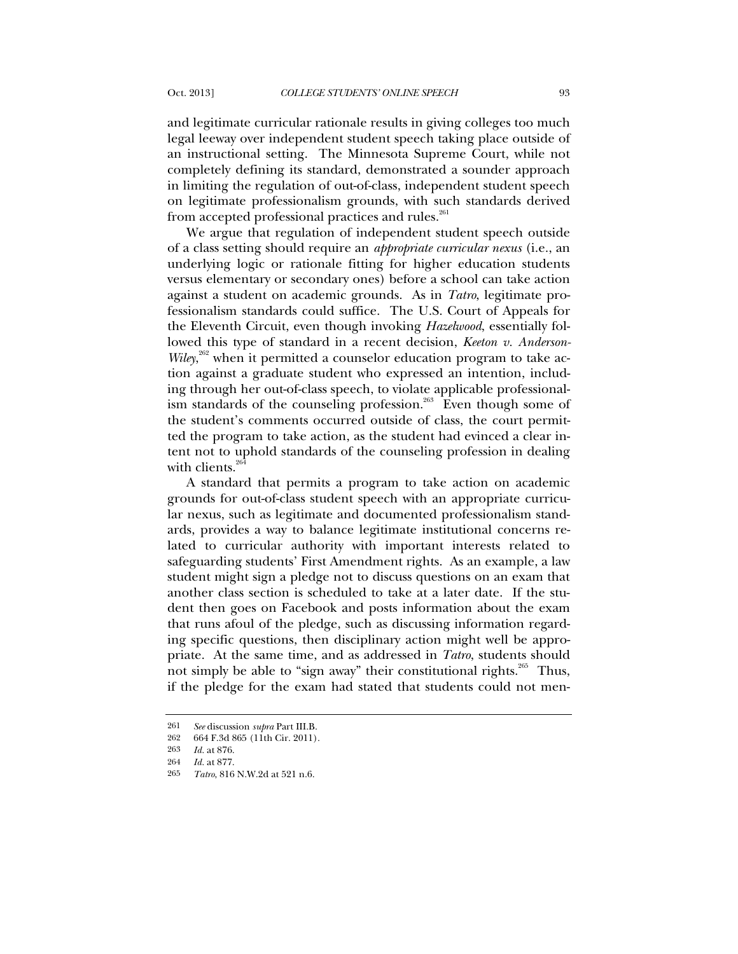and legitimate curricular rationale results in giving colleges too much legal leeway over independent student speech taking place outside of an instructional setting. The Minnesota Supreme Court, while not completely defining its standard, demonstrated a sounder approach in limiting the regulation of out-of-class, independent student speech on legitimate professionalism grounds, with such standards derived from accepted professional practices and rules.<sup>261</sup>

We argue that regulation of independent student speech outside of a class setting should require an *appropriate curricular nexus* (i.e., an underlying logic or rationale fitting for higher education students versus elementary or secondary ones) before a school can take action against a student on academic grounds. As in *Tatro*, legitimate professionalism standards could suffice. The U.S. Court of Appeals for the Eleventh Circuit, even though invoking *Hazelwood*, essentially followed this type of standard in a recent decision, *Keeton v. Anderson-*Wiley,<sup>262</sup> when it permitted a counselor education program to take action against a graduate student who expressed an intention, including through her out-of-class speech, to violate applicable professionalism standards of the counseling profession.<sup>263</sup> Even though some of the student's comments occurred outside of class, the court permitted the program to take action, as the student had evinced a clear intent not to uphold standards of the counseling profession in dealing with clients. $264$ 

A standard that permits a program to take action on academic grounds for out-of-class student speech with an appropriate curricular nexus, such as legitimate and documented professionalism standards, provides a way to balance legitimate institutional concerns related to curricular authority with important interests related to safeguarding students' First Amendment rights. As an example, a law student might sign a pledge not to discuss questions on an exam that another class section is scheduled to take at a later date. If the student then goes on Facebook and posts information about the exam that runs afoul of the pledge, such as discussing information regarding specific questions, then disciplinary action might well be appropriate. At the same time, and as addressed in *Tatro*, students should not simply be able to "sign away" their constitutional rights.<sup>265</sup> Thus, if the pledge for the exam had stated that students could not men-

<sup>261</sup> *See* discussion *supra* Part III.B.

<sup>262</sup> 664 F.3d 865 (11th Cir. 2011).

<sup>263</sup> *Id.* at 876.

<sup>264</sup> *Id.* at 877.

<sup>265</sup> *Tatro*, 816 N.W.2d at 521 n.6.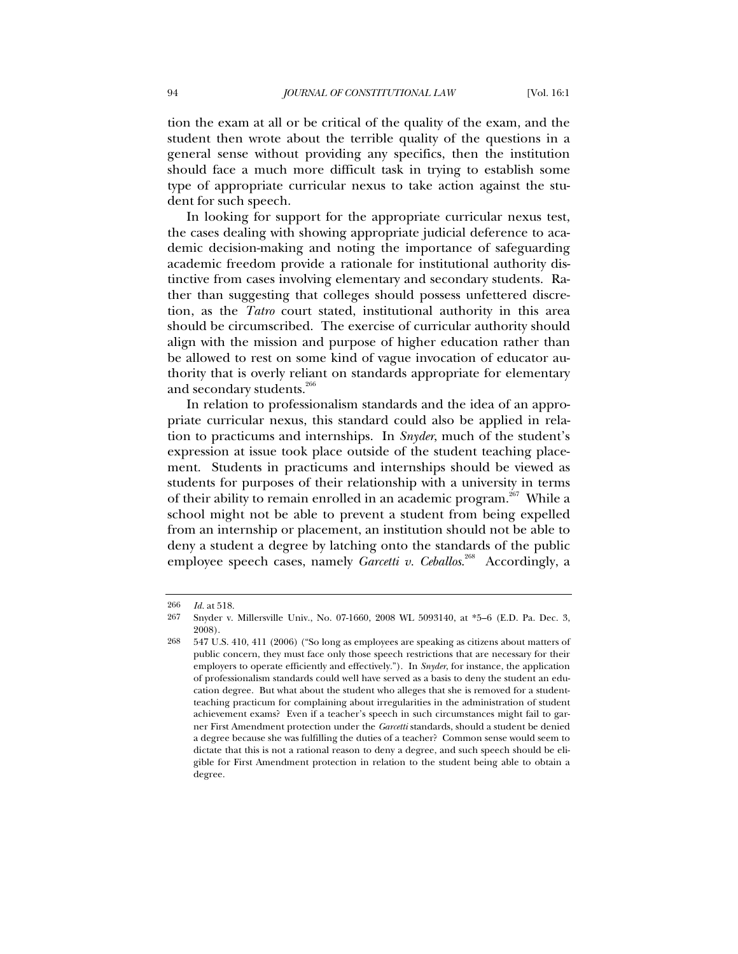tion the exam at all or be critical of the quality of the exam, and the student then wrote about the terrible quality of the questions in a general sense without providing any specifics, then the institution should face a much more difficult task in trying to establish some type of appropriate curricular nexus to take action against the student for such speech.

In looking for support for the appropriate curricular nexus test, the cases dealing with showing appropriate judicial deference to academic decision-making and noting the importance of safeguarding academic freedom provide a rationale for institutional authority distinctive from cases involving elementary and secondary students. Rather than suggesting that colleges should possess unfettered discretion, as the *Tatro* court stated, institutional authority in this area should be circumscribed. The exercise of curricular authority should align with the mission and purpose of higher education rather than be allowed to rest on some kind of vague invocation of educator authority that is overly reliant on standards appropriate for elementary and secondary students.<sup>266</sup>

In relation to professionalism standards and the idea of an appropriate curricular nexus, this standard could also be applied in relation to practicums and internships. In *Snyder*, much of the student's expression at issue took place outside of the student teaching placement. Students in practicums and internships should be viewed as students for purposes of their relationship with a university in terms of their ability to remain enrolled in an academic program.<sup>267</sup> While a school might not be able to prevent a student from being expelled from an internship or placement, an institution should not be able to deny a student a degree by latching onto the standards of the public employee speech cases, namely *Garcetti v. Ceballos*.<sup>268</sup> Accordingly, a

<sup>266</sup> *Id.* at 518.

<sup>267</sup> Snyder v. Millersville Univ., No. 07-1660, 2008 WL 5093140, at \*5–6 (E.D. Pa. Dec. 3, 2008).

<sup>268</sup> 547 U.S. 410, 411 (2006) ("So long as employees are speaking as citizens about matters of public concern, they must face only those speech restrictions that are necessary for their employers to operate efficiently and effectively."). In *Snyder*, for instance, the application of professionalism standards could well have served as a basis to deny the student an education degree. But what about the student who alleges that she is removed for a studentteaching practicum for complaining about irregularities in the administration of student achievement exams? Even if a teacher's speech in such circumstances might fail to garner First Amendment protection under the *Garcetti* standards, should a student be denied a degree because she was fulfilling the duties of a teacher? Common sense would seem to dictate that this is not a rational reason to deny a degree, and such speech should be eligible for First Amendment protection in relation to the student being able to obtain a degree.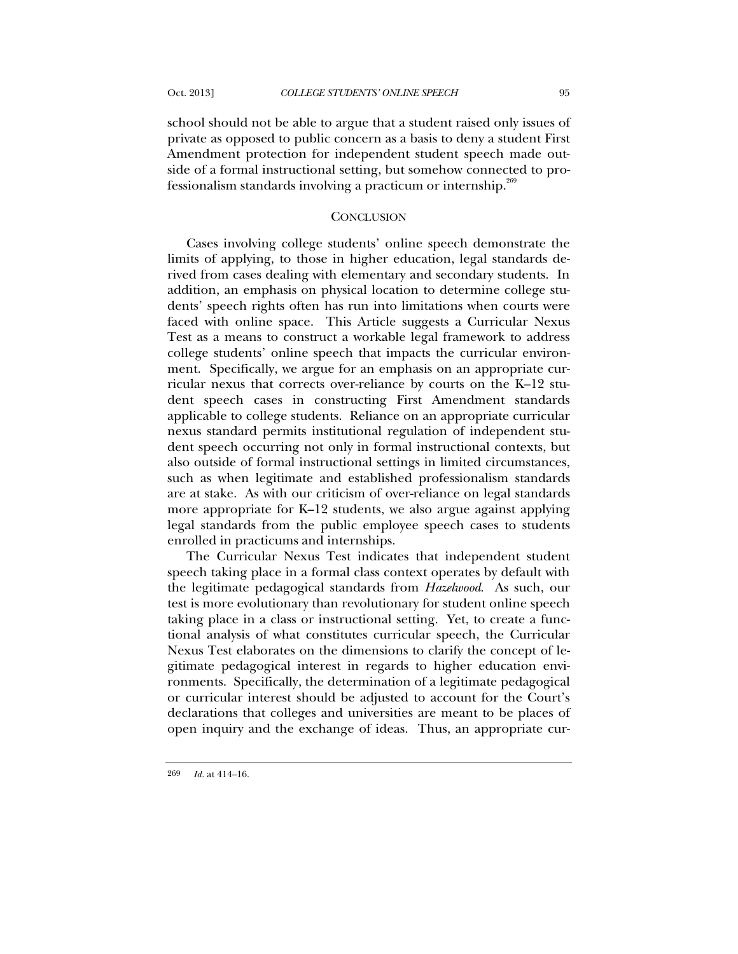school should not be able to argue that a student raised only issues of private as opposed to public concern as a basis to deny a student First Amendment protection for independent student speech made outside of a formal instructional setting, but somehow connected to professionalism standards involving a practicum or internship.<sup>269</sup>

### **CONCLUSION**

Cases involving college students' online speech demonstrate the limits of applying, to those in higher education, legal standards derived from cases dealing with elementary and secondary students. In addition, an emphasis on physical location to determine college students' speech rights often has run into limitations when courts were faced with online space. This Article suggests a Curricular Nexus Test as a means to construct a workable legal framework to address college students' online speech that impacts the curricular environment. Specifically, we argue for an emphasis on an appropriate curricular nexus that corrects over-reliance by courts on the K–12 student speech cases in constructing First Amendment standards applicable to college students. Reliance on an appropriate curricular nexus standard permits institutional regulation of independent student speech occurring not only in formal instructional contexts, but also outside of formal instructional settings in limited circumstances, such as when legitimate and established professionalism standards are at stake. As with our criticism of over-reliance on legal standards more appropriate for K–12 students, we also argue against applying legal standards from the public employee speech cases to students enrolled in practicums and internships.

The Curricular Nexus Test indicates that independent student speech taking place in a formal class context operates by default with the legitimate pedagogical standards from *Hazelwood*. As such, our test is more evolutionary than revolutionary for student online speech taking place in a class or instructional setting. Yet, to create a functional analysis of what constitutes curricular speech, the Curricular Nexus Test elaborates on the dimensions to clarify the concept of legitimate pedagogical interest in regards to higher education environments. Specifically, the determination of a legitimate pedagogical or curricular interest should be adjusted to account for the Court's declarations that colleges and universities are meant to be places of open inquiry and the exchange of ideas. Thus, an appropriate cur-

269 *Id.* at 414–16.